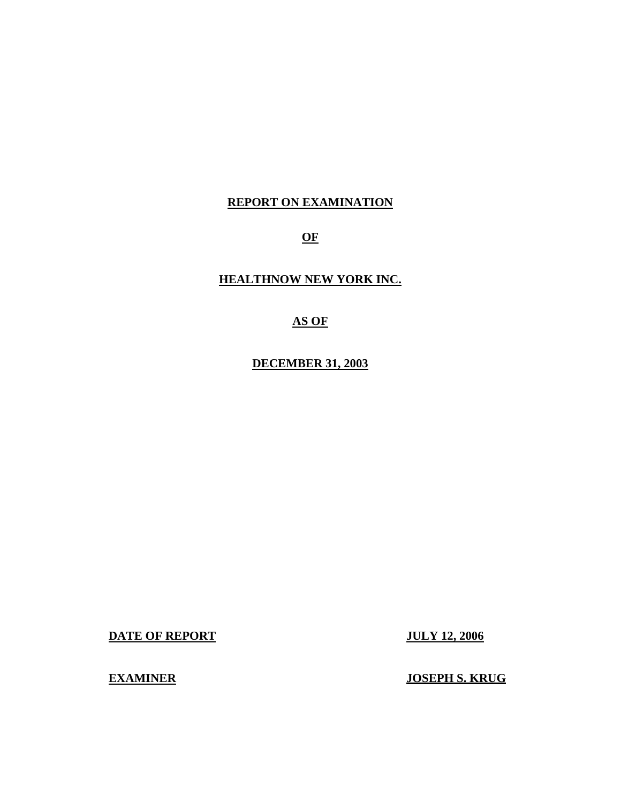# **REPORT ON EXAMINATION**

**OF** 

**HEALTHNOW NEW YORK INC.** 

# **AS OF**

**DECEMBER 31, 2003** 

**DATE OF REPORT JULY 12, 2006** 

**EXAMINER** JOSEPH S. KRUG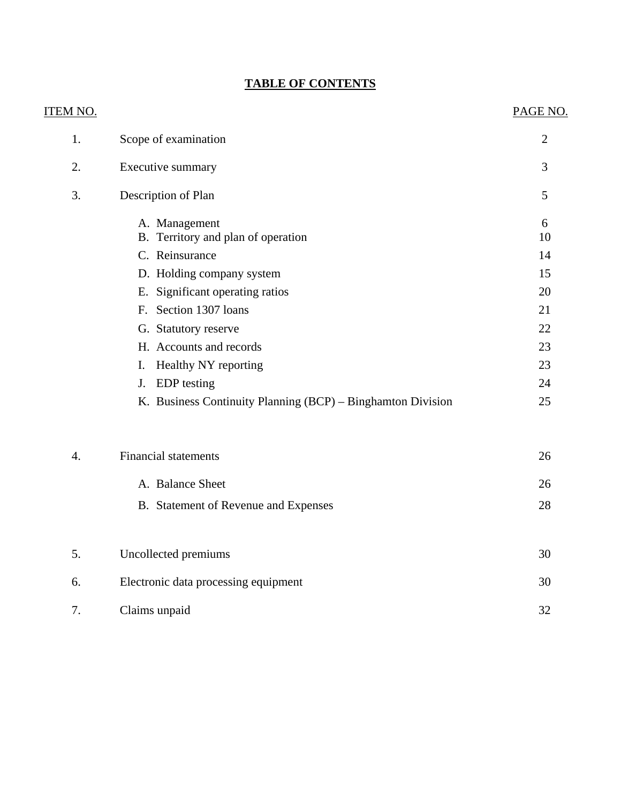# **TABLE OF CONTENTS**

| <u>ITEM NO.</u>  |                                                             | PAGE NO.       |
|------------------|-------------------------------------------------------------|----------------|
| 1.               | Scope of examination                                        | $\overline{2}$ |
| 2.               | Executive summary                                           | 3              |
| 3.               | Description of Plan                                         | 5              |
|                  | A. Management<br>B. Territory and plan of operation         | 6<br>10        |
|                  | C. Reinsurance                                              | 14             |
|                  | D. Holding company system                                   | 15             |
|                  | E. Significant operating ratios                             | 20             |
|                  | F. Section 1307 loans                                       | 21             |
|                  | G. Statutory reserve                                        | 22             |
|                  | H. Accounts and records                                     | 23             |
|                  | Healthy NY reporting<br>Ι.                                  | 23             |
|                  | <b>EDP</b> testing<br>J.                                    | 24             |
|                  | K. Business Continuity Planning (BCP) – Binghamton Division | 25             |
| $\overline{4}$ . | <b>Financial statements</b>                                 | 26             |
|                  | A. Balance Sheet                                            | 26             |
|                  | B. Statement of Revenue and Expenses                        | 28             |
| 5.               | Uncollected premiums                                        | 30             |
| 6.               | Electronic data processing equipment                        | 30             |
| 7.               | Claims unpaid                                               | 32             |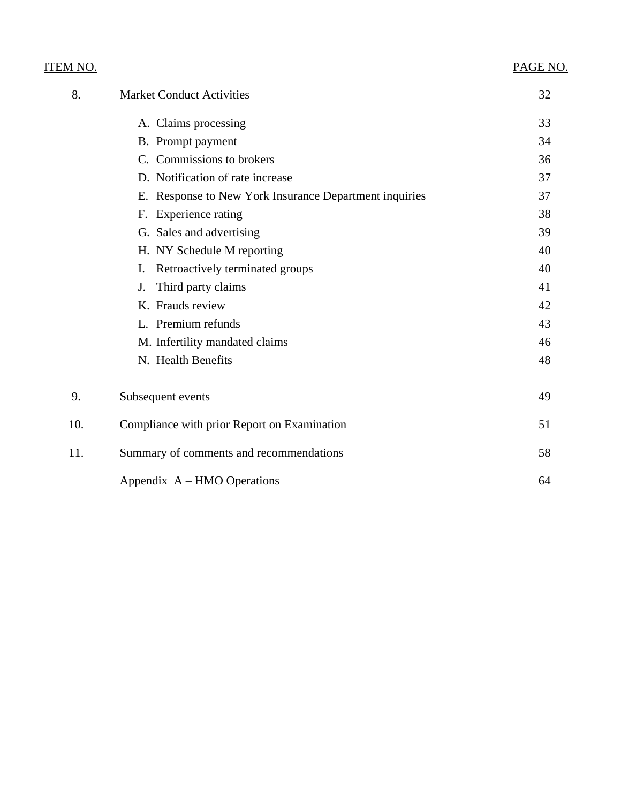| <u>ITEM NO.</u> |                                                        | PAGE NO. |
|-----------------|--------------------------------------------------------|----------|
| 8.              | <b>Market Conduct Activities</b>                       | 32       |
|                 | A. Claims processing                                   | 33       |
|                 | B. Prompt payment                                      | 34       |
|                 | C. Commissions to brokers                              | 36       |
|                 | D. Notification of rate increase                       | 37       |
|                 | E. Response to New York Insurance Department inquiries | 37       |
|                 | F. Experience rating                                   | 38       |
|                 | G. Sales and advertising                               | 39       |
|                 | H. NY Schedule M reporting                             | 40       |
|                 | Retroactively terminated groups<br>I.                  | 40       |
|                 | Third party claims<br>J.                               | 41       |
|                 | K. Frauds review                                       | 42       |
|                 | L. Premium refunds                                     | 43       |
|                 | M. Infertility mandated claims                         | 46       |
|                 | N. Health Benefits                                     | 48       |
| 9.              | Subsequent events                                      | 49       |
| 10.             | Compliance with prior Report on Examination            | 51       |
| 11.             | Summary of comments and recommendations                | 58       |
|                 | Appendix $A - HMO$ Operations                          | 64       |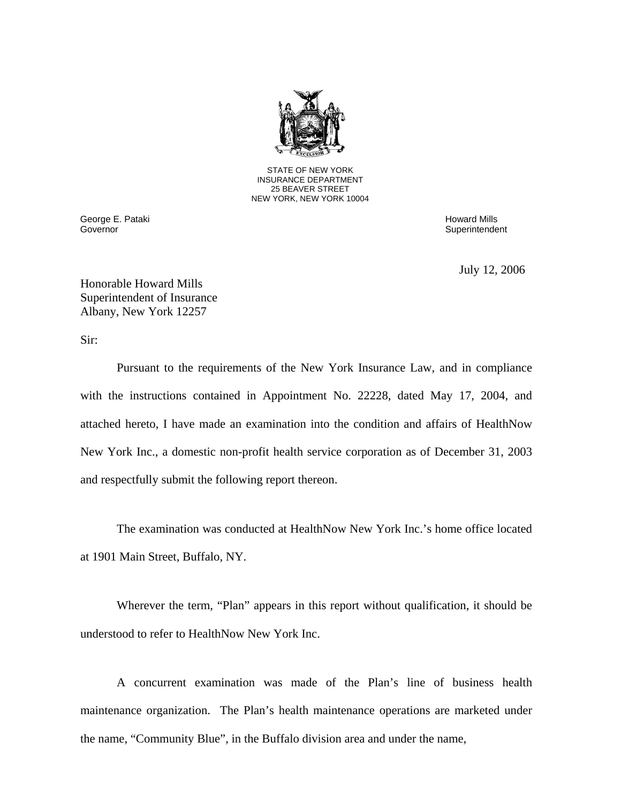

STATE OF NEW YORK INSURANCE DEPARTMENT 25 BEAVER STREET NEW YORK, NEW YORK 10004

George E. Pataki Howard Mills (1999) and the second state of the second state of the second Mills (1999) and the second Mills (1999) and the second Mills (1999) and the second of the second state of the second state of the Governor

Superintendent

July 12, 2006

Honorable Howard Mills Superintendent of Insurance Albany, New York 12257

Sir:

Pursuant to the requirements of the New York Insurance Law, and in compliance with the instructions contained in Appointment No. 22228, dated May 17, 2004, and attached hereto, I have made an examination into the condition and affairs of HealthNow New York Inc., a domestic non-profit health service corporation as of December 31, 2003 and respectfully submit the following report thereon.

The examination was conducted at HealthNow New York Inc.'s home office located at 1901 Main Street, Buffalo, NY.

Wherever the term, "Plan" appears in this report without qualification, it should be understood to refer to HealthNow New York Inc.

A concurrent examination was made of the Plan's line of business health maintenance organization. The Plan's health maintenance operations are marketed under the name, "Community Blue", in the Buffalo division area and under the name,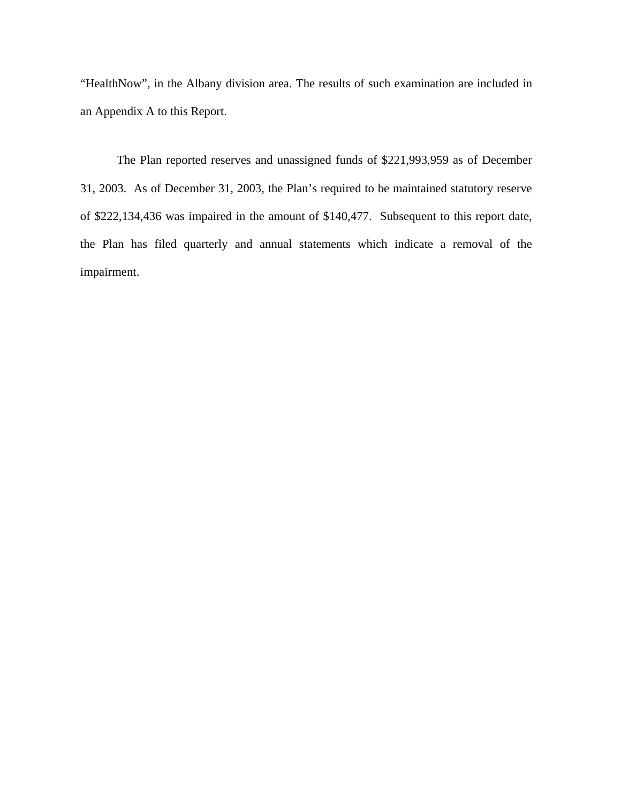"HealthNow", in the Albany division area. The results of such examination are included in an Appendix A to this Report.

The Plan reported reserves and unassigned funds of \$221,993,959 as of December 31, 2003. As of December 31, 2003, the Plan's required to be maintained statutory reserve of \$222,134,436 was impaired in the amount of \$140,477. Subsequent to this report date, the Plan has filed quarterly and annual statements which indicate a removal of the impairment.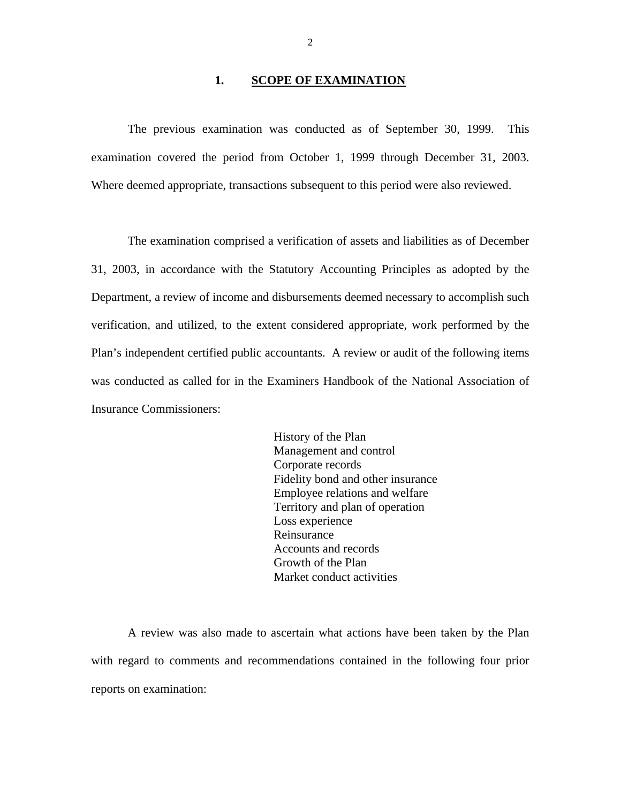#### 1. **SCOPE OF EXAMINATION**

<span id="page-5-0"></span>The previous examination was conducted as of September 30, 1999. This examination covered the period from October 1, 1999 through December 31, 2003. Where deemed appropriate, transactions subsequent to this period were also reviewed.

The examination comprised a verification of assets and liabilities as of December 31, 2003, in accordance with the Statutory Accounting Principles as adopted by the Department, a review of income and disbursements deemed necessary to accomplish such verification, and utilized, to the extent considered appropriate, work performed by the Plan's independent certified public accountants. A review or audit of the following items was conducted as called for in the Examiners Handbook of the National Association of Insurance Commissioners:

> History of the Plan Management and control Corporate records Fidelity bond and other insurance Employee relations and welfare Territory and plan of operation Loss experience Reinsurance Accounts and records Growth of the Plan Market conduct activities

A review was also made to ascertain what actions have been taken by the Plan with regard to comments and recommendations contained in the following four prior reports on examination: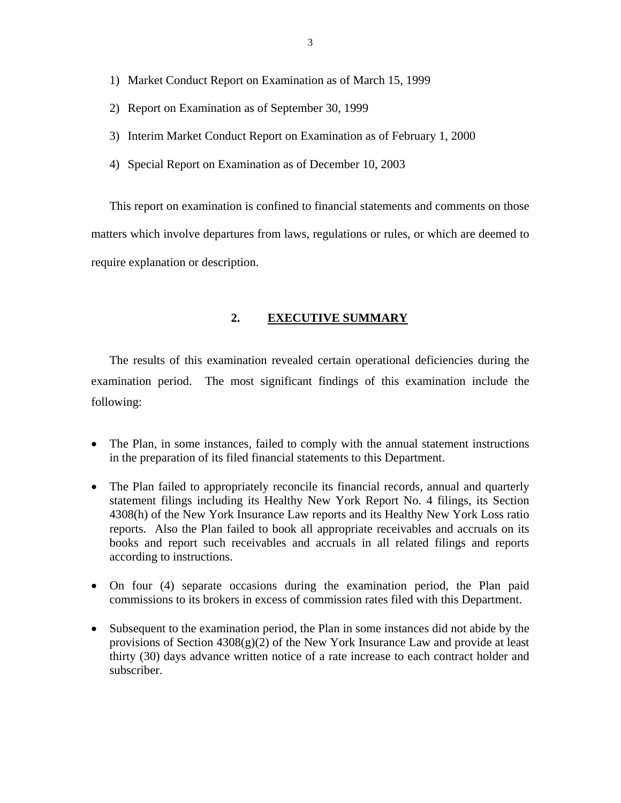- <span id="page-6-0"></span>1) Market Conduct Report on Examination as of March 15, 1999
- 2) Report on Examination as of September 30, 1999
- 3) Interim Market Conduct Report on Examination as of February 1, 2000
- 4) Special Report on Examination as of December 10, 2003

This report on examination is confined to financial statements and comments on those matters which involve departures from laws, regulations or rules, or which are deemed to require explanation or description.

## **2. EXECUTIVE SUMMARY**

The results of this examination revealed certain operational deficiencies during the examination period. The most significant findings of this examination include the following:

- The Plan, in some instances, failed to comply with the annual statement instructions in the preparation of its filed financial statements to this Department.
- The Plan failed to appropriately reconcile its financial records, annual and quarterly statement filings including its Healthy New York Report No. 4 filings, its Section 4308(h) of the New York Insurance Law reports and its Healthy New York Loss ratio reports. Also the Plan failed to book all appropriate receivables and accruals on its books and report such receivables and accruals in all related filings and reports according to instructions.
- On four (4) separate occasions during the examination period, the Plan paid commissions to its brokers in excess of commission rates filed with this Department.
- Subsequent to the examination period, the Plan in some instances did not abide by the provisions of Section 4308(g)(2) of the New York Insurance Law and provide at least thirty (30) days advance written notice of a rate increase to each contract holder and subscriber.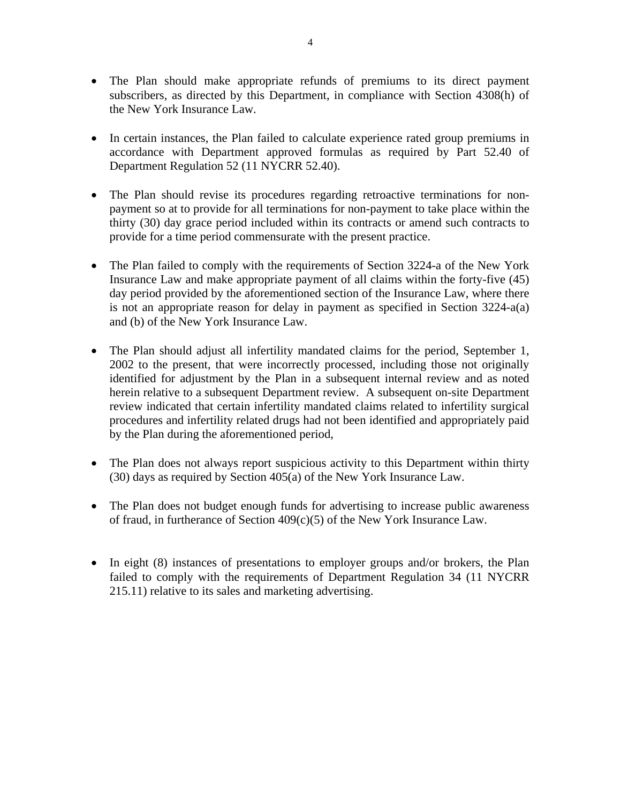- The Plan should make appropriate refunds of premiums to its direct payment subscribers, as directed by this Department, in compliance with Section 4308(h) of the New York Insurance Law.
- In certain instances, the Plan failed to calculate experience rated group premiums in accordance with Department approved formulas as required by Part 52.40 of Department Regulation 52 (11 NYCRR 52.40).
- The Plan should revise its procedures regarding retroactive terminations for nonpayment so at to provide for all terminations for non-payment to take place within the thirty (30) day grace period included within its contracts or amend such contracts to provide for a time period commensurate with the present practice.
- The Plan failed to comply with the requirements of Section 3224-a of the New York Insurance Law and make appropriate payment of all claims within the forty-five (45) day period provided by the aforementioned section of the Insurance Law, where there is not an appropriate reason for delay in payment as specified in Section 3224-a(a) and (b) of the New York Insurance Law.
- The Plan should adjust all infertility mandated claims for the period, September 1, 2002 to the present, that were incorrectly processed, including those not originally identified for adjustment by the Plan in a subsequent internal review and as noted herein relative to a subsequent Department review. A subsequent on-site Department review indicated that certain infertility mandated claims related to infertility surgical procedures and infertility related drugs had not been identified and appropriately paid by the Plan during the aforementioned period,
- The Plan does not always report suspicious activity to this Department within thirty (30) days as required by Section 405(a) of the New York Insurance Law.
- The Plan does not budget enough funds for advertising to increase public awareness of fraud, in furtherance of Section 409(c)(5) of the New York Insurance Law.
- In eight (8) instances of presentations to employer groups and/or brokers, the Plan failed to comply with the requirements of Department Regulation 34 (11 NYCRR 215.11) relative to its sales and marketing advertising.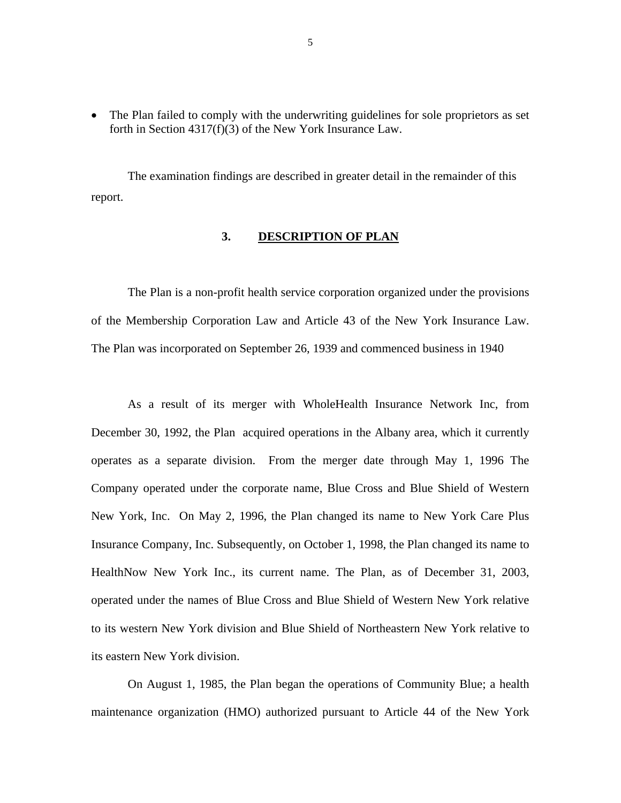<span id="page-8-0"></span>• The Plan failed to comply with the underwriting guidelines for sole proprietors as set forth in Section 4317(f)(3) of the New York Insurance Law.

The examination findings are described in greater detail in the remainder of this report.

### **3. DESCRIPTION OF PLAN**

The Plan is a non-profit health service corporation organized under the provisions of the Membership Corporation Law and Article 43 of the New York Insurance Law. The Plan was incorporated on September 26, 1939 and commenced business in 1940

As a result of its merger with WholeHealth Insurance Network Inc, from December 30, 1992, the Plan acquired operations in the Albany area, which it currently operates as a separate division. From the merger date through May 1, 1996 The Company operated under the corporate name, Blue Cross and Blue Shield of Western New York, Inc. On May 2, 1996, the Plan changed its name to New York Care Plus Insurance Company, Inc. Subsequently, on October 1, 1998, the Plan changed its name to HealthNow New York Inc., its current name. The Plan, as of December 31, 2003, operated under the names of Blue Cross and Blue Shield of Western New York relative to its western New York division and Blue Shield of Northeastern New York relative to its eastern New York division.

On August 1, 1985, the Plan began the operations of Community Blue; a health maintenance organization (HMO) authorized pursuant to Article 44 of the New York

5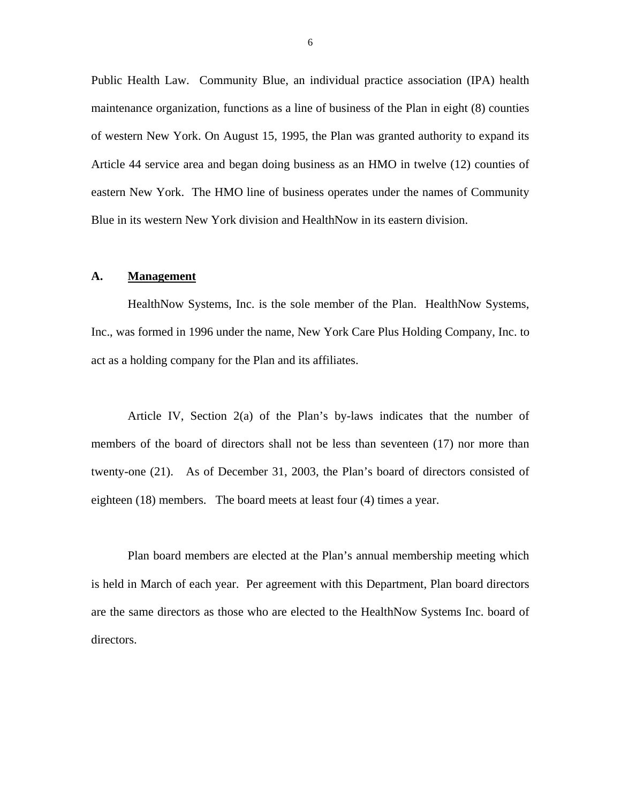<span id="page-9-0"></span>Public Health Law. Community Blue, an individual practice association (IPA) health maintenance organization, functions as a line of business of the Plan in eight (8) counties of western New York. On August 15, 1995, the Plan was granted authority to expand its Article 44 service area and began doing business as an HMO in twelve (12) counties of eastern New York. The HMO line of business operates under the names of Community Blue in its western New York division and HealthNow in its eastern division.

#### **A. Management**

HealthNow Systems, Inc. is the sole member of the Plan. HealthNow Systems, Inc., was formed in 1996 under the name, New York Care Plus Holding Company, Inc. to act as a holding company for the Plan and its affiliates.

Article IV, Section 2(a) of the Plan's by-laws indicates that the number of members of the board of directors shall not be less than seventeen (17) nor more than twenty-one (21). As of December 31, 2003, the Plan's board of directors consisted of eighteen (18) members. The board meets at least four (4) times a year.

Plan board members are elected at the Plan's annual membership meeting which is held in March of each year. Per agreement with this Department, Plan board directors are the same directors as those who are elected to the HealthNow Systems Inc. board of directors.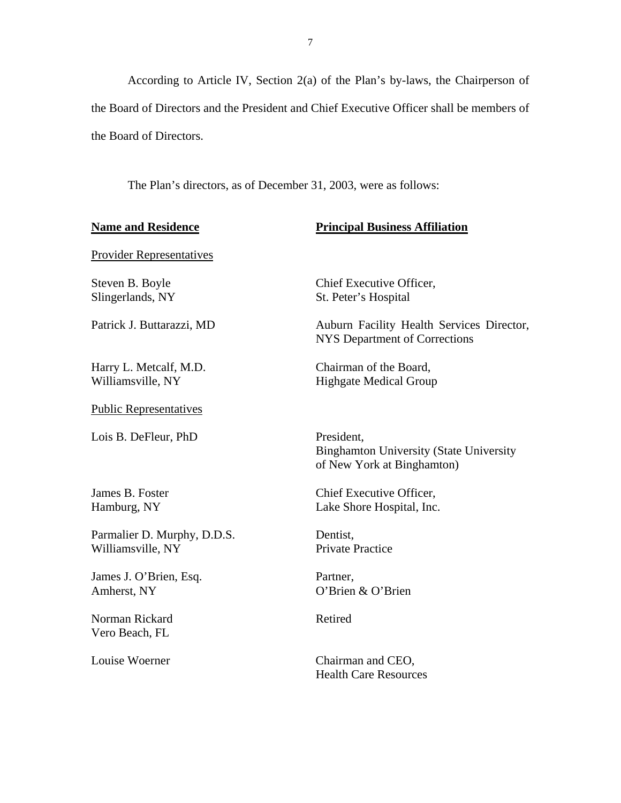According to Article IV, Section 2(a) of the Plan's by-laws, the Chairperson of the Board of Directors and the President and Chief Executive Officer shall be members of the Board of Directors.

The Plan's directors, as of December 31, 2003, were as follows:

| <b>Name and Residence</b>                        | <b>Principal Business Affiliation</b>                                                      |  |
|--------------------------------------------------|--------------------------------------------------------------------------------------------|--|
| <b>Provider Representatives</b>                  |                                                                                            |  |
| Steven B. Boyle<br>Slingerlands, NY              | Chief Executive Officer,<br>St. Peter's Hospital                                           |  |
| Patrick J. Buttarazzi, MD                        | Auburn Facility Health Services Director,<br><b>NYS Department of Corrections</b>          |  |
| Harry L. Metcalf, M.D.<br>Williamsville, NY      | Chairman of the Board,<br><b>Highgate Medical Group</b>                                    |  |
| <b>Public Representatives</b>                    |                                                                                            |  |
| Lois B. DeFleur, PhD                             | President,<br><b>Binghamton University (State University</b><br>of New York at Binghamton) |  |
| James B. Foster<br>Hamburg, NY                   | Chief Executive Officer,<br>Lake Shore Hospital, Inc.                                      |  |
| Parmalier D. Murphy, D.D.S.<br>Williamsville, NY | Dentist,<br><b>Private Practice</b>                                                        |  |
| James J. O'Brien, Esq.<br>Amherst, NY            | Partner,<br>O'Brien & O'Brien                                                              |  |
| Norman Rickard<br>Vero Beach, FL                 | Retired                                                                                    |  |
| Louise Woerner                                   | Chairman and CEO,<br><b>Health Care Resources</b>                                          |  |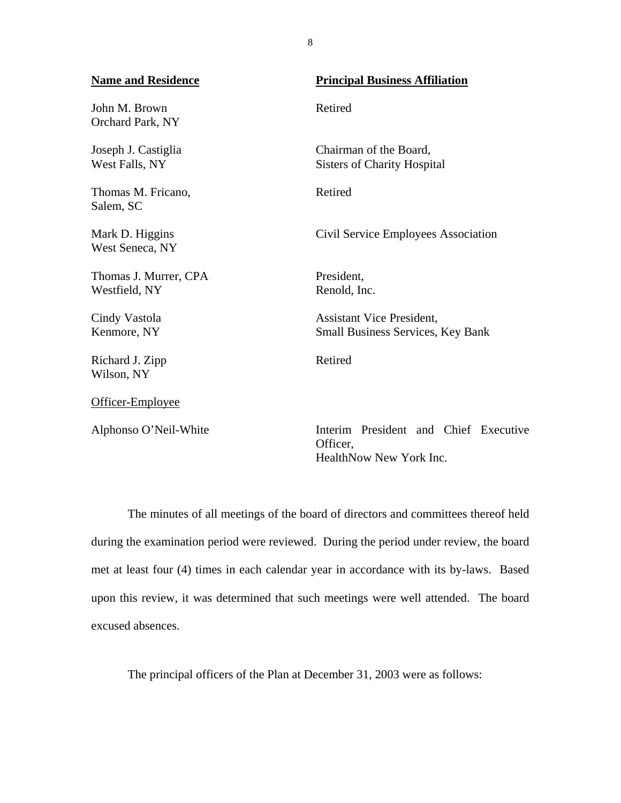| <b>Name and Residence</b>              | <b>Principal Business Affiliation</b>                                        |  |
|----------------------------------------|------------------------------------------------------------------------------|--|
| John M. Brown<br>Orchard Park, NY      | Retired                                                                      |  |
| Joseph J. Castiglia<br>West Falls, NY  | Chairman of the Board,<br><b>Sisters of Charity Hospital</b>                 |  |
| Thomas M. Fricano,<br>Salem, SC        | Retired                                                                      |  |
| Mark D. Higgins<br>West Seneca, NY     | Civil Service Employees Association                                          |  |
| Thomas J. Murrer, CPA<br>Westfield, NY | President,<br>Renold, Inc.                                                   |  |
| Cindy Vastola<br>Kenmore, NY           | <b>Assistant Vice President,</b><br><b>Small Business Services, Key Bank</b> |  |
| Richard J. Zipp<br>Wilson, NY          | Retired                                                                      |  |
| Officer-Employee                       |                                                                              |  |
| Alphonso O'Neil-White                  | Interim President and Chief Executive<br>Officer.                            |  |

The minutes of all meetings of the board of directors and committees thereof held during the examination period were reviewed. During the period under review, the board met at least four (4) times in each calendar year in accordance with its by-laws. Based upon this review, it was determined that such meetings were well attended. The board excused absences.

HealthNow New York Inc.

The principal officers of the Plan at December 31, 2003 were as follows:

8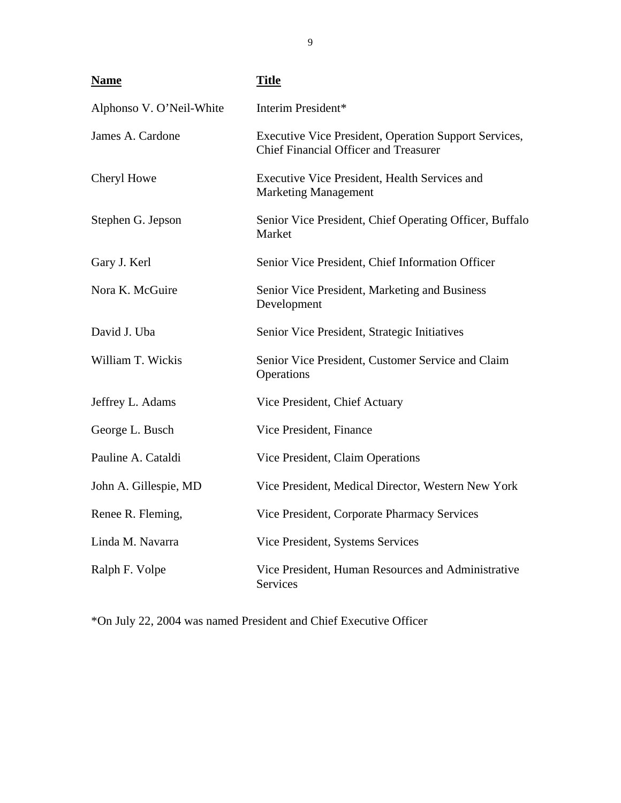| <b>Name</b>              | <b>Title</b>                                                                                          |
|--------------------------|-------------------------------------------------------------------------------------------------------|
| Alphonso V. O'Neil-White | Interim President*                                                                                    |
| James A. Cardone         | Executive Vice President, Operation Support Services,<br><b>Chief Financial Officer and Treasurer</b> |
| Cheryl Howe              | Executive Vice President, Health Services and<br><b>Marketing Management</b>                          |
| Stephen G. Jepson        | Senior Vice President, Chief Operating Officer, Buffalo<br>Market                                     |
| Gary J. Kerl             | Senior Vice President, Chief Information Officer                                                      |
| Nora K. McGuire          | Senior Vice President, Marketing and Business<br>Development                                          |
| David J. Uba             | Senior Vice President, Strategic Initiatives                                                          |
| William T. Wickis        | Senior Vice President, Customer Service and Claim<br>Operations                                       |
| Jeffrey L. Adams         | Vice President, Chief Actuary                                                                         |
| George L. Busch          | Vice President, Finance                                                                               |
| Pauline A. Cataldi       | Vice President, Claim Operations                                                                      |
| John A. Gillespie, MD    | Vice President, Medical Director, Western New York                                                    |
| Renee R. Fleming,        | Vice President, Corporate Pharmacy Services                                                           |
| Linda M. Navarra         | Vice President, Systems Services                                                                      |
| Ralph F. Volpe           | Vice President, Human Resources and Administrative<br>Services                                        |

\*On July 22, 2004 was named President and Chief Executive Officer

9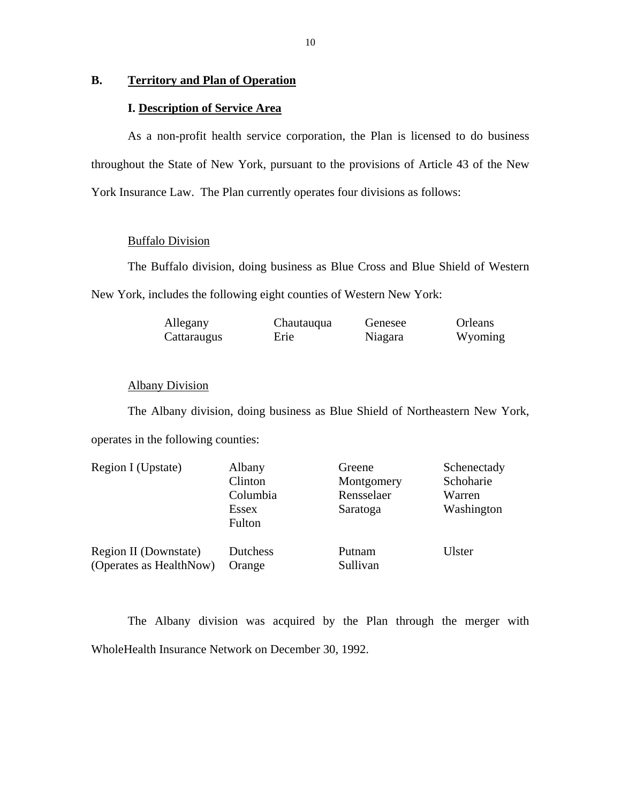## <span id="page-13-0"></span>**B. Territory and Plan of Operation**

## **I. Description of Service Area**

As a non-profit health service corporation, the Plan is licensed to do business throughout the State of New York, pursuant to the provisions of Article 43 of the New York Insurance Law. The Plan currently operates four divisions as follows:

## Buffalo Division

The Buffalo division, doing business as Blue Cross and Blue Shield of Western New York, includes the following eight counties of Western New York:

| Allegany    | Chautauqua | Genesee | Orleans |
|-------------|------------|---------|---------|
| Cattaraugus | Erie       | Niagara | Wyoming |

## Albany Division

The Albany division, doing business as Blue Shield of Northeastern New York, operates in the following counties:

| Region I (Upstate)      | Albany<br>Clinton<br>Columbia<br>Essex<br>Fulton | Greene<br>Montgomery<br>Rensselaer<br>Saratoga | Schenectady<br>Schoharie<br>Warren<br>Washington |
|-------------------------|--------------------------------------------------|------------------------------------------------|--------------------------------------------------|
| Region II (Downstate)   | Dutchess                                         | Putnam                                         | Ulster                                           |
| (Operates as HealthNow) | Orange                                           | Sullivan                                       |                                                  |

The Albany division was acquired by the Plan through the merger with WholeHealth Insurance Network on December 30, 1992.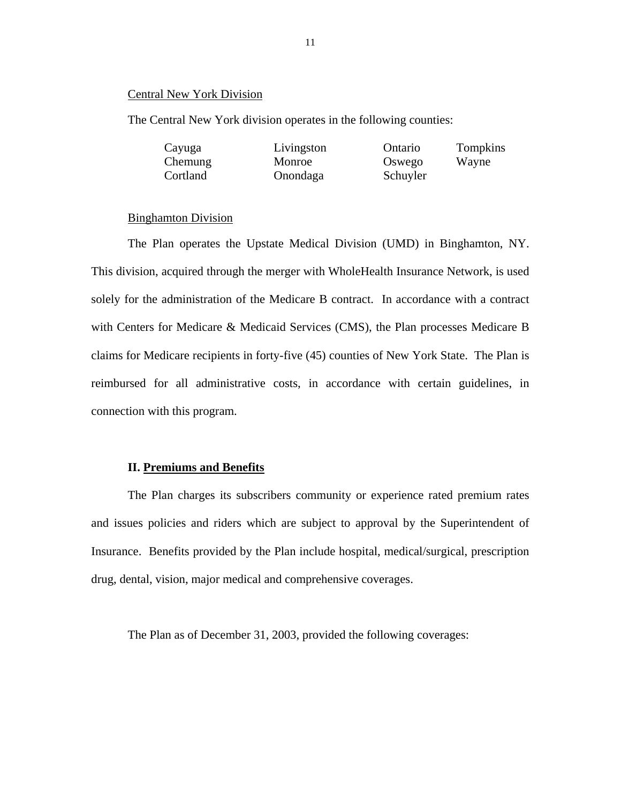#### Central New York Division

The Central New York division operates in the following counties:

| Cayuga   | Livingston | Ontario  | Tompkins |
|----------|------------|----------|----------|
| Chemung  | Monroe     | Oswego   | Wayne    |
| Cortland | Onondaga   | Schuyler |          |

#### Binghamton Division

The Plan operates the Upstate Medical Division (UMD) in Binghamton, NY. This division, acquired through the merger with WholeHealth Insurance Network, is used solely for the administration of the Medicare B contract. In accordance with a contract with Centers for Medicare & Medicaid Services (CMS), the Plan processes Medicare B claims for Medicare recipients in forty-five (45) counties of New York State. The Plan is reimbursed for all administrative costs, in accordance with certain guidelines, in connection with this program.

#### **II. Premiums and Benefits**

The Plan charges its subscribers community or experience rated premium rates and issues policies and riders which are subject to approval by the Superintendent of Insurance. Benefits provided by the Plan include hospital, medical/surgical, prescription drug, dental, vision, major medical and comprehensive coverages.

The Plan as of December 31, 2003, provided the following coverages: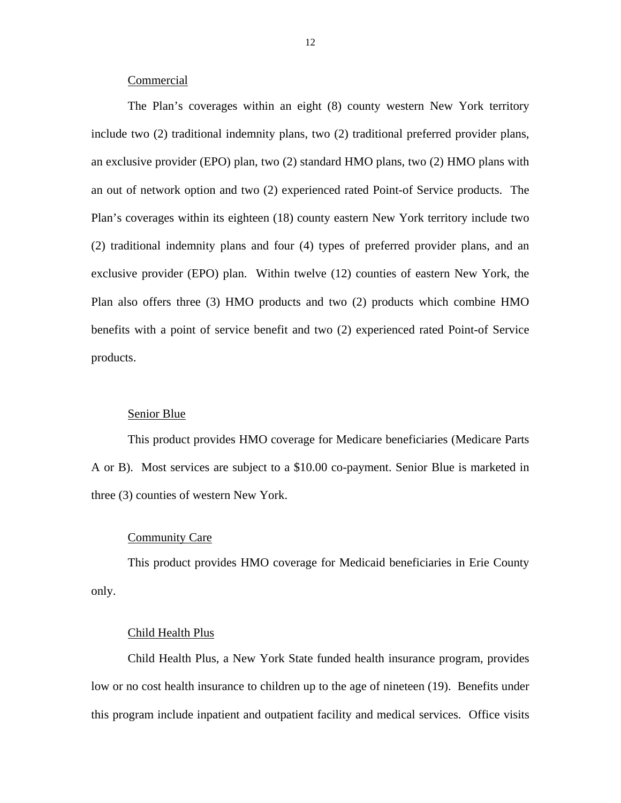### Commercial

The Plan's coverages within an eight (8) county western New York territory include two (2) traditional indemnity plans, two (2) traditional preferred provider plans, an exclusive provider (EPO) plan, two (2) standard HMO plans, two (2) HMO plans with an out of network option and two (2) experienced rated Point-of Service products. The Plan's coverages within its eighteen (18) county eastern New York territory include two (2) traditional indemnity plans and four (4) types of preferred provider plans, and an exclusive provider (EPO) plan. Within twelve (12) counties of eastern New York, the Plan also offers three (3) HMO products and two (2) products which combine HMO benefits with a point of service benefit and two (2) experienced rated Point-of Service products.

### Senior Blue

This product provides HMO coverage for Medicare beneficiaries (Medicare Parts A or B). Most services are subject to a \$10.00 co-payment. Senior Blue is marketed in three (3) counties of western New York.

### Community Care

This product provides HMO coverage for Medicaid beneficiaries in Erie County only.

#### Child Health Plus

Child Health Plus, a New York State funded health insurance program, provides low or no cost health insurance to children up to the age of nineteen (19). Benefits under this program include inpatient and outpatient facility and medical services. Office visits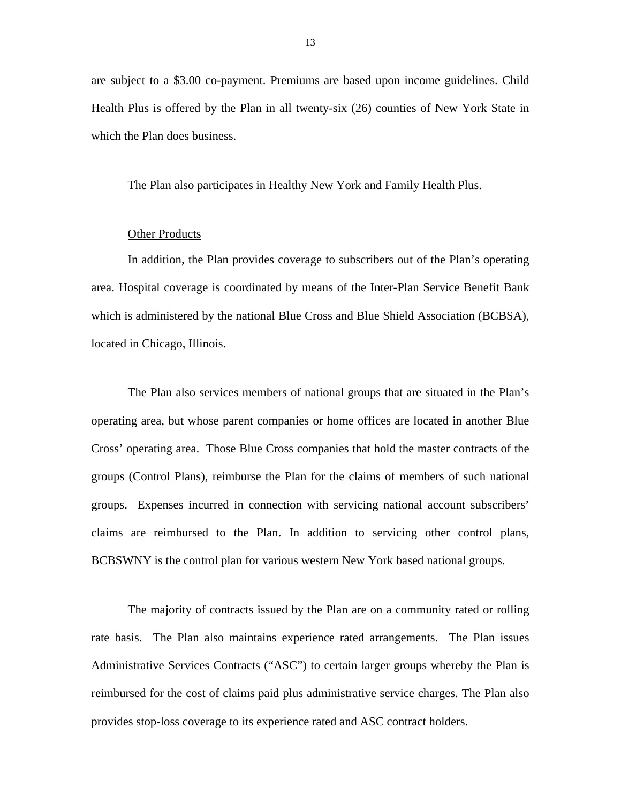are subject to a \$3.00 co-payment. Premiums are based upon income guidelines. Child Health Plus is offered by the Plan in all twenty-six (26) counties of New York State in which the Plan does business.

The Plan also participates in Healthy New York and Family Health Plus.

## Other Products

In addition, the Plan provides coverage to subscribers out of the Plan's operating area. Hospital coverage is coordinated by means of the Inter-Plan Service Benefit Bank which is administered by the national Blue Cross and Blue Shield Association (BCBSA), located in Chicago, Illinois.

The Plan also services members of national groups that are situated in the Plan's operating area, but whose parent companies or home offices are located in another Blue Cross' operating area. Those Blue Cross companies that hold the master contracts of the groups (Control Plans), reimburse the Plan for the claims of members of such national groups. Expenses incurred in connection with servicing national account subscribers' claims are reimbursed to the Plan. In addition to servicing other control plans, BCBSWNY is the control plan for various western New York based national groups.

The majority of contracts issued by the Plan are on a community rated or rolling rate basis. The Plan also maintains experience rated arrangements. The Plan issues Administrative Services Contracts ("ASC") to certain larger groups whereby the Plan is reimbursed for the cost of claims paid plus administrative service charges. The Plan also provides stop-loss coverage to its experience rated and ASC contract holders.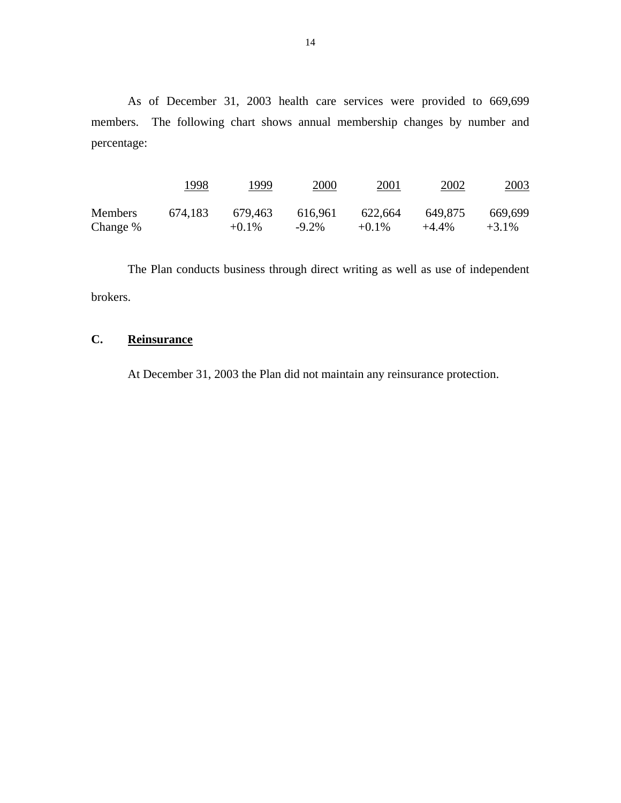<span id="page-17-0"></span>As of December 31, 2003 health care services were provided to 669,699 members. The following chart shows annual membership changes by number and percentage:

|                | 1998    | 1999     | 2000     | 2001     | 2002     | 2003     |
|----------------|---------|----------|----------|----------|----------|----------|
| <b>Members</b> | 674,183 | 679,463  | 616,961  | 622,664  | 649,875  | 669,699  |
| Change %       |         | $+0.1\%$ | $-9.2\%$ | $+0.1\%$ | $+4.4\%$ | $+3.1\%$ |

The Plan conducts business through direct writing as well as use of independent brokers.

# **C. Reinsurance**

 At December 31, 2003 the Plan did not maintain any reinsurance protection.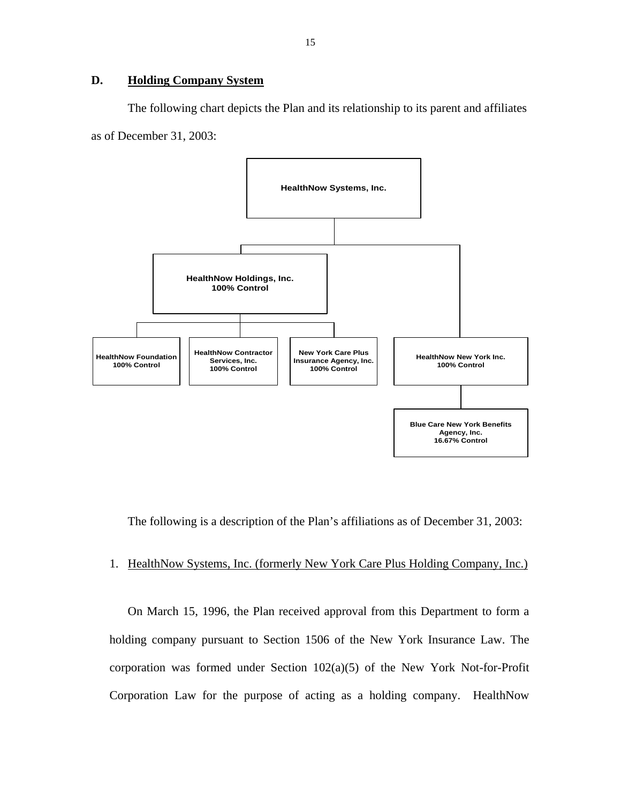## <span id="page-18-0"></span>**D. Holding Company System**

The following chart depicts the Plan and its relationship to its parent and affiliates as of December 31, 2003:



The following is a description of the Plan's affiliations as of December 31, 2003:

## 1. HealthNow Systems, Inc. (formerly New York Care Plus Holding Company, Inc.)

On March 15, 1996, the Plan received approval from this Department to form a holding company pursuant to Section 1506 of the New York Insurance Law. The corporation was formed under Section 102(a)(5) of the New York Not-for-Profit Corporation Law for the purpose of acting as a holding company. HealthNow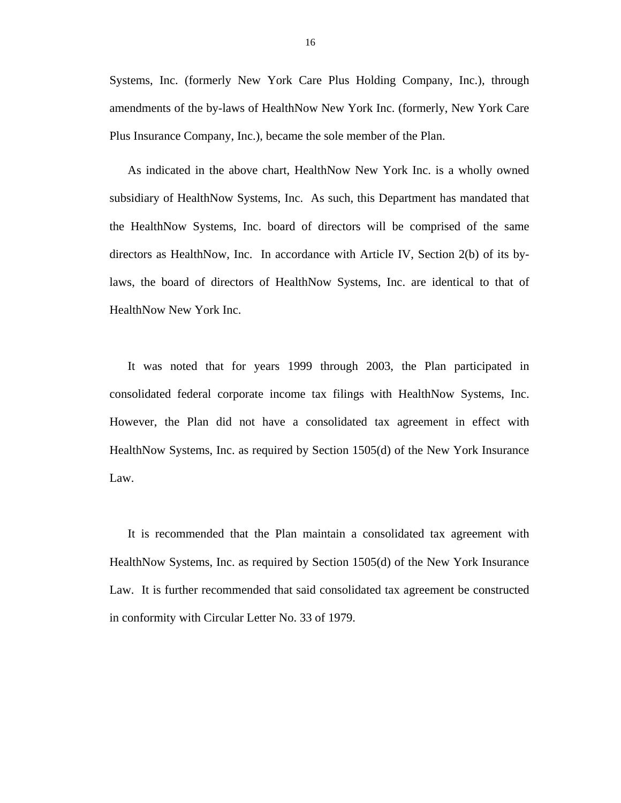Systems, Inc. (formerly New York Care Plus Holding Company, Inc.), through amendments of the by-laws of HealthNow New York Inc. (formerly, New York Care Plus Insurance Company, Inc.), became the sole member of the Plan.

As indicated in the above chart, HealthNow New York Inc. is a wholly owned subsidiary of HealthNow Systems, Inc. As such, this Department has mandated that the HealthNow Systems, Inc. board of directors will be comprised of the same directors as HealthNow, Inc. In accordance with Article IV, Section 2(b) of its bylaws, the board of directors of HealthNow Systems, Inc. are identical to that of HealthNow New York Inc.

 consolidated federal corporate income tax filings with HealthNow Systems, Inc. However, the Plan did not have a consolidated tax agreement in effect with It was noted that for years 1999 through 2003, the Plan participated in HealthNow Systems, Inc. as required by Section 1505(d) of the New York Insurance Law.

It is recommended that the Plan maintain a consolidated tax agreement with HealthNow Systems, Inc. as required by Section 1505(d) of the New York Insurance Law. It is further recommended that said consolidated tax agreement be constructed in conformity with Circular Letter No. 33 of 1979.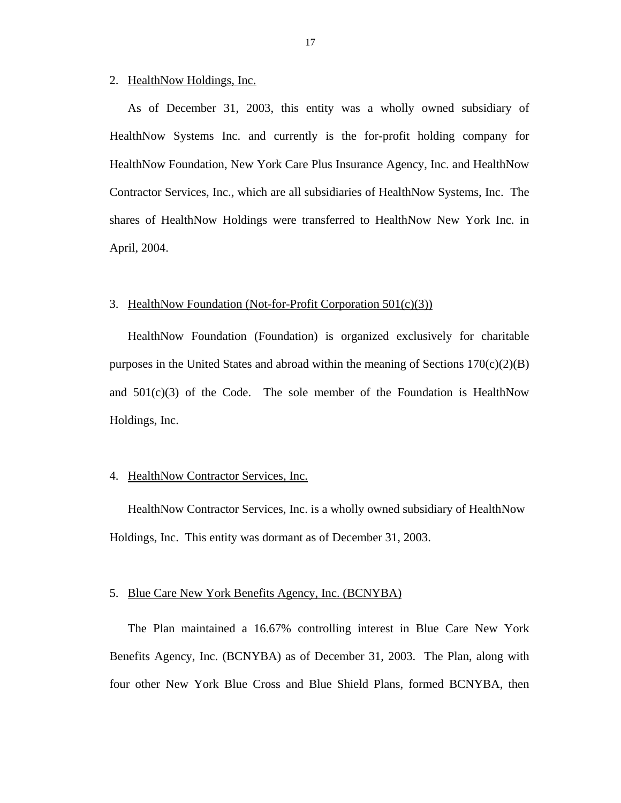#### 2. HealthNow Holdings, Inc.

As of December 31, 2003, this entity was a wholly owned subsidiary of HealthNow Systems Inc. and currently is the for-profit holding company for HealthNow Foundation, New York Care Plus Insurance Agency, Inc. and HealthNow Contractor Services, Inc., which are all subsidiaries of HealthNow Systems, Inc. The shares of HealthNow Holdings were transferred to HealthNow New York Inc. in April, 2004.

#### 3. HealthNow Foundation (Not-for-Profit Corporation 501(c)(3))

HealthNow Foundation (Foundation) is organized exclusively for charitable purposes in the United States and abroad within the meaning of Sections  $170(c)(2)(B)$ and  $501(c)(3)$  of the Code. The sole member of the Foundation is HealthNow Holdings, Inc.

#### 4. HealthNow Contractor Services, Inc.

HealthNow Contractor Services, Inc. is a wholly owned subsidiary of HealthNow Holdings, Inc. This entity was dormant as of December 31, 2003.

#### 5. Blue Care New York Benefits Agency, Inc. (BCNYBA)

The Plan maintained a 16.67% controlling interest in Blue Care New York Benefits Agency, Inc. (BCNYBA) as of December 31, 2003. The Plan, along with four other New York Blue Cross and Blue Shield Plans, formed BCNYBA, then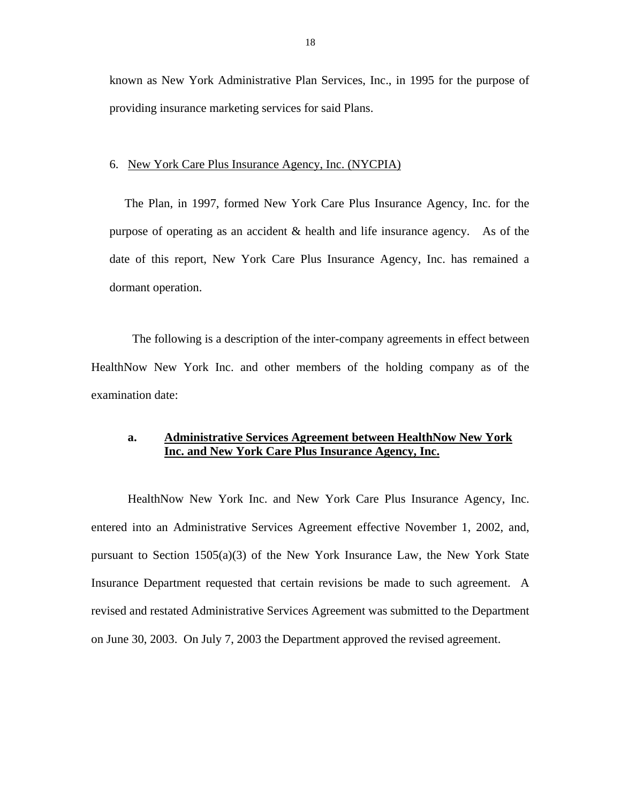known as New York Administrative Plan Services, Inc., in 1995 for the purpose of providing insurance marketing services for said Plans.

#### 6. New York Care Plus Insurance Agency, Inc. (NYCPIA)

The Plan, in 1997, formed New York Care Plus Insurance Agency, Inc. for the purpose of operating as an accident & health and life insurance agency. As of the date of this report, New York Care Plus Insurance Agency, Inc. has remained a dormant operation.

The following is a description of the inter-company agreements in effect between HealthNow New York Inc. and other members of the holding company as of the examination date:

## **a. Administrative Services Agreement between HealthNow New York Inc. and New York Care Plus Insurance Agency, Inc.**

HealthNow New York Inc. and New York Care Plus Insurance Agency, Inc. entered into an Administrative Services Agreement effective November 1, 2002, and, pursuant to Section 1505(a)(3) of the New York Insurance Law, the New York State Insurance Department requested that certain revisions be made to such agreement. A revised and restated Administrative Services Agreement was submitted to the Department on June 30, 2003. On July 7, 2003 the Department approved the revised agreement.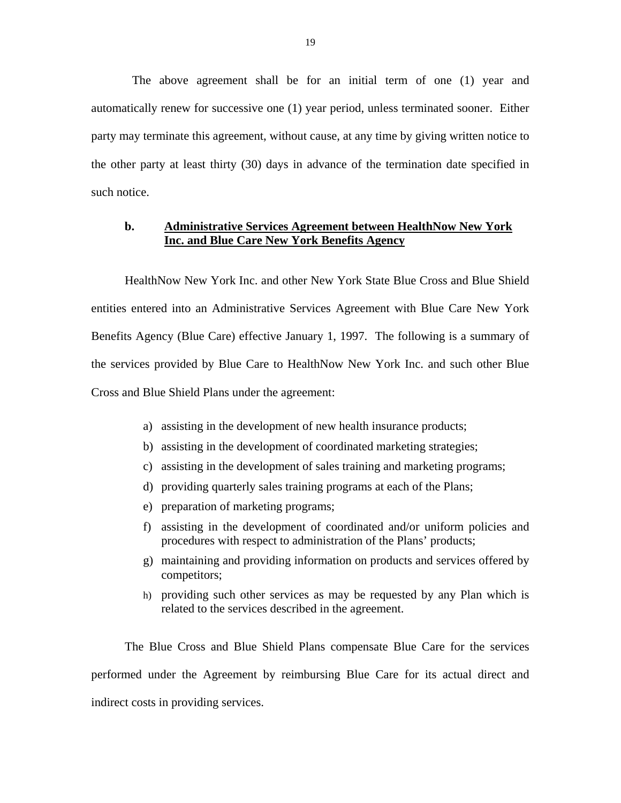The above agreement shall be for an initial term of one (1) year and automatically renew for successive one (1) year period, unless terminated sooner. Either party may terminate this agreement, without cause, at any time by giving written notice to the other party at least thirty (30) days in advance of the termination date specified in such notice.

## **b. Administrative Services Agreement between HealthNow New York Inc. and Blue Care New York Benefits Agency**

HealthNow New York Inc. and other New York State Blue Cross and Blue Shield entities entered into an Administrative Services Agreement with Blue Care New York Benefits Agency (Blue Care) effective January 1, 1997. The following is a summary of the services provided by Blue Care to HealthNow New York Inc. and such other Blue Cross and Blue Shield Plans under the agreement:

- a) assisting in the development of new health insurance products;
- b) assisting in the development of coordinated marketing strategies;
- c) assisting in the development of sales training and marketing programs;
- d) providing quarterly sales training programs at each of the Plans;
- e) preparation of marketing programs;
- f) assisting in the development of coordinated and/or uniform policies and procedures with respect to administration of the Plans' products;
- g) maintaining and providing information on products and services offered by competitors;
- h) providing such other services as may be requested by any Plan which is related to the services described in the agreement.

The Blue Cross and Blue Shield Plans compensate Blue Care for the services performed under the Agreement by reimbursing Blue Care for its actual direct and indirect costs in providing services.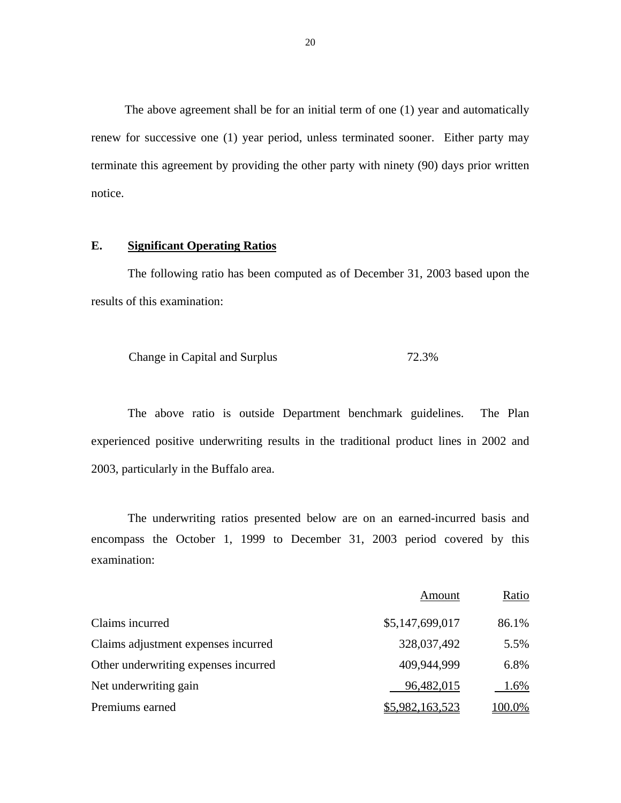The above agreement shall be for an initial term of one (1) year and automatically renew for successive one (1) year period, unless terminated sooner. Either party may terminate this agreement by providing the other party with ninety (90) days prior written notice.

## **E. Significant Operating Ratios**

The following ratio has been computed as of December 31, 2003 based upon the results of this examination:

Change in Capital and Surplus 72.3%

The above ratio is outside Department benchmark guidelines. The Plan experienced positive underwriting results in the traditional product lines in 2002 and 2003, particularly in the Buffalo area.

The underwriting ratios presented below are on an earned-incurred basis and encompass the October 1, 1999 to December 31, 2003 period covered by this examination:

|                                      | Amount          | Ratio  |
|--------------------------------------|-----------------|--------|
| Claims incurred                      | \$5,147,699,017 | 86.1%  |
| Claims adjustment expenses incurred  | 328,037,492     | 5.5%   |
| Other underwriting expenses incurred | 409,944,999     | 6.8%   |
| Net underwriting gain                | 96,482,015      | 1.6%   |
| Premiums earned                      | \$5,982,163,523 | 100.0% |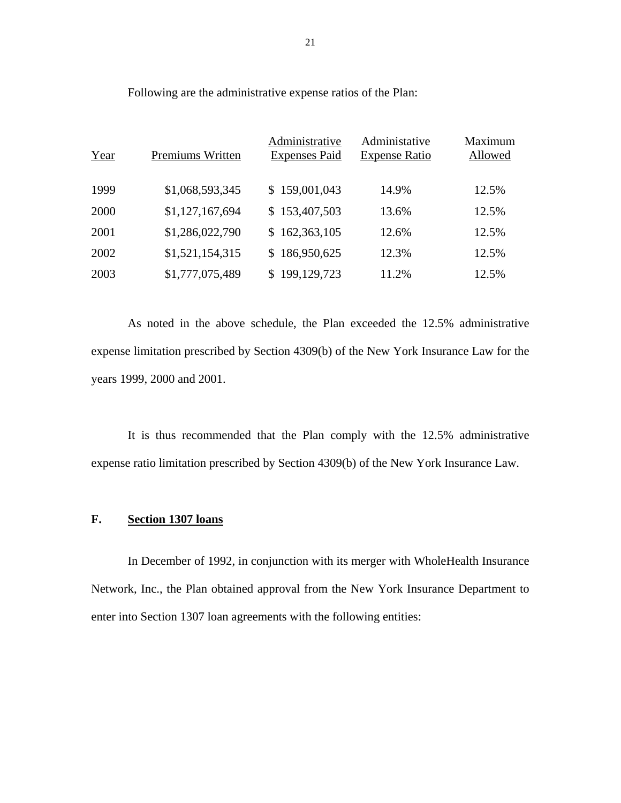| Year | Premiums Written | Administrative<br><b>Expenses Paid</b> | Administative<br><b>Expense Ratio</b> | Maximum<br>Allowed |
|------|------------------|----------------------------------------|---------------------------------------|--------------------|
| 1999 | \$1,068,593,345  | \$159,001,043                          | 14.9%                                 | 12.5%              |
| 2000 | \$1,127,167,694  | \$153,407,503                          | 13.6%                                 | 12.5%              |
| 2001 | \$1,286,022,790  | \$162,363,105                          | 12.6%                                 | 12.5%              |
| 2002 | \$1,521,154,315  | \$186,950,625                          | 12.3%                                 | 12.5%              |
| 2003 | \$1,777,075,489  | \$199,129,723                          | 11.2%                                 | 12.5%              |

Following are the administrative expense ratios of the Plan:

As noted in the above schedule, the Plan exceeded the 12.5% administrative expense limitation prescribed by Section 4309(b) of the New York Insurance Law for the years 1999, 2000 and 2001.

It is thus recommended that the Plan comply with the 12.5% administrative expense ratio limitation prescribed by Section 4309(b) of the New York Insurance Law.

## **F. Section 1307 loans**

In December of 1992, in conjunction with its merger with WholeHealth Insurance Network, Inc., the Plan obtained approval from the New York Insurance Department to enter into Section 1307 loan agreements with the following entities: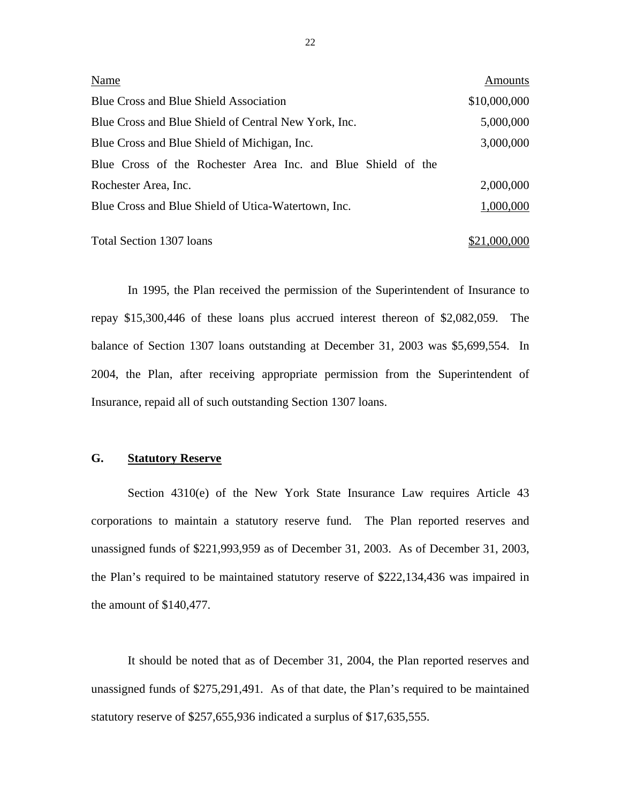| Name                                                         | Amounts      |
|--------------------------------------------------------------|--------------|
| <b>Blue Cross and Blue Shield Association</b>                | \$10,000,000 |
| Blue Cross and Blue Shield of Central New York, Inc.         | 5,000,000    |
| Blue Cross and Blue Shield of Michigan, Inc.                 | 3,000,000    |
| Blue Cross of the Rochester Area Inc. and Blue Shield of the |              |
| Rochester Area, Inc.                                         | 2,000,000    |
| Blue Cross and Blue Shield of Utica-Watertown, Inc.          | 1,000,000    |
|                                                              |              |

Total Section 1307 loans  $$21,000,000$ 

In 1995, the Plan received the permission of the Superintendent of Insurance to repay \$15,300,446 of these loans plus accrued interest thereon of \$2,082,059. The balance of Section 1307 loans outstanding at December 31, 2003 was \$5,699,554. In 2004, the Plan, after receiving appropriate permission from the Superintendent of Insurance, repaid all of such outstanding Section 1307 loans.

## **G. Statutory Reserve**

Section 4310(e) of the New York State Insurance Law requires Article 43 corporations to maintain a statutory reserve fund. The Plan reported reserves and unassigned funds of \$221,993,959 as of December 31, 2003. As of December 31, 2003, the Plan's required to be maintained statutory reserve of \$222,134,436 was impaired in the amount of \$140,477.

It should be noted that as of December 31, 2004, the Plan reported reserves and unassigned funds of \$275,291,491. As of that date, the Plan's required to be maintained statutory reserve of \$257,655,936 indicated a surplus of \$17,635,555.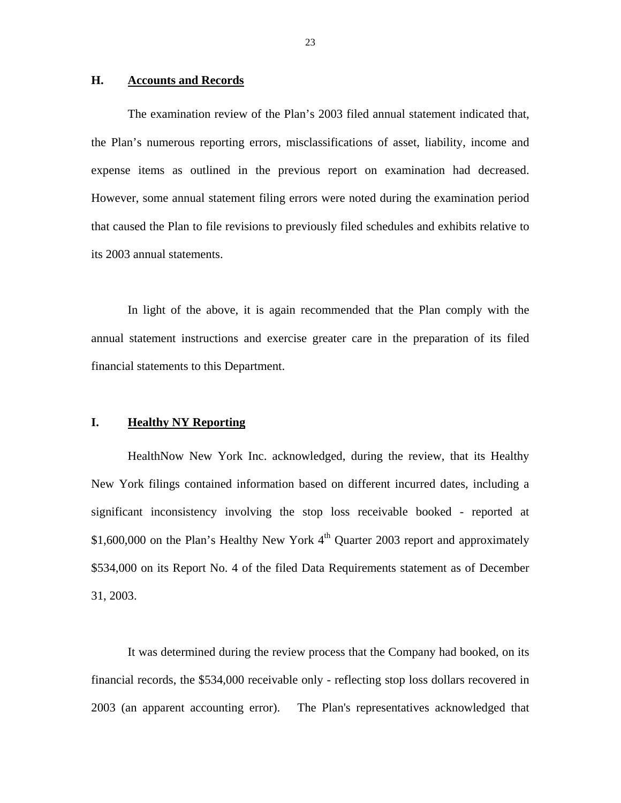#### <span id="page-26-0"></span>**H. Accounts and Records**

expense items as outlined in the previous report on examination had decreased. The examination review of the Plan's 2003 filed annual statement indicated that, the Plan's numerous reporting errors, misclassifications of asset, liability, income and However, some annual statement filing errors were noted during the examination period. that caused the Plan to file revisions to previously filed schedules and exhibits relative to its 2003 annual statements.

In light of the above, it is again recommended that the Plan comply with the annual statement instructions and exercise greater care in the preparation of its filed financial statements to this Department.

### **I. Healthy NY Reporting**

HealthNow New York Inc. acknowledged, during the review, that its Healthy New York filings contained information based on different incurred dates, including a significant inconsistency involving the stop loss receivable booked - reported at \$1,600,000 on the Plan's Healthy New York  $4<sup>th</sup>$  Quarter 2003 report and approximately \$534,000 on its Report No. 4 of the filed Data Requirements statement as of December 31, 2003.

It was determined during the review process that the Company had booked, on its financial records, the \$534,000 receivable only - reflecting stop loss dollars recovered in 2003 (an apparent accounting error). The Plan's representatives acknowledged that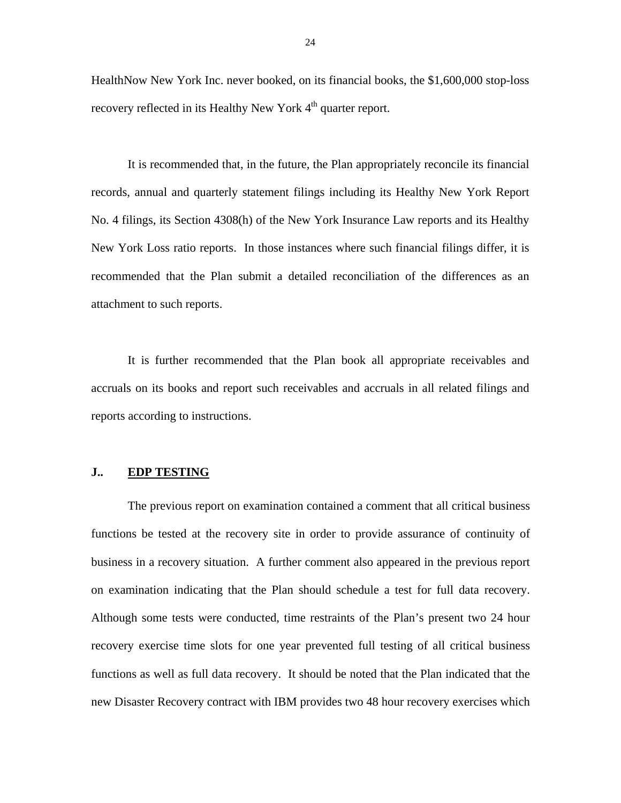<span id="page-27-0"></span>HealthNow New York Inc. never booked, on its financial books, the \$1,600,000 stop-loss recovery reflected in its Healthy New York 4<sup>th</sup> quarter report.

It is recommended that, in the future, the Plan appropriately reconcile its financial records, annual and quarterly statement filings including its Healthy New York Report No. 4 filings, its Section 4308(h) of the New York Insurance Law reports and its Healthy New York Loss ratio reports. In those instances where such financial filings differ, it is recommended that the Plan submit a detailed reconciliation of the differences as an attachment to such reports.

It is further recommended that the Plan book all appropriate receivables and accruals on its books and report such receivables and accruals in all related filings and reports according to instructions.

#### **J.. EDP TESTING**

The previous report on examination contained a comment that all critical business functions be tested at the recovery site in order to provide assurance of continuity of business in a recovery situation. A further comment also appeared in the previous report on examination indicating that the Plan should schedule a test for full data recovery. Although some tests were conducted, time restraints of the Plan's present two 24 hour recovery exercise time slots for one year prevented full testing of all critical business functions as well as full data recovery. It should be noted that the Plan indicated that the new Disaster Recovery contract with IBM provides two 48 hour recovery exercises which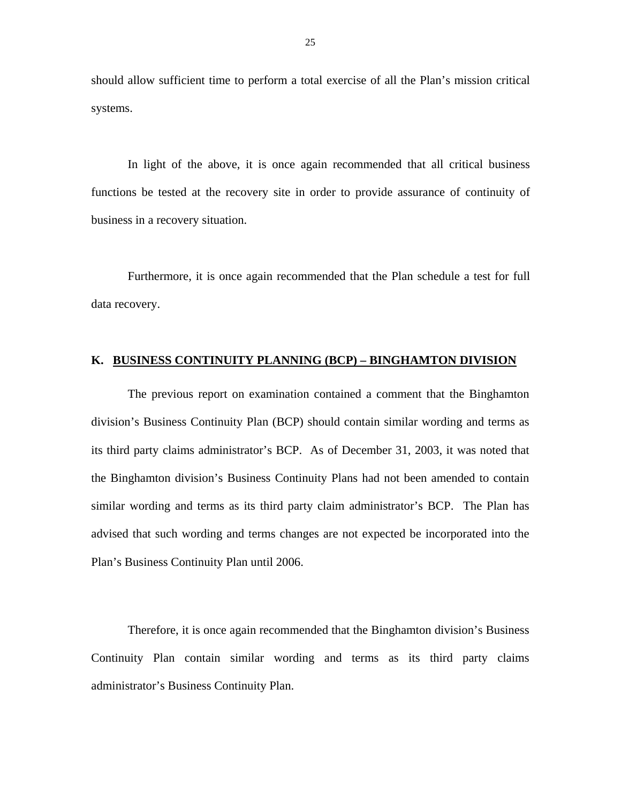<span id="page-28-0"></span>should allow sufficient time to perform a total exercise of all the Plan's mission critical systems.

In light of the above, it is once again recommended that all critical business functions be tested at the recovery site in order to provide assurance of continuity of business in a recovery situation.

Furthermore, it is once again recommended that the Plan schedule a test for full data recovery.

#### **K. BUSINESS CONTINUITY PLANNING (BCP) – BINGHAMTON DIVISION**

The previous report on examination contained a comment that the Binghamton division's Business Continuity Plan (BCP) should contain similar wording and terms as its third party claims administrator's BCP. As of December 31, 2003, it was noted that the Binghamton division's Business Continuity Plans had not been amended to contain similar wording and terms as its third party claim administrator's BCP. The Plan has advised that such wording and terms changes are not expected be incorporated into the Plan's Business Continuity Plan until 2006.

Therefore, it is once again recommended that the Binghamton division's Business Continuity Plan contain similar wording and terms as its third party claims administrator's Business Continuity Plan.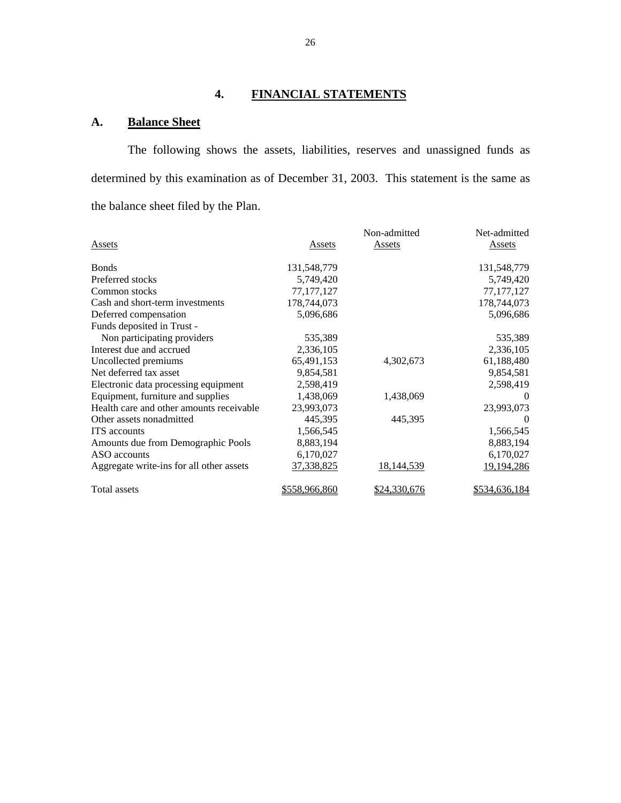# **4. FINANCIAL STATEMENTS**

## **A. Balance Sheet**

The following shows the assets, liabilities, reserves and unassigned funds as determined by this examination as of December 31, 2003. This statement is the same as the balance sheet filed by the Plan.

|                                          |               | Non-admitted  | Net-admitted  |
|------------------------------------------|---------------|---------------|---------------|
| Assets                                   | Assets        | <b>Assets</b> | Assets        |
| <b>B</b> onds                            | 131,548,779   |               | 131,548,779   |
| Preferred stocks                         | 5,749,420     |               | 5,749,420     |
| Common stocks                            | 77, 177, 127  |               | 77, 177, 127  |
| Cash and short-term investments          | 178,744,073   |               | 178,744,073   |
| Deferred compensation                    | 5,096,686     |               | 5,096,686     |
| Funds deposited in Trust -               |               |               |               |
| Non participating providers              | 535,389       |               | 535,389       |
| Interest due and accrued                 | 2,336,105     |               | 2,336,105     |
| Uncollected premiums                     | 65,491,153    | 4,302,673     | 61,188,480    |
| Net deferred tax asset                   | 9,854,581     |               | 9,854,581     |
| Electronic data processing equipment     | 2,598,419     |               | 2,598,419     |
| Equipment, furniture and supplies        | 1,438,069     | 1,438,069     | $\theta$      |
| Health care and other amounts receivable | 23,993,073    |               | 23,993,073    |
| Other assets nonadmitted                 | 445,395       | 445,395       | $\Omega$      |
| <b>ITS</b> accounts                      | 1,566,545     |               | 1,566,545     |
| Amounts due from Demographic Pools       | 8,883,194     |               | 8,883,194     |
| ASO accounts                             | 6,170,027     |               | 6,170,027     |
| Aggregate write-ins for all other assets | 37,338,825    | 18,144,539    | 19,194,286    |
| Total assets                             | \$558,966,860 | \$24,330,676  | \$534,636,184 |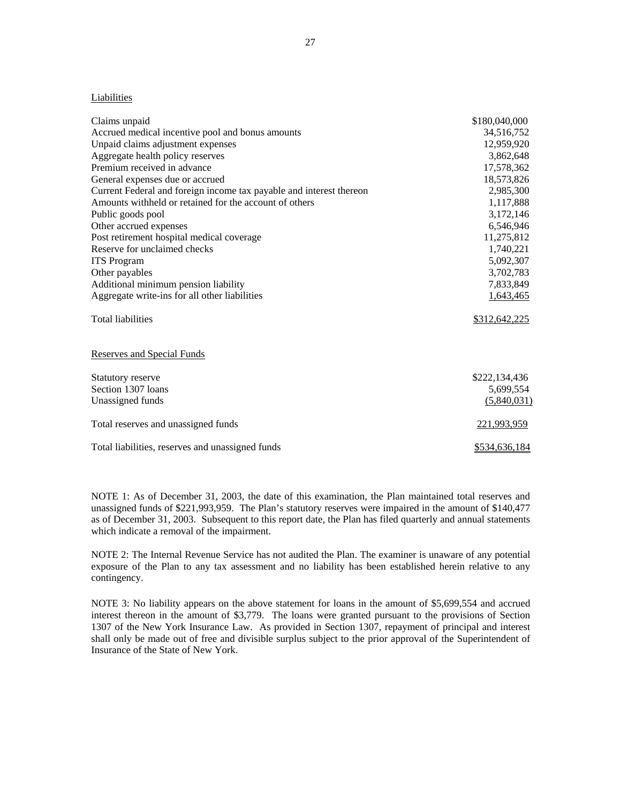#### Liabilities

| Liabilities                                                         |               |
|---------------------------------------------------------------------|---------------|
| Claims unpaid                                                       | \$180,040,000 |
| Accrued medical incentive pool and bonus amounts                    | 34,516,752    |
| Unpaid claims adjustment expenses                                   | 12,959,920    |
| Aggregate health policy reserves                                    | 3,862,648     |
| Premium received in advance                                         | 17,578,362    |
| General expenses due or accrued                                     | 18,573,826    |
| Current Federal and foreign income tax payable and interest thereon | 2,985,300     |
| Amounts withheld or retained for the account of others              | 1,117,888     |
| Public goods pool                                                   | 3,172,146     |
| Other accrued expenses                                              | 6,546,946     |
| Post retirement hospital medical coverage                           | 11,275,812    |
| Reserve for unclaimed checks                                        | 1,740,221     |
| <b>ITS</b> Program                                                  | 5,092,307     |
| Other payables                                                      | 3,702,783     |
| Additional minimum pension liability                                | 7,833,849     |
| Aggregate write-ins for all other liabilities                       | 1,643,465     |
| <b>Total liabilities</b>                                            | \$312,642,225 |
| <b>Reserves and Special Funds</b>                                   |               |
| Statutory reserve                                                   | \$222,134,436 |
| Section 1307 loans                                                  | 5,699,554     |
| Unassigned funds                                                    | (5,840,031)   |
| Total reserves and unassigned funds                                 | 221,993,959   |
| Total liabilities, reserves and unassigned funds                    | \$534,636,184 |

NOTE 1: As of December 31, 2003, the date of this examination, the Plan maintained total reserves and unassigned funds of \$221,993,959. The Plan's statutory reserves were impaired in the amount of \$140,477 as of December 31, 2003. Subsequent to this report date, the Plan has filed quarterly and annual statements which indicate a removal of the impairment.

 NOTE 2: The Internal Revenue Service has not audited the Plan. The examiner is unaware of any potential exposure of the Plan to any tax assessment and no liability has been established herein relative to any contingency.

NOTE 3: No liability appears on the above statement for loans in the amount of \$5,699,554 and accrued interest thereon in the amount of \$3,779. The loans were granted pursuant to the provisions of Section 1307 of the New York Insurance Law. As provided in Section 1307, repayment of principal and interest shall only be made out of free and divisible surplus subject to the prior approval of the Superintendent of Insurance of the State of New York.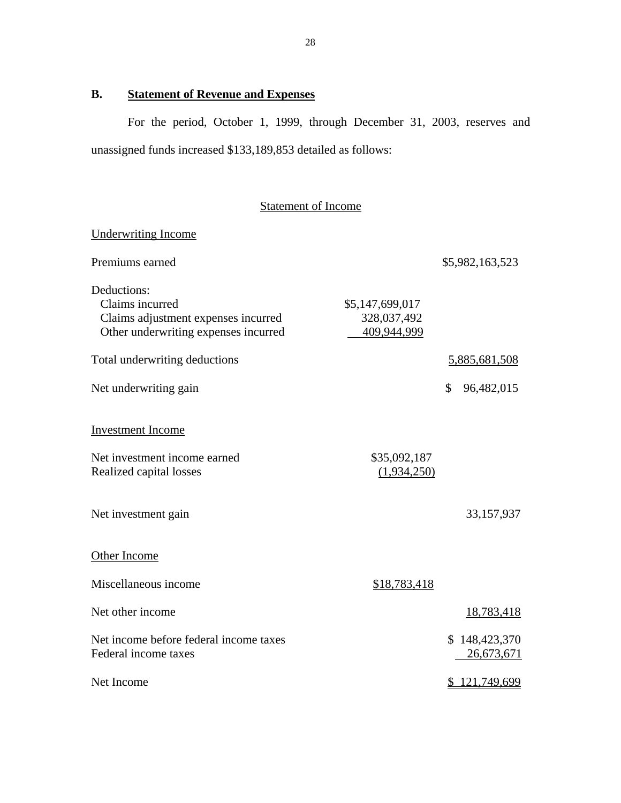# **B. Statement of Revenue and Expenses**

Underwriting Income

For the period, October 1, 1999, through December 31, 2003, reserves and unassigned funds increased \$133,189,853 detailed as follows:

# Statement of Income

| Premiums earned                                                                                               |                                               | \$5,982,163,523             |
|---------------------------------------------------------------------------------------------------------------|-----------------------------------------------|-----------------------------|
| Deductions:<br>Claims incurred<br>Claims adjustment expenses incurred<br>Other underwriting expenses incurred | \$5,147,699,017<br>328,037,492<br>409,944,999 |                             |
| Total underwriting deductions                                                                                 |                                               | 5,885,681,508               |
| Net underwriting gain                                                                                         |                                               | \$<br>96,482,015            |
| <b>Investment Income</b>                                                                                      |                                               |                             |
| Net investment income earned<br>Realized capital losses                                                       | \$35,092,187<br>(1,934,250)                   |                             |
| Net investment gain                                                                                           |                                               | 33,157,937                  |
| Other Income                                                                                                  |                                               |                             |
| Miscellaneous income                                                                                          | \$18,783,418                                  |                             |
| Net other income                                                                                              |                                               | 18,783,418                  |
| Net income before federal income taxes<br>Federal income taxes                                                |                                               | \$148,423,370<br>26,673,671 |
| Net Income                                                                                                    |                                               | \$121,749,699               |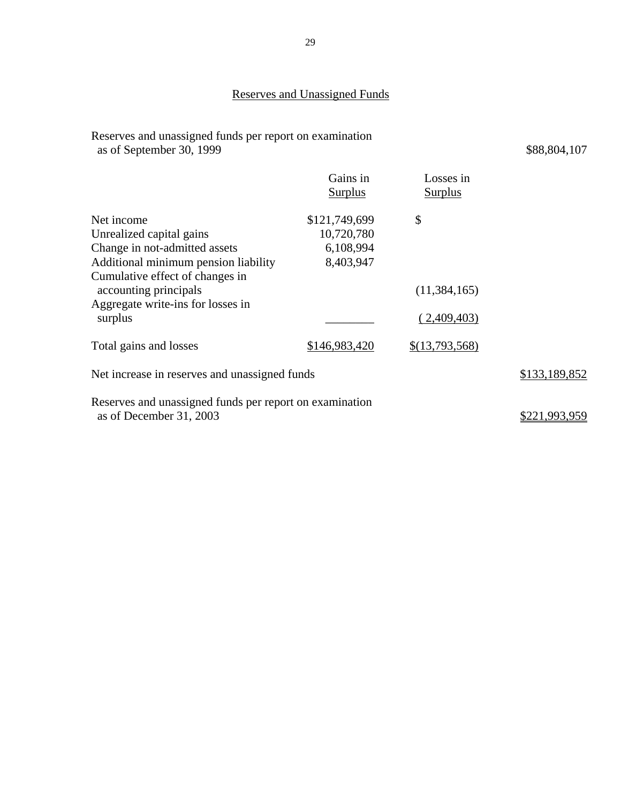Reserves and unassigned funds per report on examination as of September 30, 1999 \$88,804,107

|                                                                                    | Gains in<br><b>Surplus</b> | Losses in<br><b>Surplus</b> |               |
|------------------------------------------------------------------------------------|----------------------------|-----------------------------|---------------|
| Net income                                                                         | \$121,749,699              | \$                          |               |
| Unrealized capital gains                                                           | 10,720,780                 |                             |               |
| Change in not-admitted assets                                                      | 6,108,994                  |                             |               |
| Additional minimum pension liability                                               | 8,403,947                  |                             |               |
| Cumulative effect of changes in                                                    |                            |                             |               |
| accounting principals                                                              |                            | (11, 384, 165)              |               |
| Aggregate write-ins for losses in<br>surplus                                       |                            | (2,409,403)                 |               |
| Total gains and losses                                                             | \$146,983,420              | \$(13,793,568)              |               |
| Net increase in reserves and unassigned funds                                      |                            |                             | \$133,189,852 |
| Reserves and unassigned funds per report on examination<br>as of December 31, 2003 | \$221.993.959              |                             |               |
|                                                                                    |                            |                             |               |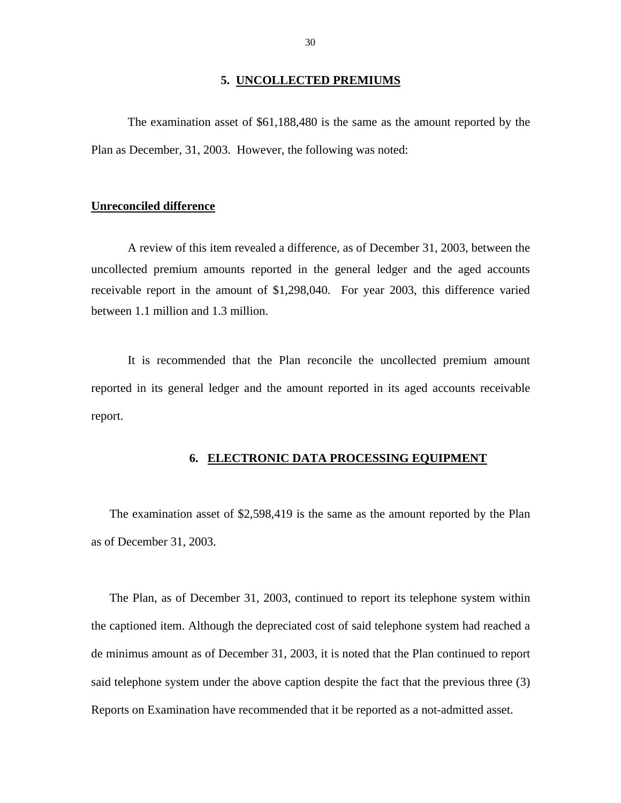#### **5. UNCOLLECTED PREMIUMS**

<span id="page-33-0"></span>The examination asset of \$61,188,480 is the same as the amount reported by the Plan as December, 31, 2003. However, the following was noted:

#### **Unreconciled difference**

A review of this item revealed a difference, as of December 31, 2003, between the uncollected premium amounts reported in the general ledger and the aged accounts receivable report in the amount of \$1,298,040. For year 2003, this difference varied between 1.1 million and 1.3 million.

It is recommended that the Plan reconcile the uncollected premium amount reported in its general ledger and the amount reported in its aged accounts receivable report.

## **6. ELECTRONIC DATA PROCESSING EQUIPMENT**

The examination asset of \$2,598,419 is the same as the amount reported by the Plan as of December 31, 2003.

The Plan, as of December 31, 2003, continued to report its telephone system within the captioned item. Although the depreciated cost of said telephone system had reached a de minimus amount as of December 31, 2003, it is noted that the Plan continued to report said telephone system under the above caption despite the fact that the previous three (3) Reports on Examination have recommended that it be reported as a not-admitted asset.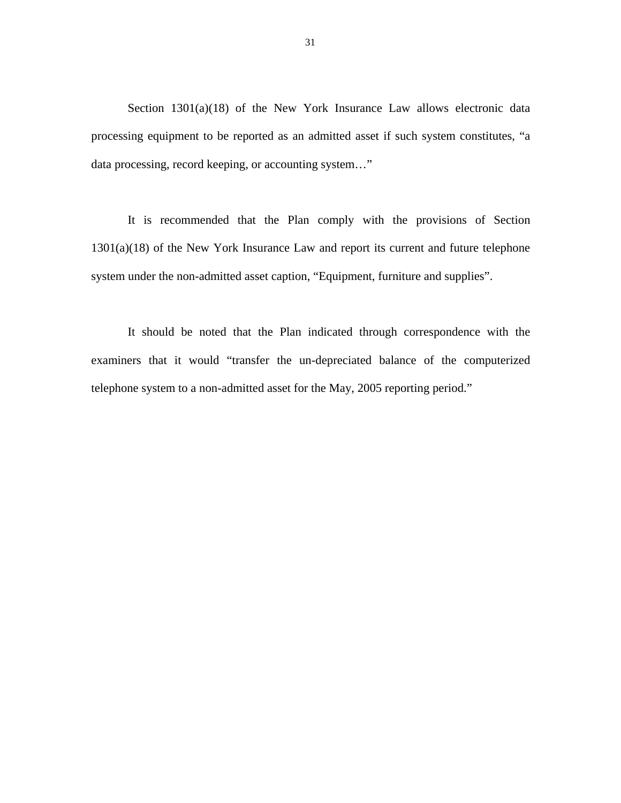Section 1301(a)(18) of the New York Insurance Law allows electronic data processing equipment to be reported as an admitted asset if such system constitutes, "a data processing, record keeping, or accounting system…"

It is recommended that the Plan comply with the provisions of Section 1301(a)(18) of the New York Insurance Law and report its current and future telephone system under the non-admitted asset caption, "Equipment, furniture and supplies".

It should be noted that the Plan indicated through correspondence with the examiners that it would "transfer the un-depreciated balance of the computerized telephone system to a non-admitted asset for the May, 2005 reporting period."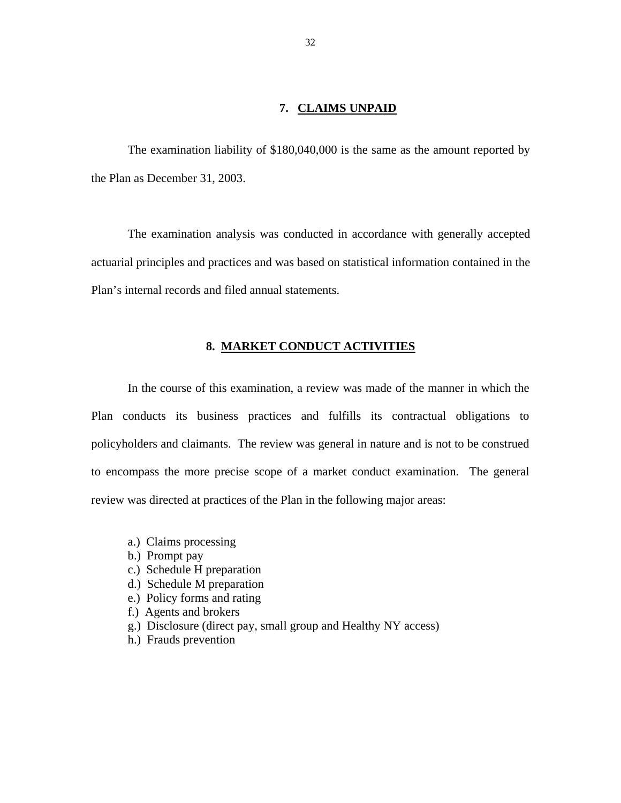### **7. CLAIMS UNPAID**

<span id="page-35-0"></span>The examination liability of \$180,040,000 is the same as the amount reported by the Plan as December 31, 2003.

The examination analysis was conducted in accordance with generally accepted actuarial principles and practices and was based on statistical information contained in the Plan's internal records and filed annual statements.

## **8. MARKET CONDUCT ACTIVITIES**

In the course of this examination, a review was made of the manner in which the Plan conducts its business practices and fulfills its contractual obligations to policyholders and claimants. The review was general in nature and is not to be construed to encompass the more precise scope of a market conduct examination. The general review was directed at practices of the Plan in the following major areas:

- a.) Claims processing
- b.) Prompt pay
- c.) Schedule H preparation
- d.) Schedule M preparation
- e.) Policy forms and rating
- f.) Agents and brokers
- g.) Disclosure (direct pay, small group and Healthy NY access)
- h.) Frauds prevention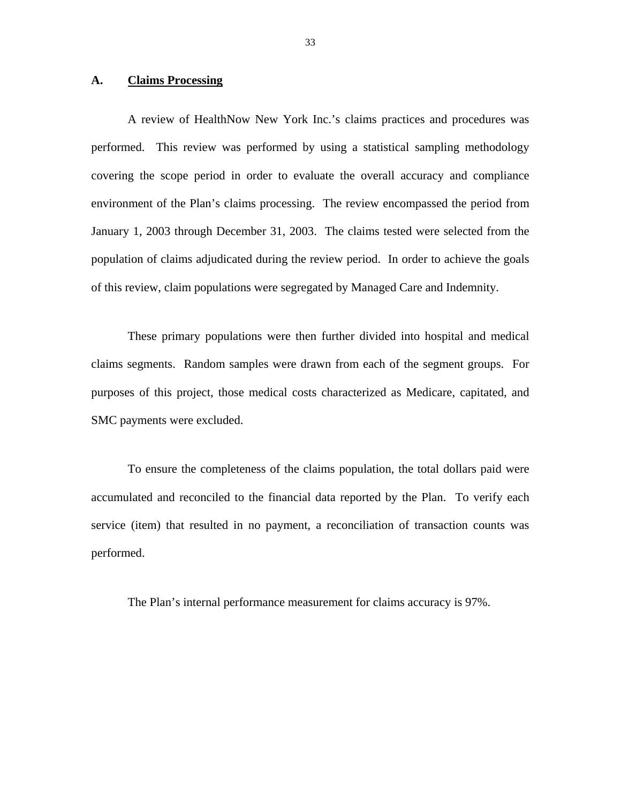#### **A. Claims Processing**

A review of HealthNow New York Inc.'s claims practices and procedures was performed. This review was performed by using a statistical sampling methodology covering the scope period in order to evaluate the overall accuracy and compliance environment of the Plan's claims processing. The review encompassed the period from January 1, 2003 through December 31, 2003. The claims tested were selected from the population of claims adjudicated during the review period. In order to achieve the goals of this review, claim populations were segregated by Managed Care and Indemnity.

claims segments. Random samples were drawn from each of the segment groups. For These primary populations were then further divided into hospital and medical purposes of this project, those medical costs characterized as Medicare, capitated, and SMC payments were excluded.

To ensure the completeness of the claims population, the total dollars paid were accumulated and reconciled to the financial data reported by the Plan. To verify each service (item) that resulted in no payment, a reconciliation of transaction counts was performed.

The Plan's internal performance measurement for claims accuracy is 97%.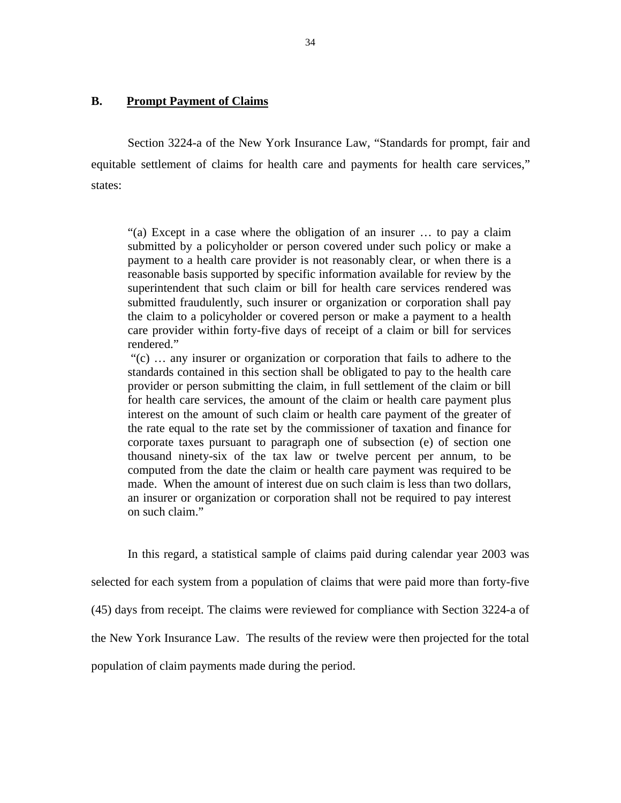#### **B. Prompt Payment of Claims**

Section 3224-a of the New York Insurance Law, "Standards for prompt, fair and equitable settlement of claims for health care and payments for health care services," states:

"(a) Except in a case where the obligation of an insurer … to pay a claim submitted by a policyholder or person covered under such policy or make a payment to a health care provider is not reasonably clear, or when there is a reasonable basis supported by specific information available for review by the superintendent that such claim or bill for health care services rendered was submitted fraudulently, such insurer or organization or corporation shall pay the claim to a policyholder or covered person or make a payment to a health care provider within forty-five days of receipt of a claim or bill for services rendered."

"(c) … any insurer or organization or corporation that fails to adhere to the standards contained in this section shall be obligated to pay to the health care provider or person submitting the claim, in full settlement of the claim or bill for health care services, the amount of the claim or health care payment plus interest on the amount of such claim or health care payment of the greater of the rate equal to the rate set by the commissioner of taxation and finance for corporate taxes pursuant to paragraph one of subsection (e) of section one thousand ninety-six of the tax law or twelve percent per annum, to be computed from the date the claim or health care payment was required to be made. When the amount of interest due on such claim is less than two dollars, an insurer or organization or corporation shall not be required to pay interest on such claim."

In this regard, a statistical sample of claims paid during calendar year 2003 was selected for each system from a population of claims that were paid more than forty-five (45) days from receipt. The claims were reviewed for compliance with Section 3224-a of the New York Insurance Law. The results of the review were then projected for the total population of claim payments made during the period.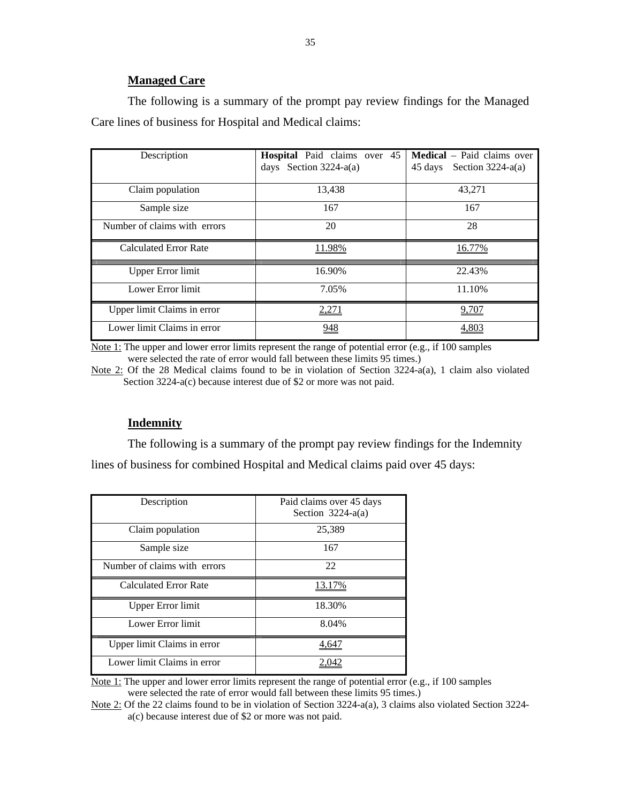#### **Managed Care**

The following is a summary of the prompt pay review findings for the Managed Care lines of business for Hospital and Medical claims:

| Description                  | <b>Hospital</b> Paid claims over 45<br>days Section $3224-a(a)$ | <b>Medical</b> – Paid claims over<br>Section $3224-a(a)$<br>45 days |
|------------------------------|-----------------------------------------------------------------|---------------------------------------------------------------------|
| Claim population             | 13,438                                                          | 43,271                                                              |
| Sample size                  | 167                                                             | 167                                                                 |
| Number of claims with errors | 20                                                              | 28                                                                  |
| <b>Calculated Error Rate</b> | 11.98%                                                          |                                                                     |
| <b>Upper Error limit</b>     | 16.90%                                                          | 22.43%                                                              |
| Lower Error limit            | 7.05%                                                           | 11.10%                                                              |
| Upper limit Claims in error  | 2,271                                                           | 9,707                                                               |
| Lower limit Claims in error  | 948                                                             | 4,803                                                               |

Note 1: The upper and lower error limits represent the range of potential error (e.g., if 100 samples were selected the rate of error would fall between these limits 95 times.)

 Section 3224-a(c) because interest due of \$2 or more was not paid. Note 2: Of the 28 Medical claims found to be in violation of Section 3224-a(a), 1 claim also violated

### **Indemnity**

The following is a summary of the prompt pay review findings for the Indemnity lines of business for combined Hospital and Medical claims paid over 45 days:

| Description                  | Paid claims over 45 days<br>Section $3224-a(a)$ |
|------------------------------|-------------------------------------------------|
| Claim population             | 25,389                                          |
| Sample size                  | 167                                             |
| Number of claims with errors | 22                                              |
| <b>Calculated Error Rate</b> |                                                 |
| Upper Error limit            | 18.30%                                          |
| Lower Error limit            | 8.04%                                           |
| Upper limit Claims in error  | 4.647                                           |
| Lower limit Claims in error  |                                                 |

Note 1: The upper and lower error limits represent the range of potential error (e.g., if 100 samples were selected the rate of error would fall between these limits 95 times.)

Note 2: Of the 22 claims found to be in violation of Section 3224-a(a), 3 claims also violated Section 3224-a(c) because interest due of \$2 or more was not paid.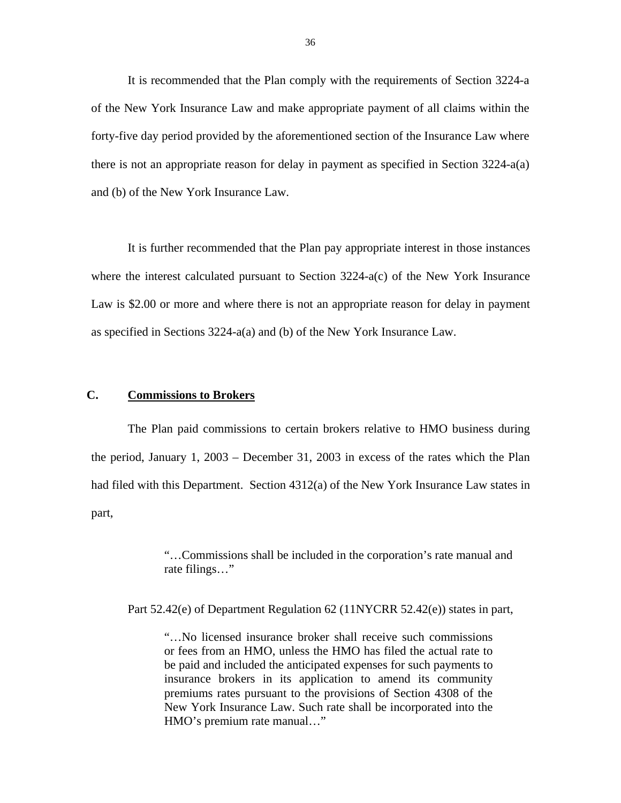It is recommended that the Plan comply with the requirements of Section 3224-a of the New York Insurance Law and make appropriate payment of all claims within the forty-five day period provided by the aforementioned section of the Insurance Law where there is not an appropriate reason for delay in payment as specified in Section 3224-a(a) and (b) of the New York Insurance Law.

It is further recommended that the Plan pay appropriate interest in those instances where the interest calculated pursuant to Section 3224-a(c) of the New York Insurance Law is \$2.00 or more and where there is not an appropriate reason for delay in payment as specified in Sections 3224-a(a) and (b) of the New York Insurance Law.

#### **C. Commissions to Brokers**

The Plan paid commissions to certain brokers relative to HMO business during the period, January 1, 2003 – December 31, 2003 in excess of the rates which the Plan had filed with this Department. Section 4312(a) of the New York Insurance Law states in part,

> "…Commissions shall be included in the corporation's rate manual and rate filings…"

Part 52.42(e) of Department Regulation 62 (11NYCRR 52.42(e)) states in part,

"…No licensed insurance broker shall receive such commissions or fees from an HMO, unless the HMO has filed the actual rate to be paid and included the anticipated expenses for such payments to insurance brokers in its application to amend its community premiums rates pursuant to the provisions of Section 4308 of the New York Insurance Law. Such rate shall be incorporated into the HMO's premium rate manual…"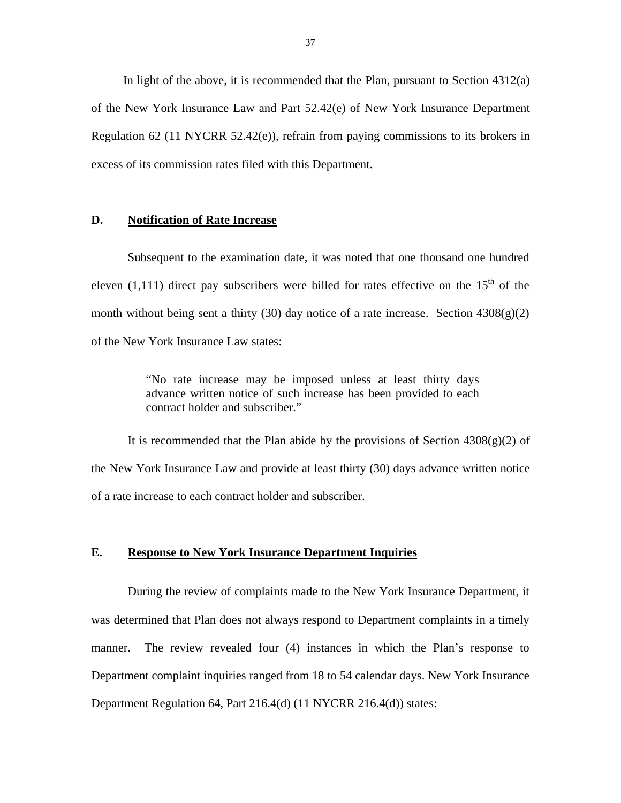In light of the above, it is recommended that the Plan, pursuant to Section  $4312(a)$ of the New York Insurance Law and Part 52.42(e) of New York Insurance Department Regulation 62 (11 NYCRR 52.42(e)), refrain from paying commissions to its brokers in excess of its commission rates filed with this Department.

#### **D. Notification of Rate Increase**

Subsequent to the examination date, it was noted that one thousand one hundred eleven (1,111) direct pay subscribers were billed for rates effective on the  $15<sup>th</sup>$  of the month without being sent a thirty (30) day notice of a rate increase. Section  $4308(g)(2)$ of the New York Insurance Law states:

> "No rate increase may be imposed unless at least thirty days advance written notice of such increase has been provided to each contract holder and subscriber."

It is recommended that the Plan abide by the provisions of Section  $4308(g)(2)$  of the New York Insurance Law and provide at least thirty (30) days advance written notice of a rate increase to each contract holder and subscriber.

#### **E. Response to New York Insurance Department Inquiries**

During the review of complaints made to the New York Insurance Department, it was determined that Plan does not always respond to Department complaints in a timely manner. The review revealed four (4) instances in which the Plan's response to Department complaint inquiries ranged from 18 to 54 calendar days. New York Insurance Department Regulation 64, Part 216.4(d) (11 NYCRR 216.4(d)) states: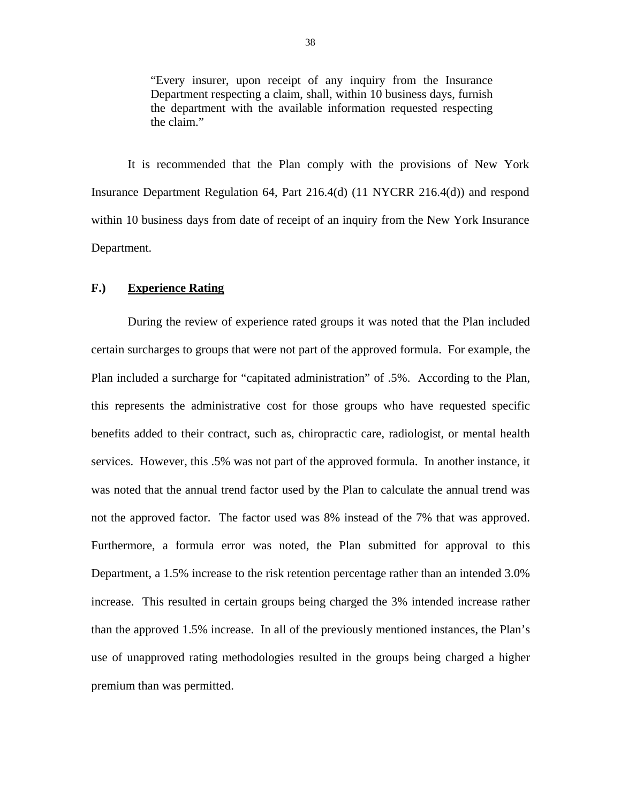"Every insurer, upon receipt of any inquiry from the Insurance Department respecting a claim, shall, within 10 business days, furnish the department with the available information requested respecting the claim."

It is recommended that the Plan comply with the provisions of New York Insurance Department Regulation 64, Part 216.4(d) (11 NYCRR 216.4(d)) and respond within 10 business days from date of receipt of an inquiry from the New York Insurance Department.

#### **F.) Experience Rating**

During the review of experience rated groups it was noted that the Plan included certain surcharges to groups that were not part of the approved formula. For example, the Plan included a surcharge for "capitated administration" of .5%. According to the Plan, this represents the administrative cost for those groups who have requested specific benefits added to their contract, such as, chiropractic care, radiologist, or mental health services. However, this .5% was not part of the approved formula. In another instance, it was noted that the annual trend factor used by the Plan to calculate the annual trend was not the approved factor. The factor used was 8% instead of the 7% that was approved. Furthermore, a formula error was noted, the Plan submitted for approval to this Department, a 1.5% increase to the risk retention percentage rather than an intended 3.0% increase. This resulted in certain groups being charged the 3% intended increase rather than the approved 1.5% increase. In all of the previously mentioned instances, the Plan's use of unapproved rating methodologies resulted in the groups being charged a higher premium than was permitted.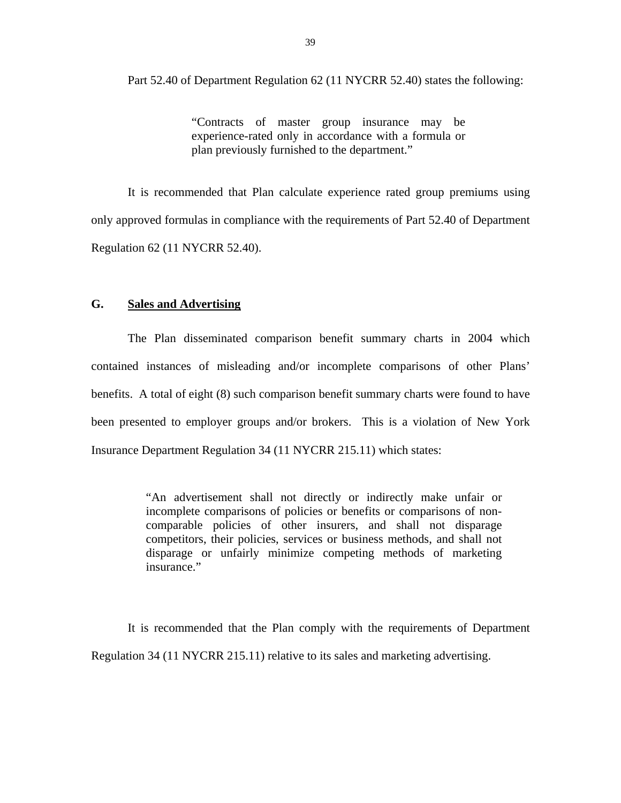Part 52.40 of Department Regulation 62 (11 NYCRR 52.40) states the following:

"Contracts of master group insurance may be experience-rated only in accordance with a formula or plan previously furnished to the department."

It is recommended that Plan calculate experience rated group premiums using only approved formulas in compliance with the requirements of Part 52.40 of Department Regulation 62 (11 NYCRR 52.40).

#### **G. Sales and Advertising**

The Plan disseminated comparison benefit summary charts in 2004 which contained instances of misleading and/or incomplete comparisons of other Plans' benefits. A total of eight (8) such comparison benefit summary charts were found to have been presented to employer groups and/or brokers. This is a violation of New York Insurance Department Regulation 34 (11 NYCRR 215.11) which states:

> "An advertisement shall not directly or indirectly make unfair or incomplete comparisons of policies or benefits or comparisons of noncomparable policies of other insurers, and shall not disparage competitors, their policies, services or business methods, and shall not disparage or unfairly minimize competing methods of marketing insurance."

It is recommended that the Plan comply with the requirements of Department Regulation 34 (11 NYCRR 215.11) relative to its sales and marketing advertising.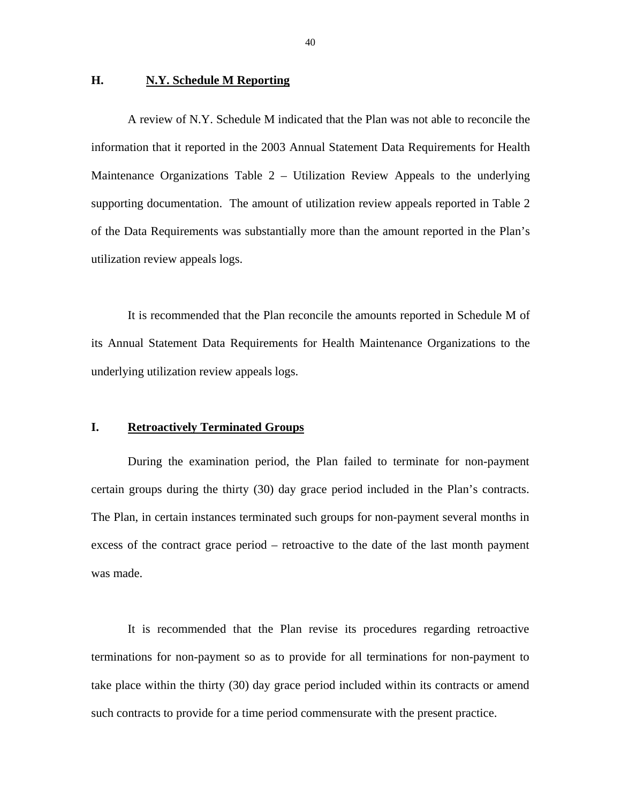#### **H.** N.Y. Schedule M Reporting

A review of N.Y. Schedule M indicated that the Plan was not able to reconcile the information that it reported in the 2003 Annual Statement Data Requirements for Health Maintenance Organizations Table 2 – Utilization Review Appeals to the underlying supporting documentation. The amount of utilization review appeals reported in Table 2 of the Data Requirements was substantially more than the amount reported in the Plan's utilization review appeals logs.

It is recommended that the Plan reconcile the amounts reported in Schedule M of its Annual Statement Data Requirements for Health Maintenance Organizations to the underlying utilization review appeals logs.

#### **I. Retroactively Terminated Groups**

During the examination period, the Plan failed to terminate for non-payment certain groups during the thirty (30) day grace period included in the Plan's contracts. The Plan, in certain instances terminated such groups for non-payment several months in excess of the contract grace period – retroactive to the date of the last month payment was made.

It is recommended that the Plan revise its procedures regarding retroactive terminations for non-payment so as to provide for all terminations for non-payment to take place within the thirty (30) day grace period included within its contracts or amend such contracts to provide for a time period commensurate with the present practice.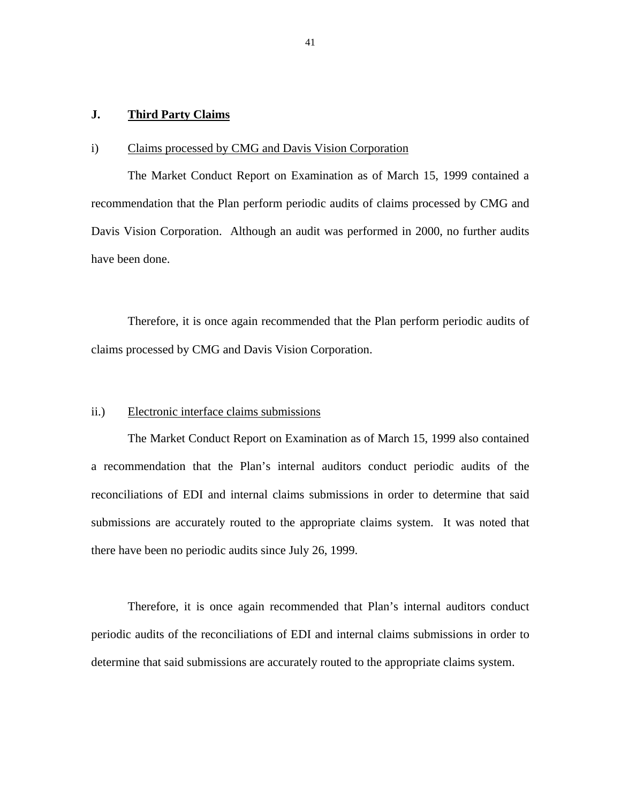#### **J. Third Party Claims**

#### i) Claims processed by CMG and Davis Vision Corporation

The Market Conduct Report on Examination as of March 15, 1999 contained a recommendation that the Plan perform periodic audits of claims processed by CMG and Davis Vision Corporation. Although an audit was performed in 2000, no further audits have been done.

Therefore, it is once again recommended that the Plan perform periodic audits of claims processed by CMG and Davis Vision Corporation.

#### ii.) Electronic interface claims submissions

The Market Conduct Report on Examination as of March 15, 1999 also contained a recommendation that the Plan's internal auditors conduct periodic audits of the reconciliations of EDI and internal claims submissions in order to determine that said submissions are accurately routed to the appropriate claims system. It was noted that there have been no periodic audits since July 26, 1999.

Therefore, it is once again recommended that Plan's internal auditors conduct periodic audits of the reconciliations of EDI and internal claims submissions in order to determine that said submissions are accurately routed to the appropriate claims system.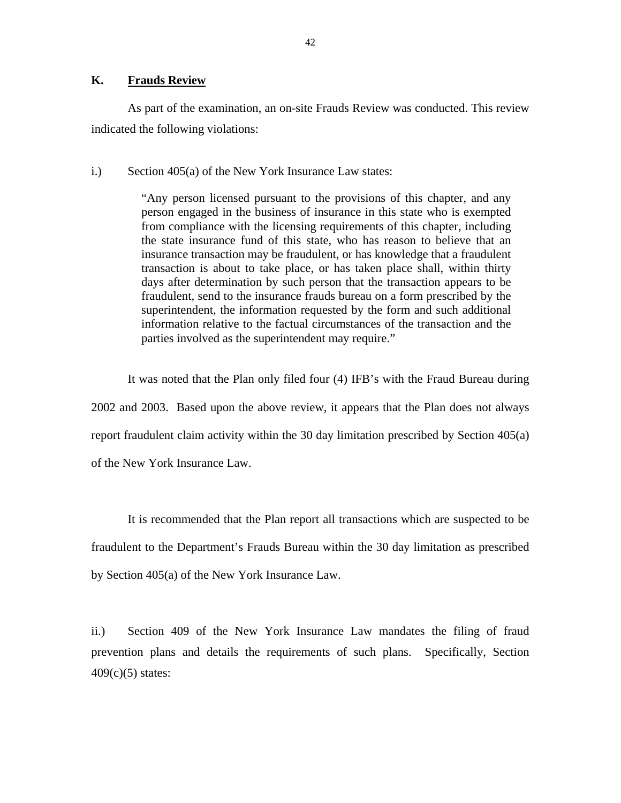#### **K. Frauds Review**

As part of the examination, an on-site Frauds Review was conducted. This review indicated the following violations:

i.) Section 405(a) of the New York Insurance Law states:

"Any person licensed pursuant to the provisions of this chapter, and any person engaged in the business of insurance in this state who is exempted from compliance with the licensing requirements of this chapter, including the state insurance fund of this state, who has reason to believe that an insurance transaction may be fraudulent, or has knowledge that a fraudulent transaction is about to take place, or has taken place shall, within thirty days after determination by such person that the transaction appears to be fraudulent, send to the insurance frauds bureau on a form prescribed by the superintendent, the information requested by the form and such additional information relative to the factual circumstances of the transaction and the parties involved as the superintendent may require."

It was noted that the Plan only filed four (4) IFB's with the Fraud Bureau during 2002 and 2003. Based upon the above review, it appears that the Plan does not always report fraudulent claim activity within the 30 day limitation prescribed by Section 405(a) of the New York Insurance Law.

It is recommended that the Plan report all transactions which are suspected to be fraudulent to the Department's Frauds Bureau within the 30 day limitation as prescribed by Section 405(a) of the New York Insurance Law.

ii.) Section 409 of the New York Insurance Law mandates the filing of fraud prevention plans and details the requirements of such plans. Specifically, Section  $409(c)(5)$  states: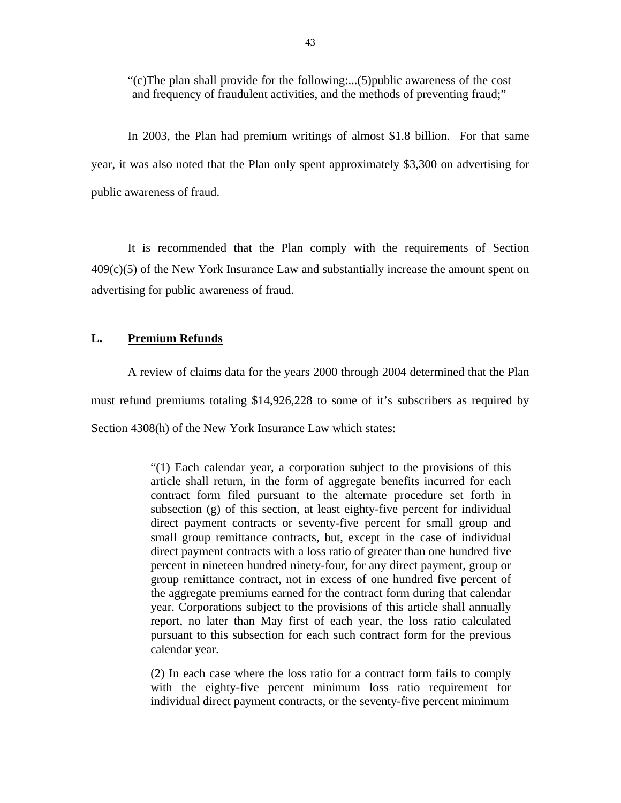"(c)The plan shall provide for the following:...(5)public awareness of the cost and frequency of fraudulent activities, and the methods of preventing fraud;"

In 2003, the Plan had premium writings of almost \$1.8 billion. For that same year, it was also noted that the Plan only spent approximately \$3,300 on advertising for public awareness of fraud.

It is recommended that the Plan comply with the requirements of Section  $409(c)(5)$  of the New York Insurance Law and substantially increase the amount spent on advertising for public awareness of fraud.

#### **L. Premium Refunds**

A review of claims data for the years 2000 through 2004 determined that the Plan must refund premiums totaling \$14,926,228 to some of it's subscribers as required by Section 4308(h) of the New York Insurance Law which states:

> "(1) Each calendar year, a corporation subject to the provisions of this article shall return, in the form of aggregate benefits incurred for each contract form filed pursuant to the alternate procedure set forth in subsection (g) of this section, at least eighty-five percent for individual direct payment contracts or seventy-five percent for small group and small group remittance contracts, but, except in the case of individual direct payment contracts with a loss ratio of greater than one hundred five percent in nineteen hundred ninety-four, for any direct payment, group or group remittance contract, not in excess of one hundred five percent of the aggregate premiums earned for the contract form during that calendar year. Corporations subject to the provisions of this article shall annually report, no later than May first of each year, the loss ratio calculated pursuant to this subsection for each such contract form for the previous calendar year.

> (2) In each case where the loss ratio for a contract form fails to comply with the eighty-five percent minimum loss ratio requirement for individual direct payment contracts, or the seventy-five percent minimum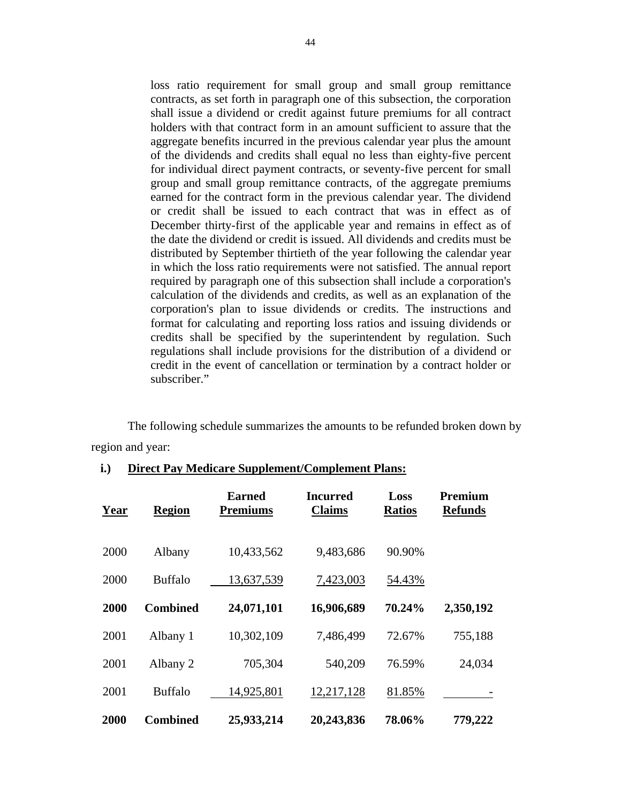loss ratio requirement for small group and small group remittance contracts, as set forth in paragraph one of this subsection, the corporation shall issue a dividend or credit against future premiums for all contract holders with that contract form in an amount sufficient to assure that the aggregate benefits incurred in the previous calendar year plus the amount of the dividends and credits shall equal no less than eighty-five percent for individual direct payment contracts, or seventy-five percent for small group and small group remittance contracts, of the aggregate premiums earned for the contract form in the previous calendar year. The dividend or credit shall be issued to each contract that was in effect as of December thirty-first of the applicable year and remains in effect as of the date the dividend or credit is issued. All dividends and credits must be distributed by September thirtieth of the year following the calendar year in which the loss ratio requirements were not satisfied. The annual report required by paragraph one of this subsection shall include a corporation's calculation of the dividends and credits, as well as an explanation of the corporation's plan to issue dividends or credits. The instructions and format for calculating and reporting loss ratios and issuing dividends or credits shall be specified by the superintendent by regulation. Such regulations shall include provisions for the distribution of a dividend or credit in the event of cancellation or termination by a contract holder or subscriber."

 The following schedule summarizes the amounts to be refunded broken down by region and year:

| Year | <b>Region</b>   | <b>Earned</b><br><b>Premiums</b> | Incurred<br><b>Claims</b> | Loss<br><b>Ratios</b> | Premium<br><b>Refunds</b> |
|------|-----------------|----------------------------------|---------------------------|-----------------------|---------------------------|
| 2000 | Albany          | 10,433,562                       | 9,483,686                 | 90.90%                |                           |
| 2000 | <b>Buffalo</b>  | 13,637,539                       | 7,423,003                 | 54.43%                |                           |
| 2000 | <b>Combined</b> | 24,071,101                       | 16,906,689                | 70.24%                | 2,350,192                 |
| 2001 | Albany 1        | 10,302,109                       | 7,486,499                 | 72.67%                | 755,188                   |
| 2001 | Albany 2        | 705,304                          | 540,209                   | 76.59%                | 24,034                    |
| 2001 | <b>Buffalo</b>  | 14,925,801                       | 12,217,128                | 81.85%                |                           |
| 2000 | <b>Combined</b> | 25,933,214                       | 20,243,836                | 78.06%                | 779,222                   |

### **i.) Direct Pay Medicare Supplement/Complement Plans:**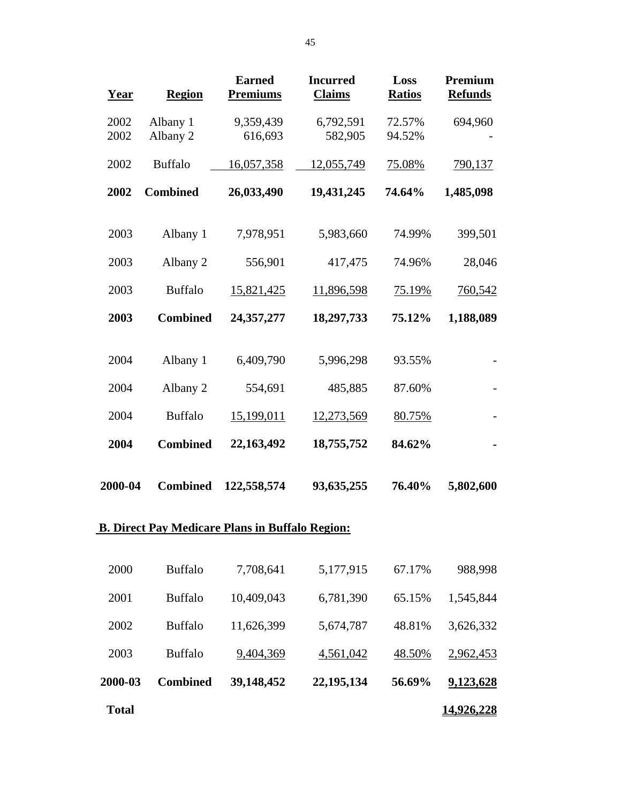| Year         | <b>Region</b>        | <b>Earned</b><br><b>Premiums</b> | <b>Incurred</b><br><b>Claims</b> | Loss<br><b>Ratios</b> | Premium<br><b>Refunds</b> |
|--------------|----------------------|----------------------------------|----------------------------------|-----------------------|---------------------------|
| 2002<br>2002 | Albany 1<br>Albany 2 | 9,359,439<br>616,693             | 6,792,591<br>582,905             | 72.57%<br>94.52%      | 694,960                   |
| 2002         | <b>Buffalo</b>       | 16,057,358                       | 12,055,749                       | 75.08%                | 790,137                   |
| 2002         | <b>Combined</b>      | 26,033,490                       | 19,431,245                       | 74.64%                | 1,485,098                 |
| 2003         | Albany 1             | 7,978,951                        | 5,983,660                        | 74.99%                | 399,501                   |
| 2003         | Albany 2             | 556,901                          | 417,475                          | 74.96%                | 28,046                    |
| 2003         | <b>Buffalo</b>       | 15,821,425                       | 11,896,598                       | 75.19%                | 760,542                   |
| 2003         | <b>Combined</b>      | 24, 357, 277                     | 18,297,733                       | 75.12%                | 1,188,089                 |
| 2004         | Albany 1             | 6,409,790                        | 5,996,298                        | 93.55%                |                           |
| 2004         | Albany 2             | 554,691                          | 485,885                          | 87.60%                |                           |
| 2004         | <b>Buffalo</b>       | 15,199,011                       | 12,273,569                       | 80.75%                |                           |
| 2004         | <b>Combined</b>      | 22,163,492                       | 18,755,752                       | 84.62%                |                           |
| 2000-04      | <b>Combined</b>      | 122,558,574                      | 93,635,255                       | 76.40%                | 5,802,600                 |

#### **B. Direct Pay Medicare Plans in Buffalo Region:**

| <b>Total</b> |                 |            |            |        | <u>14,926,228</u> |
|--------------|-----------------|------------|------------|--------|-------------------|
| 2000-03      | <b>Combined</b> | 39,148,452 | 22,195,134 | 56.69% | 9,123,628         |
| 2003         | <b>Buffalo</b>  | 9,404,369  | 4,561,042  | 48.50% | 2,962,453         |
| 2002         | <b>Buffalo</b>  | 11,626,399 | 5,674,787  | 48.81% | 3,626,332         |
| 2001         | <b>Buffalo</b>  | 10,409,043 | 6,781,390  | 65.15% | 1,545,844         |
| 2000         | <b>Buffalo</b>  | 7,708,641  | 5,177,915  | 67.17% | 988,998           |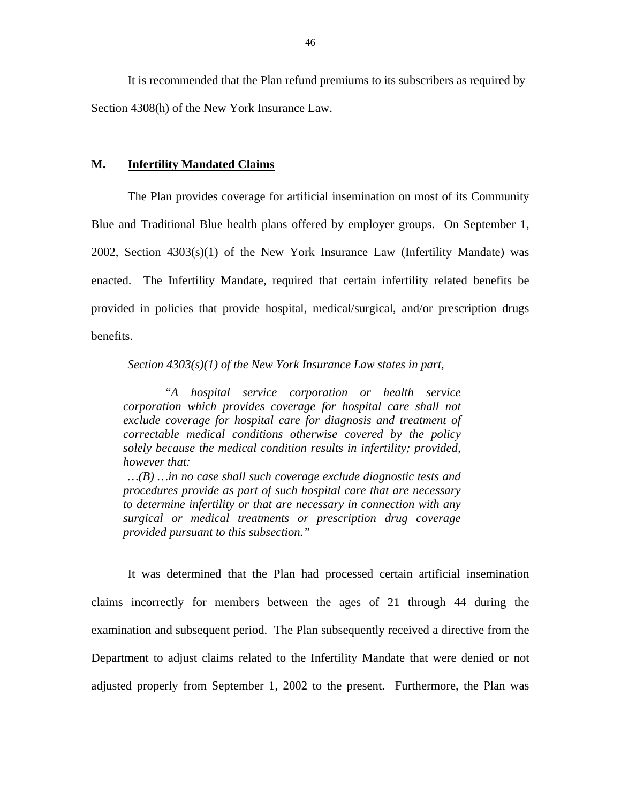It is recommended that the Plan refund premiums to its subscribers as required by Section 4308(h) of the New York Insurance Law.

#### **M. Infertility Mandated Claims**

The Plan provides coverage for artificial insemination on most of its Community Blue and Traditional Blue health plans offered by employer groups. On September 1, 2002, Section 4303(s)(1) of the New York Insurance Law (Infertility Mandate) was enacted. The Infertility Mandate, required that certain infertility related benefits be provided in policies that provide hospital, medical/surgical, and/or prescription drugs benefits.

*Section 4303(s)(1) of the New York Insurance Law states in part,* 

*"A hospital service corporation or health service corporation which provides coverage for hospital care shall not exclude coverage for hospital care for diagnosis and treatment of correctable medical conditions otherwise covered by the policy solely because the medical condition results in infertility; provided, however that:* 

*…(B) …in no case shall such coverage exclude diagnostic tests and procedures provide as part of such hospital care that are necessary to determine infertility or that are necessary in connection with any surgical or medical treatments or prescription drug coverage provided pursuant to this subsection."* 

It was determined that the Plan had processed certain artificial insemination claims incorrectly for members between the ages of 21 through 44 during the examination and subsequent period. The Plan subsequently received a directive from the Department to adjust claims related to the Infertility Mandate that were denied or not adjusted properly from September 1, 2002 to the present. Furthermore, the Plan was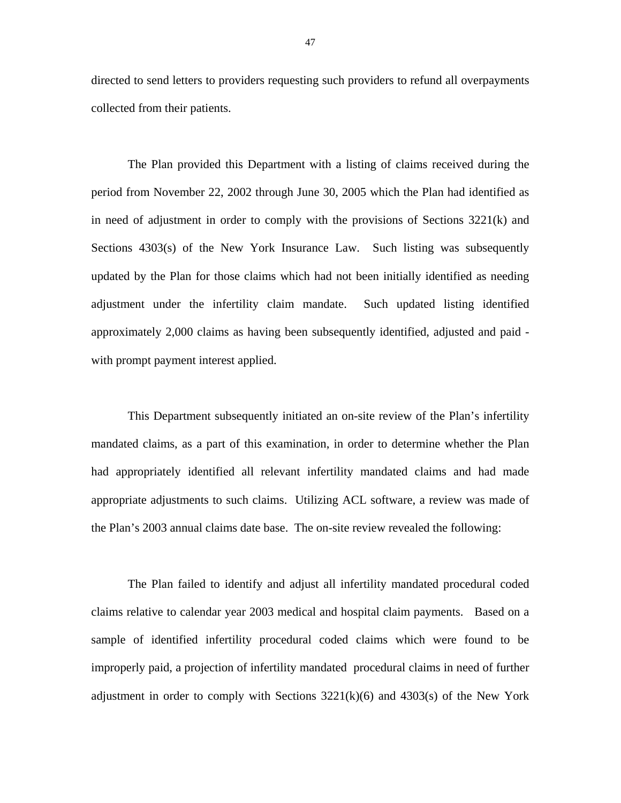directed to send letters to providers requesting such providers to refund all overpayments collected from their patients.

The Plan provided this Department with a listing of claims received during the period from November 22, 2002 through June 30, 2005 which the Plan had identified as in need of adjustment in order to comply with the provisions of Sections 3221(k) and Sections 4303(s) of the New York Insurance Law. Such listing was subsequently updated by the Plan for those claims which had not been initially identified as needing adjustment under the infertility claim mandate. Such updated listing identified approximately 2,000 claims as having been subsequently identified, adjusted and paid with prompt payment interest applied.

This Department subsequently initiated an on-site review of the Plan's infertility mandated claims, as a part of this examination, in order to determine whether the Plan had appropriately identified all relevant infertility mandated claims and had made appropriate adjustments to such claims. Utilizing ACL software, a review was made of the Plan's 2003 annual claims date base. The on-site review revealed the following:

The Plan failed to identify and adjust all infertility mandated procedural coded claims relative to calendar year 2003 medical and hospital claim payments. Based on a sample of identified infertility procedural coded claims which were found to be improperly paid, a projection of infertility mandated procedural claims in need of further adjustment in order to comply with Sections  $3221(k)(6)$  and  $4303(s)$  of the New York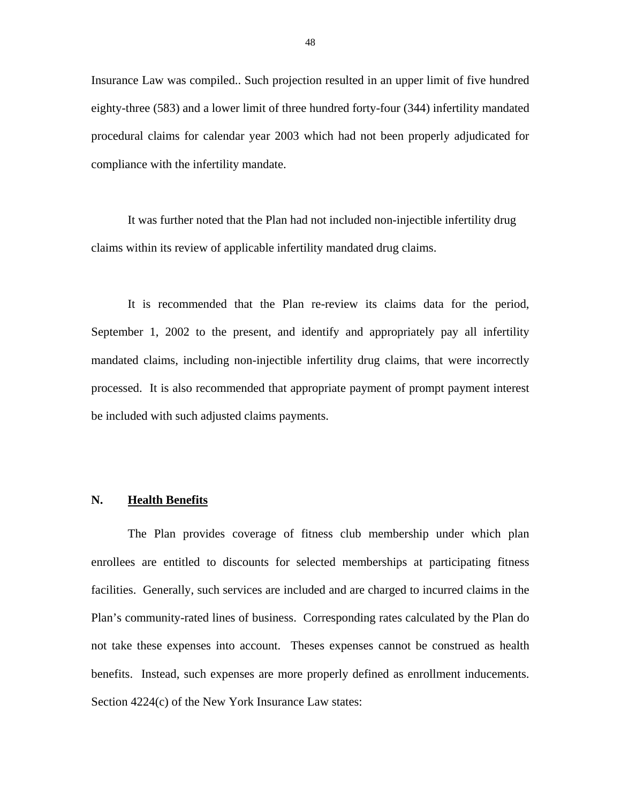Insurance Law was compiled.. Such projection resulted in an upper limit of five hundred eighty-three (583) and a lower limit of three hundred forty-four (344) infertility mandated procedural claims for calendar year 2003 which had not been properly adjudicated for compliance with the infertility mandate.

It was further noted that the Plan had not included non-injectible infertility drug claims within its review of applicable infertility mandated drug claims.

It is recommended that the Plan re-review its claims data for the period, September 1, 2002 to the present, and identify and appropriately pay all infertility mandated claims, including non-injectible infertility drug claims, that were incorrectly processed. It is also recommended that appropriate payment of prompt payment interest be included with such adjusted claims payments.

#### **N. Health Benefits**

The Plan provides coverage of fitness club membership under which plan enrollees are entitled to discounts for selected memberships at participating fitness facilities. Generally, such services are included and are charged to incurred claims in the Plan's community-rated lines of business. Corresponding rates calculated by the Plan do not take these expenses into account. Theses expenses cannot be construed as health benefits. Instead, such expenses are more properly defined as enrollment inducements. Section 4224(c) of the New York Insurance Law states: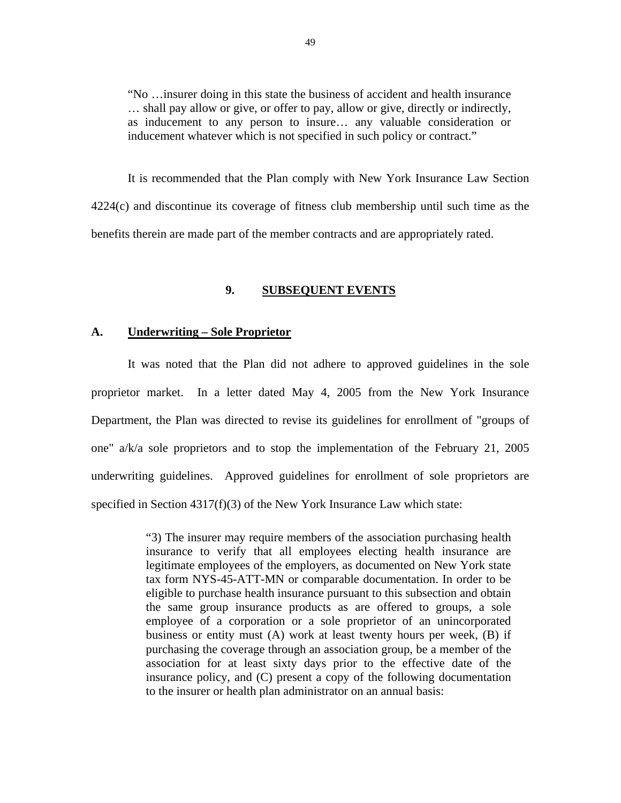"No …insurer doing in this state the business of accident and health insurance … shall pay allow or give, or offer to pay, allow or give, directly or indirectly, as inducement to any person to insure… any valuable consideration or inducement whatever which is not specified in such policy or contract."

It is recommended that the Plan comply with New York Insurance Law Section 4224(c) and discontinue its coverage of fitness club membership until such time as the benefits therein are made part of the member contracts and are appropriately rated.

#### **9. SUBSEQUENT EVENTS**

#### **A. Underwriting – Sole Proprietor**

It was noted that the Plan did not adhere to approved guidelines in the sole proprietor market. In a letter dated May 4, 2005 from the New York Insurance Department, the Plan was directed to revise its guidelines for enrollment of "groups of one" a/k/a sole proprietors and to stop the implementation of the February 21, 2005 underwriting guidelines. Approved guidelines for enrollment of sole proprietors are specified in Section 4317(f)(3) of the New York Insurance Law which state:

> "3) The insurer may require members of the association purchasing health insurance to verify that all employees electing health insurance are legitimate employees of the employers, as documented on New York state tax form NYS-45-ATT-MN or comparable documentation. In order to be eligible to purchase health insurance pursuant to this subsection and obtain the same group insurance products as are offered to groups, a sole employee of a corporation or a sole proprietor of an unincorporated business or entity must (A) work at least twenty hours per week, (B) if purchasing the coverage through an association group, be a member of the association for at least sixty days prior to the effective date of the insurance policy, and (C) present a copy of the following documentation to the insurer or health plan administrator on an annual basis: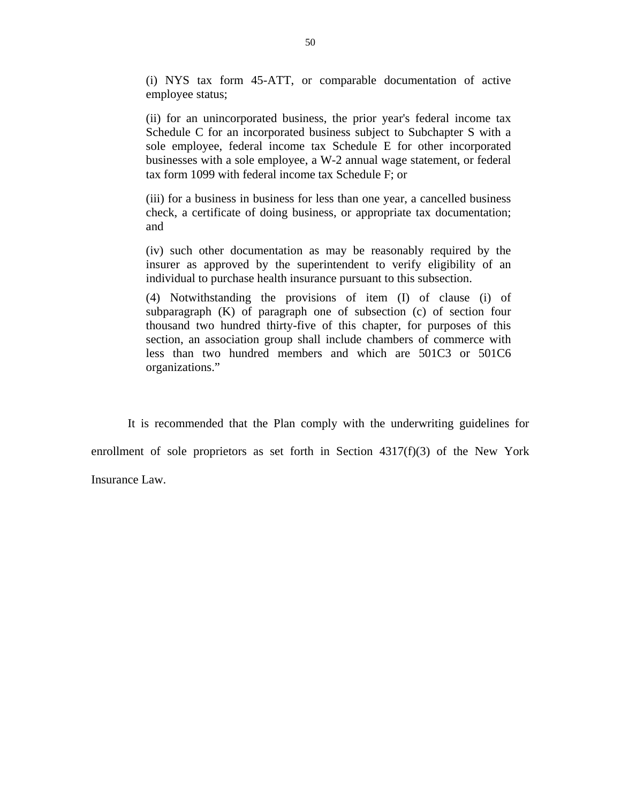(i) NYS tax form 45-ATT, or comparable documentation of active employee status;

(ii) for an unincorporated business, the prior year's federal income tax Schedule C for an incorporated business subject to Subchapter S with a sole employee, federal income tax Schedule E for other incorporated businesses with a sole employee, a W-2 annual wage statement, or federal tax form 1099 with federal income tax Schedule F; or

(iii) for a business in business for less than one year, a cancelled business check, a certificate of doing business, or appropriate tax documentation; and

(iv) such other documentation as may be reasonably required by the insurer as approved by the superintendent to verify eligibility of an individual to purchase health insurance pursuant to this subsection.

(4) Notwithstanding the provisions of item (I) of clause (i) of subparagraph (K) of paragraph one of subsection (c) of section four thousand two hundred thirty-five of this chapter, for purposes of this section, an association group shall include chambers of commerce with less than two hundred members and which are 501C3 or 501C6 organizations."

It is recommended that the Plan comply with the underwriting guidelines for enrollment of sole proprietors as set forth in Section 4317(f)(3) of the New York Insurance Law.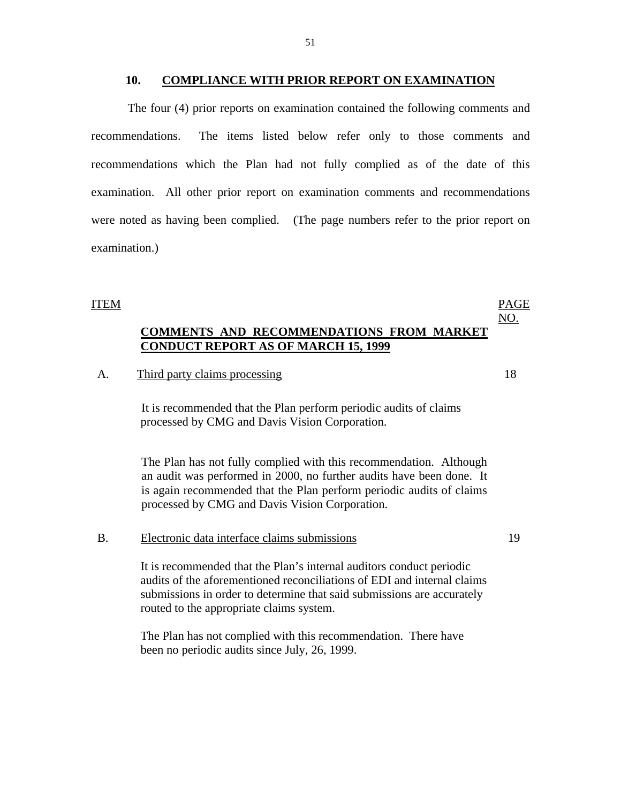The four (4) prior reports on examination contained the following comments and recommendations. The items listed below refer only to those comments and recommendations which the Plan had not fully complied as of the date of this examination. All other prior report on examination comments and recommendations were noted as having been complied. (The page numbers refer to the prior report on examination.)

#### ITEM

### **COMMENTS AND RECOMMENDATIONS FROM MARKET CONDUCT REPORT AS OF MARCH 15, 1999**

#### A. Third party claims processing 18

It is recommended that the Plan perform periodic audits of claims processed by CMG and Davis Vision Corporation.

The Plan has not fully complied with this recommendation. Although an audit was performed in 2000, no further audits have been done. It is again recommended that the Plan perform periodic audits of claims processed by CMG and Davis Vision Corporation.

#### B. Electronic data interface claims submissions 19

It is recommended that the Plan's internal auditors conduct periodic audits of the aforementioned reconciliations of EDI and internal claims submissions in order to determine that said submissions are accurately routed to the appropriate claims system.

The Plan has not complied with this recommendation. There have been no periodic audits since July, 26, 1999.

PAGE NO.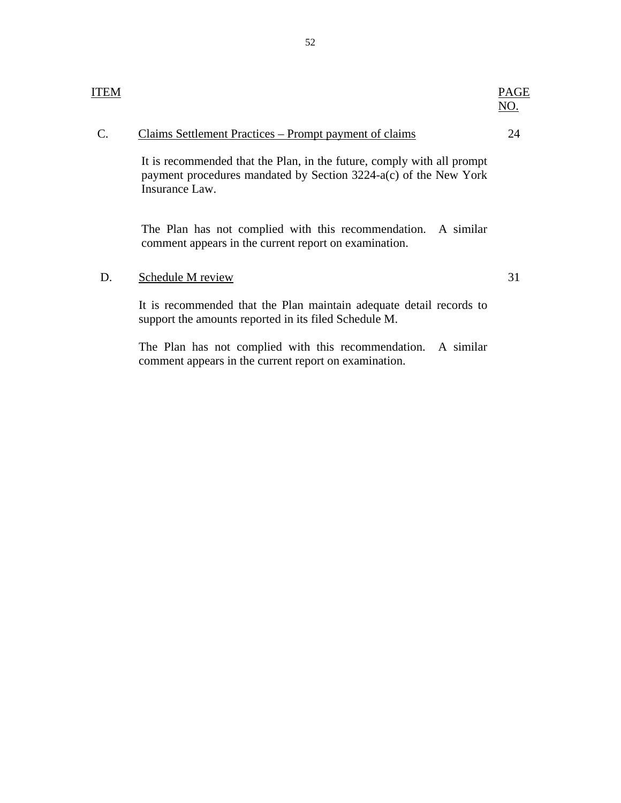| ITEM          |                                                        | PAGE<br>NO. |
|---------------|--------------------------------------------------------|-------------|
| $\mathcal{C}$ | Claims Settlement Practices – Prompt payment of claims |             |

It is recommended that the Plan, in the future, comply with all prompt payment procedures mandated by Section 3224-a(c) of the New York Insurance Law.

The Plan has not complied with this recommendation. A similar comment appears in the current report on examination.

#### D. Schedule M review 31

It is recommended that the Plan maintain adequate detail records to support the amounts reported in its filed Schedule M.

The Plan has not complied with this recommendation. A similar comment appears in the current report on examination.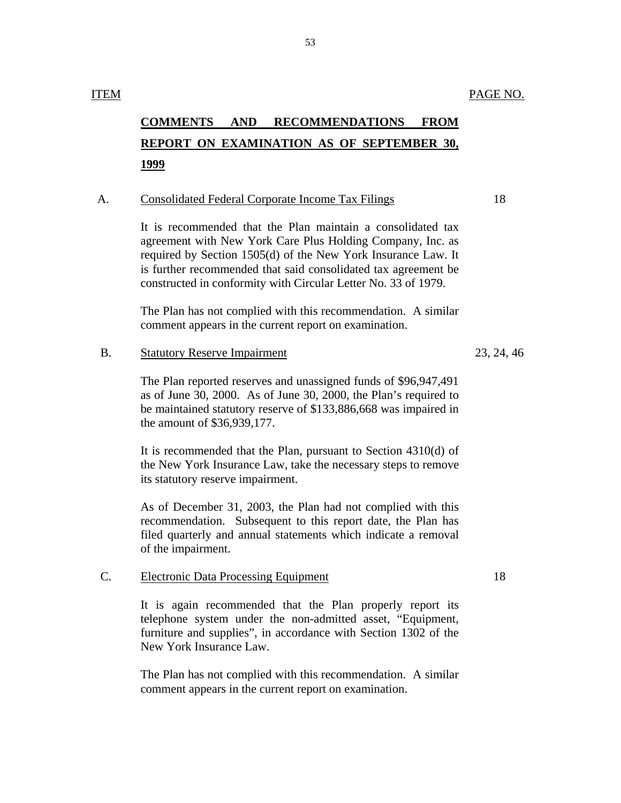# **COMMENTS AND RECOMMENDATIONS FROM REPORT ON EXAMINATION AS OF SEPTEMBER 30, 1999**

#### A. Consolidated Federal Corporate Income Tax Filings 18

It is recommended that the Plan maintain a consolidated tax agreement with New York Care Plus Holding Company, Inc. as required by Section 1505(d) of the New York Insurance Law. It is further recommended that said consolidated tax agreement be constructed in conformity with Circular Letter No. 33 of 1979.

The Plan has not complied with this recommendation. A similar comment appears in the current report on examination.

### B. Statutory Reserve Impairment 23, 24, 46

The Plan reported reserves and unassigned funds of \$96,947,491 as of June 30, 2000. As of June 30, 2000, the Plan's required to be maintained statutory reserve of \$133,886,668 was impaired in the amount of \$36,939,177.

It is recommended that the Plan, pursuant to Section 4310(d) of the New York Insurance Law, take the necessary steps to remove its statutory reserve impairment.

As of December 31, 2003, the Plan had not complied with this recommendation. Subsequent to this report date, the Plan has filed quarterly and annual statements which indicate a removal of the impairment.

### C. Electronic Data Processing Equipment 18

It is again recommended that the Plan properly report its telephone system under the non-admitted asset, "Equipment, furniture and supplies", in accordance with Section 1302 of the New York Insurance Law.

The Plan has not complied with this recommendation. A similar comment appears in the current report on examination.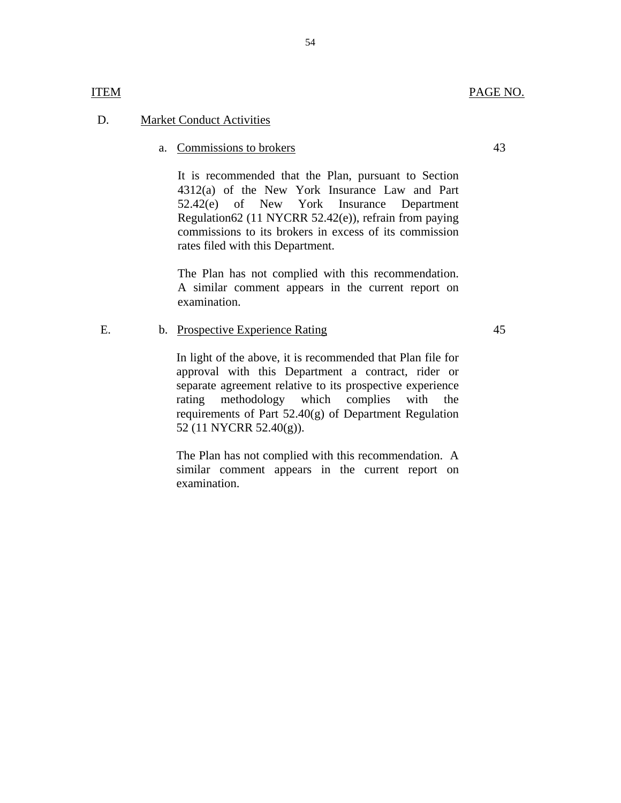### D. Market Conduct Activities

#### a. Commissions to brokers 43

It is recommended that the Plan, pursuant to Section 4312(a) of the New York Insurance Law and Part 52.42(e) of New York Insurance Department Regulation62 (11 NYCRR 52.42(e)), refrain from paying commissions to its brokers in excess of its commission rates filed with this Department.

The Plan has not complied with this recommendation. A similar comment appears in the current report on examination.

#### E. b. Prospective Experience Rating

In light of the above, it is recommended that Plan file for approval with this Department a contract, rider or separate agreement relative to its prospective experience rating methodology which complies with the requirements of Part 52.40(g) of Department Regulation 52 (11 NYCRR 52.40(g)).

The Plan has not complied with this recommendation. A similar comment appears in the current report on examination.

#### 54

**ITEM** 

### 45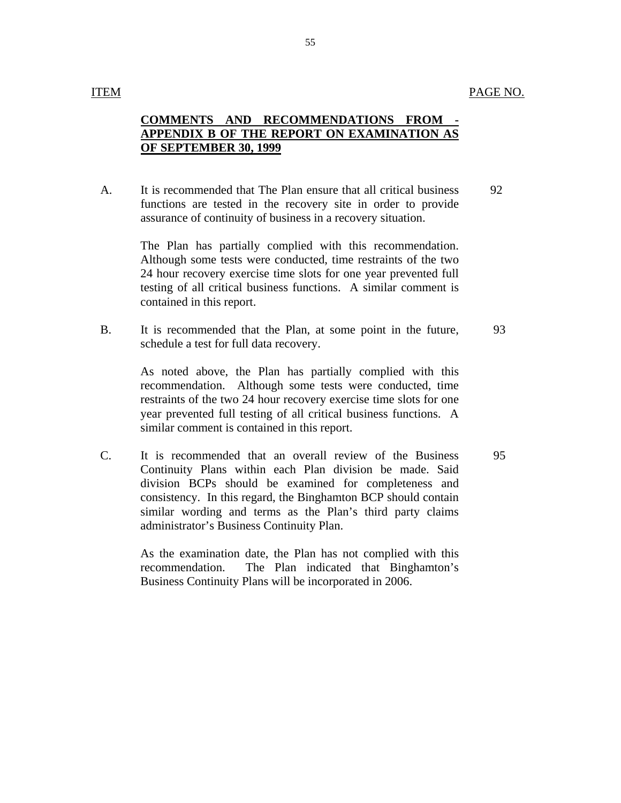#### **ITEM**

## **COMMENTS AND RECOMMENDATIONS FROM APPENDIX B OF THE REPORT ON EXAMINATION AS OF SEPTEMBER 30, 1999**

A. It is recommended that The Plan ensure that all critical business functions are tested in the recovery site in order to provide assurance of continuity of business in a recovery situation. 92

> The Plan has partially complied with this recommendation. Although some tests were conducted, time restraints of the two 24 hour recovery exercise time slots for one year prevented full testing of all critical business functions. A similar comment is contained in this report.

B. It is recommended that the Plan, at some point in the future, schedule a test for full data recovery. 93

> As noted above, the Plan has partially complied with this recommendation. Although some tests were conducted, time restraints of the two 24 hour recovery exercise time slots for one year prevented full testing of all critical business functions. A similar comment is contained in this report.

C. It is recommended that an overall review of the Business Continuity Plans within each Plan division be made. Said division BCPs should be examined for completeness and consistency. In this regard, the Binghamton BCP should contain similar wording and terms as the Plan's third party claims administrator's Business Continuity Plan.

> As the examination date, the Plan has not complied with this recommendation. The Plan indicated that Binghamton's Business Continuity Plans will be incorporated in 2006.

95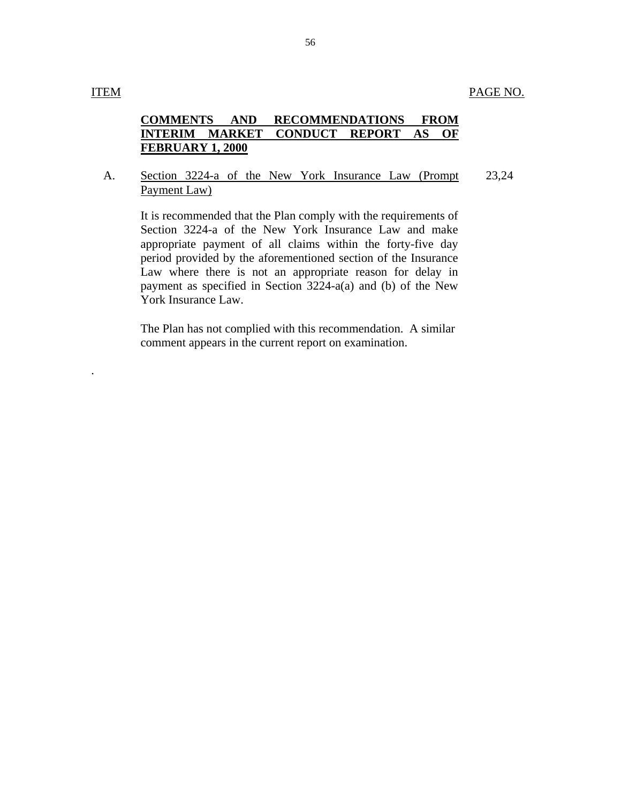.

## **COMMENTS AND RECOMMENDATIONS FROM INTERIM MARKET CONDUCT REPORT AS OF FEBRUARY 1, 2000**

#### A. Section 3224-a of the New York Insurance Law (Prompt Payment Law) 23,24

It is recommended that the Plan comply with the requirements of Section 3224-a of the New York Insurance Law and make appropriate payment of all claims within the forty-five day period provided by the aforementioned section of the Insurance Law where there is not an appropriate reason for delay in payment as specified in Section 3224-a(a) and (b) of the New York Insurance Law.

The Plan has not complied with this recommendation. A similar comment appears in the current report on examination.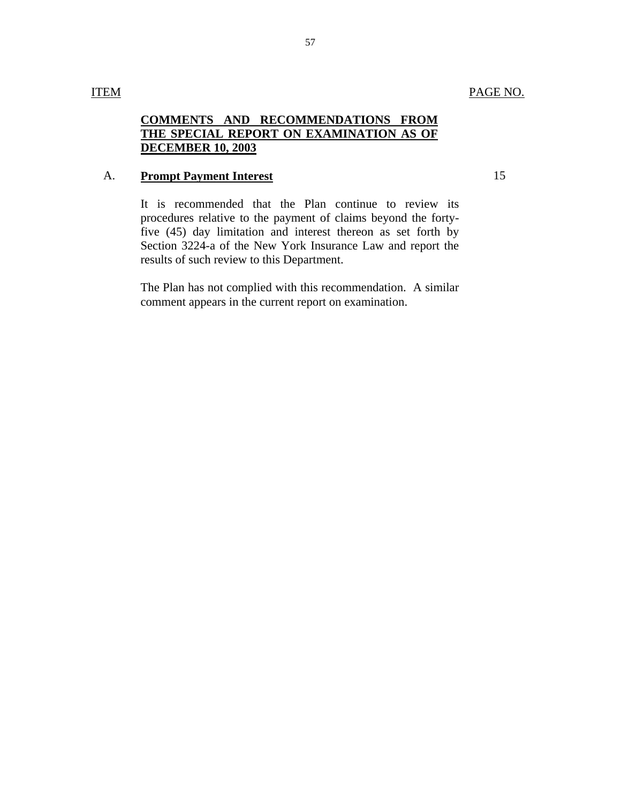# **COMMENTS AND RECOMMENDATIONS FROM THE SPECIAL REPORT ON EXAMINATION AS OF DECEMBER 10, 2003**

#### A. **Prompt Payment Interest**

It is recommended that the Plan continue to review its procedures relative to the payment of claims beyond the fortyfive (45) day limitation and interest thereon as set forth by Section 3224-a of the New York Insurance Law and report the results of such review to this Department.

The Plan has not complied with this recommendation. A similar comment appears in the current report on examination.

15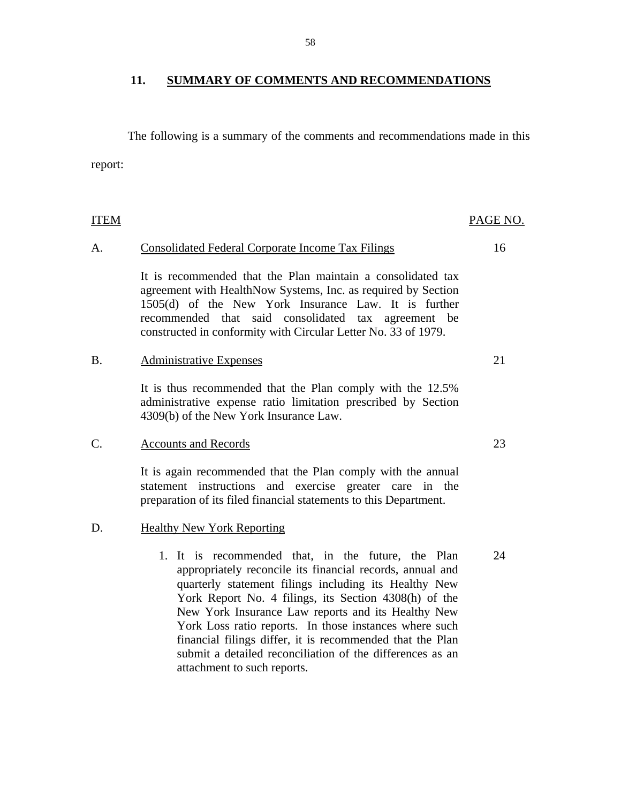# **11. SUMMARY OF COMMENTS AND RECOMMENDATIONS**

The following is a summary of the comments and recommendations made in this report:

| ITEM |                                                                                                                                                                                                                                                                                                                                                                                                                                                                                                            | PAGE NO. |
|------|------------------------------------------------------------------------------------------------------------------------------------------------------------------------------------------------------------------------------------------------------------------------------------------------------------------------------------------------------------------------------------------------------------------------------------------------------------------------------------------------------------|----------|
| A.   | <b>Consolidated Federal Corporate Income Tax Filings</b>                                                                                                                                                                                                                                                                                                                                                                                                                                                   | 16       |
|      | It is recommended that the Plan maintain a consolidated tax<br>agreement with HealthNow Systems, Inc. as required by Section<br>1505(d) of the New York Insurance Law. It is further<br>recommended that said consolidated tax agreement be<br>constructed in conformity with Circular Letter No. 33 of 1979.                                                                                                                                                                                              |          |
| Β.   | <b>Administrative Expenses</b>                                                                                                                                                                                                                                                                                                                                                                                                                                                                             | 21       |
|      | It is thus recommended that the Plan comply with the 12.5%<br>administrative expense ratio limitation prescribed by Section<br>4309(b) of the New York Insurance Law.                                                                                                                                                                                                                                                                                                                                      |          |
| C.   | <b>Accounts and Records</b>                                                                                                                                                                                                                                                                                                                                                                                                                                                                                | 23       |
|      | It is again recommended that the Plan comply with the annual<br>statement instructions and exercise greater care in the<br>preparation of its filed financial statements to this Department.                                                                                                                                                                                                                                                                                                               |          |
| D.   | <b>Healthy New York Reporting</b>                                                                                                                                                                                                                                                                                                                                                                                                                                                                          |          |
|      | 1. It is recommended that, in the future, the Plan<br>appropriately reconcile its financial records, annual and<br>quarterly statement filings including its Healthy New<br>York Report No. 4 filings, its Section 4308(h) of the<br>New York Insurance Law reports and its Healthy New<br>York Loss ratio reports. In those instances where such<br>financial filings differ, it is recommended that the Plan<br>submit a detailed reconciliation of the differences as an<br>attachment to such reports. | 24       |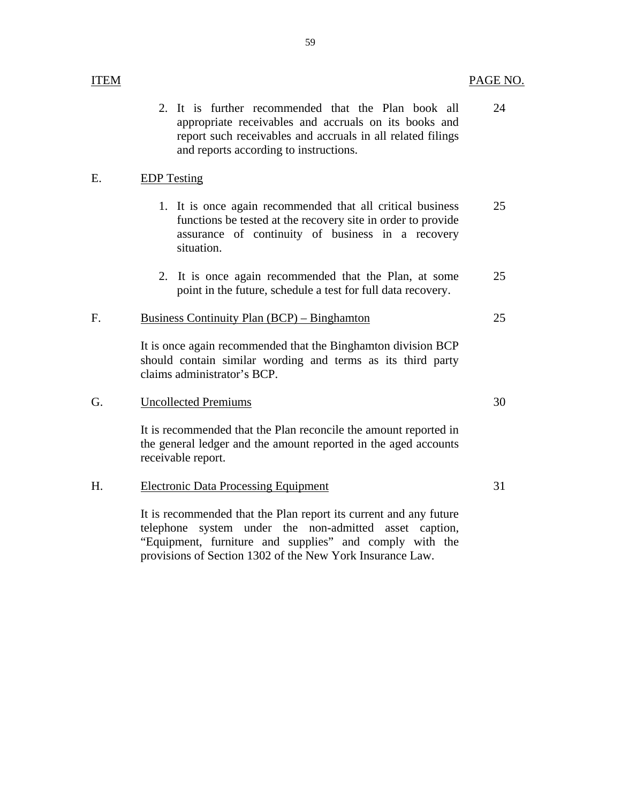| ITEM |                                                                                                                                                                                                                                   | PAGE NO. |
|------|-----------------------------------------------------------------------------------------------------------------------------------------------------------------------------------------------------------------------------------|----------|
|      | It is further recommended that the Plan book all<br>$2_{\cdot}$<br>appropriate receivables and accruals on its books and<br>report such receivables and accruals in all related filings<br>and reports according to instructions. | 24       |
| E.   | <b>EDP</b> Testing                                                                                                                                                                                                                |          |
|      | 1. It is once again recommended that all critical business<br>functions be tested at the recovery site in order to provide<br>assurance of continuity of business in a recovery<br>situation.                                     | 25       |
|      | 2. It is once again recommended that the Plan, at some<br>point in the future, schedule a test for full data recovery.                                                                                                            | 25       |
| F.   | <b>Business Continuity Plan (BCP) – Binghamton</b>                                                                                                                                                                                | 25       |
|      | It is once again recommended that the Binghamton division BCP<br>should contain similar wording and terms as its third party<br>claims administrator's BCP.                                                                       |          |
| G.   | <b>Uncollected Premiums</b>                                                                                                                                                                                                       | 30       |
|      | It is recommended that the Plan reconcile the amount reported in<br>the general ledger and the amount reported in the aged accounts<br>receivable report.                                                                         |          |
| Η.   | <b>Electronic Data Processing Equipment</b>                                                                                                                                                                                       | 31       |
|      | It is recommended that the Plan report its current and any future<br>system under the non-admitted<br>telephone<br>asset caption,                                                                                                 |          |

"Equipment, furniture and supplies" and comply with the provisions of Section 1302 of the New York Insurance Law.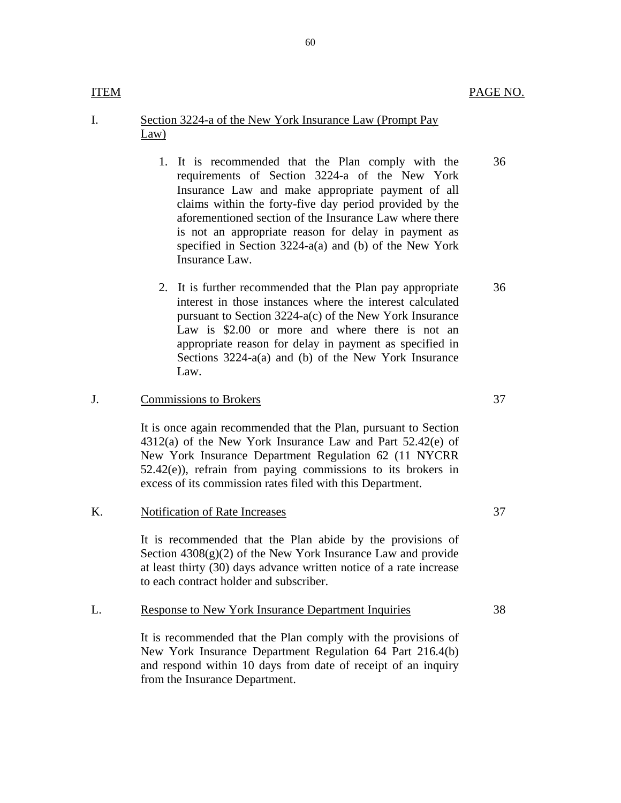36

36

#### I. Section 3224-a of the New York Insurance Law (Prompt Pay Law)

- 1. It is recommended that the Plan comply with the requirements of Section 3224-a of the New York Insurance Law and make appropriate payment of all claims within the forty-five day period provided by the aforementioned section of the Insurance Law where there is not an appropriate reason for delay in payment as specified in Section 3224-a(a) and (b) of the New York Insurance Law.
- 2. It is further recommended that the Plan pay appropriate interest in those instances where the interest calculated pursuant to Section 3224-a(c) of the New York Insurance Law is \$2.00 or more and where there is not an appropriate reason for delay in payment as specified in Sections 3224-a(a) and (b) of the New York Insurance Law.

#### J. Commissions to Brokers 37

It is once again recommended that the Plan, pursuant to Section 4312(a) of the New York Insurance Law and Part 52.42(e) of New York Insurance Department Regulation 62 (11 NYCRR  $52.42(e)$ , refrain from paying commissions to its brokers in excess of its commission rates filed with this Department.

It is recommended that the Plan abide by the provisions of Section  $4308(g)(2)$  of the New York Insurance Law and provide at least thirty (30) days advance written notice of a rate increase to each contract holder and subscriber.

#### L. Response to New York Insurance Department Inquiries 38

It is recommended that the Plan comply with the provisions of New York Insurance Department Regulation 64 Part 216.4(b) and respond within 10 days from date of receipt of an inquiry from the Insurance Department.

**ITEM** 

K. Notification of Rate Increases 37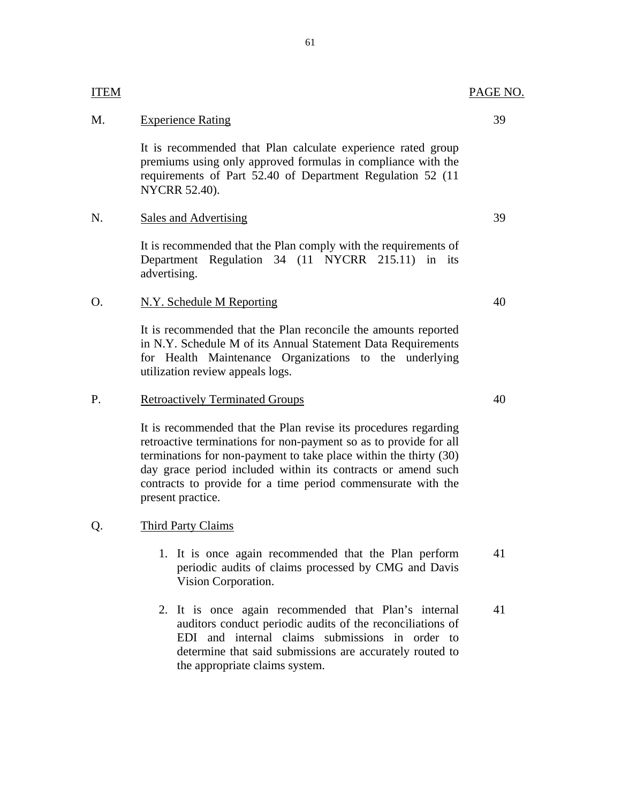## M. Experience Rating 39

**ITEM** 

It is recommended that Plan calculate experience rated group premiums using only approved formulas in compliance with the requirements of Part 52.40 of Department Regulation 52 (11 NYCRR 52.40).

### N. Sales and Advertising 39

It is recommended that the Plan comply with the requirements of Department Regulation 34 (11 NYCRR 215.11) in its advertising.

### O. N.Y. Schedule M Reporting 40

It is recommended that the Plan reconcile the amounts reported in N.Y. Schedule M of its Annual Statement Data Requirements for Health Maintenance Organizations to the underlying utilization review appeals logs.

#### P. Retroactively Terminated Groups 40

It is recommended that the Plan revise its procedures regarding retroactive terminations for non-payment so as to provide for all terminations for non-payment to take place within the thirty (30) day grace period included within its contracts or amend such contracts to provide for a time period commensurate with the present practice.

#### Q. Third Party Claims

- 1. It is once again recommended that the Plan perform 41 periodic audits of claims processed by CMG and Davis Vision Corporation.
- 2. It is once again recommended that Plan's internal 41 auditors conduct periodic audits of the reconciliations of EDI and internal claims submissions in order to determine that said submissions are accurately routed to the appropriate claims system.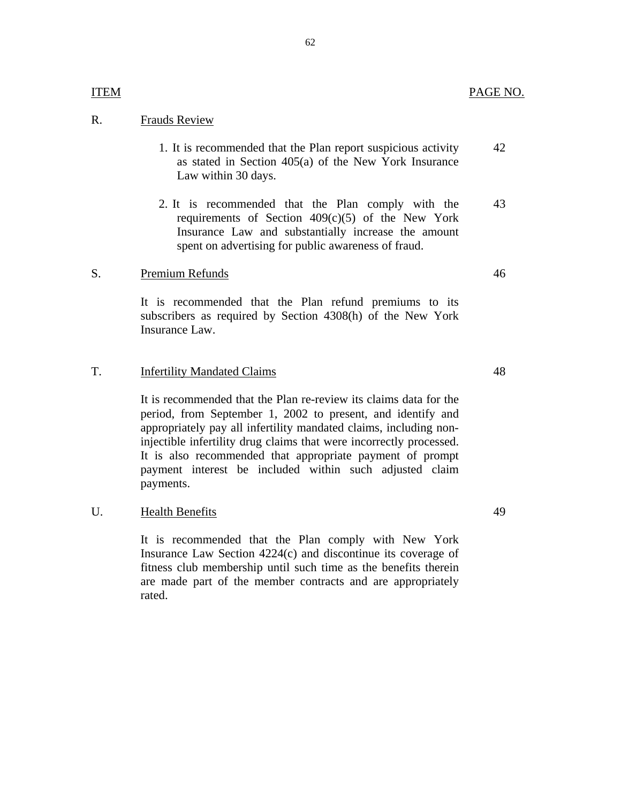# <u>ITEM</u><br>R. Frauds Review

1. It is recommended that the Plan report suspicious activity as stated in Section 405(a) of the New York Insurance Law within 30 days. 42

62

2. It is recommended that the Plan comply with the requirements of Section  $409(c)(5)$  of the New York Insurance Law and substantially increase the amount spent on advertising for public awareness of fraud. 43

#### S. Premium Refunds

It is recommended that the Plan refund premiums to its subscribers as required by Section 4308(h) of the New York Insurance Law.

#### T. Infertility Mandated Claims

 injectible infertility drug claims that were incorrectly processed. It is recommended that the Plan re-review its claims data for the period, from September 1, 2002 to present, and identify and appropriately pay all infertility mandated claims, including non-It is also recommended that appropriate payment of prompt payment interest be included within such adjusted claim payments.

#### $U_{\cdot}$ Health Benefits

It is recommended that the Plan comply with New York Insurance Law Section 4224(c) and discontinue its coverage of fitness club membership until such time as the benefits therein are made part of the member contracts and are appropriately rated.

49

48

46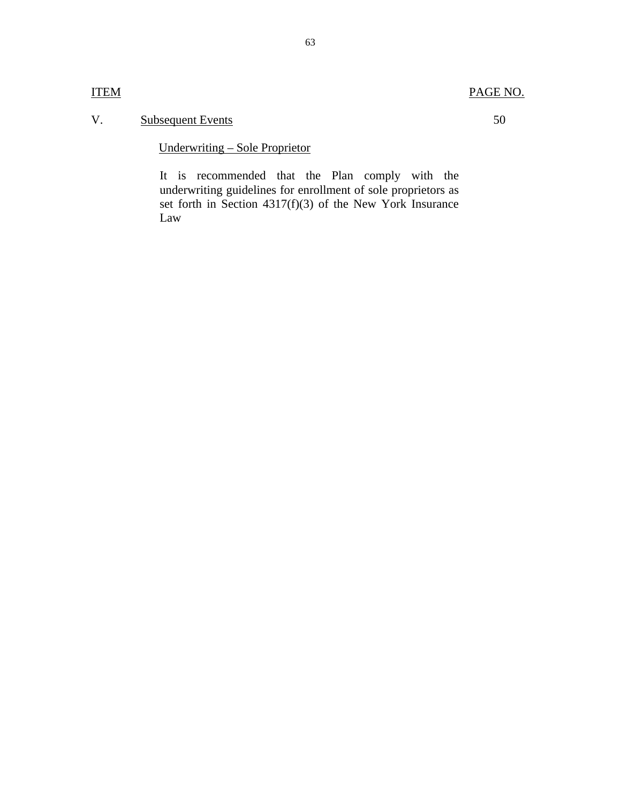# PAGE NO.

# V. Subsequent Events

Underwriting – Sole Proprietor

It is recommended that the Plan comply with the underwriting guidelines for enrollment of sole proprietors as set forth in Section  $4317(f)(3)$  of the New York Insurance Law

50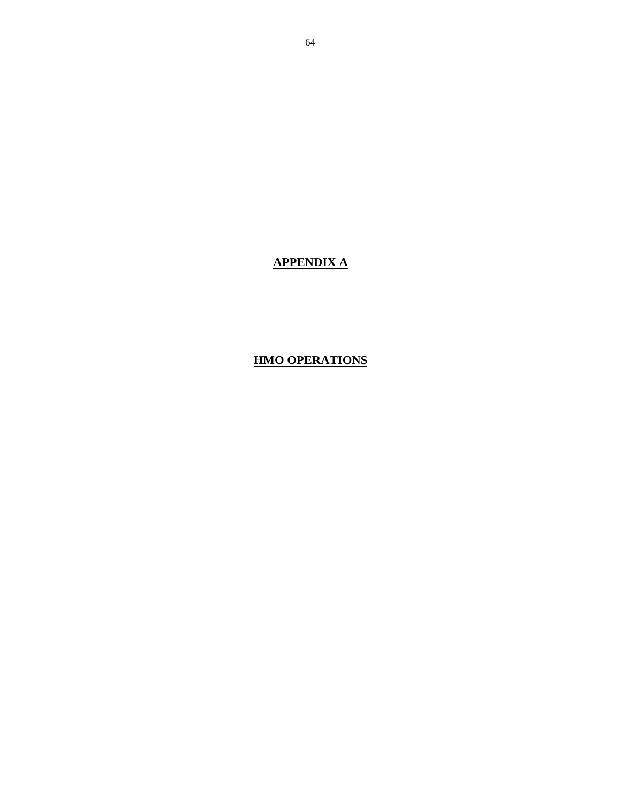# **HMO OPERATIONS**

**APPENDIX A**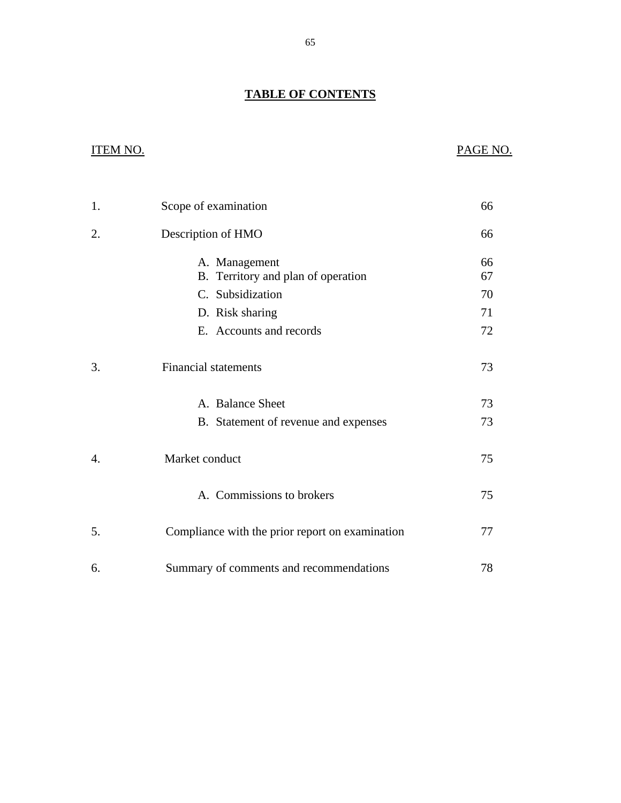# **TABLE OF CONTENTS**

# **ITEM NO.**

# PAGE NO.

| 1. | Scope of examination                                | 66       |
|----|-----------------------------------------------------|----------|
| 2. | Description of HMO                                  | 66       |
|    | A. Management<br>B. Territory and plan of operation | 66<br>67 |
|    | C. Subsidization                                    | 70       |
|    | D. Risk sharing                                     | 71       |
|    | E. Accounts and records                             | 72       |
| 3. | <b>Financial statements</b>                         | 73       |
|    | A. Balance Sheet                                    | 73       |
|    | B. Statement of revenue and expenses                | 73       |
| 4. | Market conduct                                      | 75       |
|    | A. Commissions to brokers                           | 75       |
| 5. | Compliance with the prior report on examination     | 77       |
| 6. | Summary of comments and recommendations             | 78       |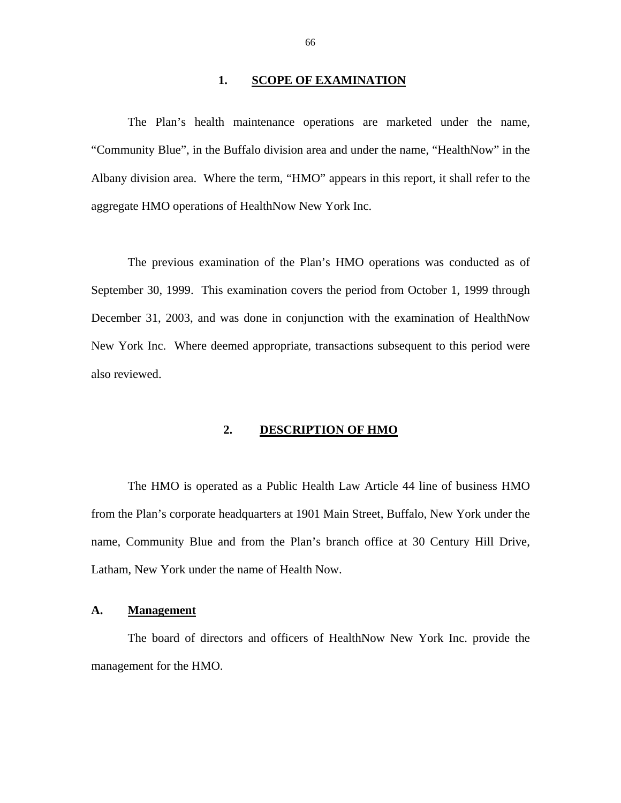#### 1. **SCOPE OF EXAMINATION**

<span id="page-69-0"></span>The Plan's health maintenance operations are marketed under the name, "Community Blue", in the Buffalo division area and under the name, "HealthNow" in the Albany division area. Where the term, "HMO" appears in this report, it shall refer to the aggregate HMO operations of HealthNow New York Inc.

The previous examination of the Plan's HMO operations was conducted as of September 30, 1999. This examination covers the period from October 1, 1999 through December 31, 2003, and was done in conjunction with the examination of HealthNow New York Inc. Where deemed appropriate, transactions subsequent to this period were also reviewed.

### **2. DESCRIPTION OF HMO**

The HMO is operated as a Public Health Law Article 44 line of business HMO from the Plan's corporate headquarters at 1901 Main Street, Buffalo, New York under the name, Community Blue and from the Plan's branch office at 30 Century Hill Drive, Latham, New York under the name of Health Now.

#### **A. Management**

The board of directors and officers of HealthNow New York Inc. provide the management for the HMO.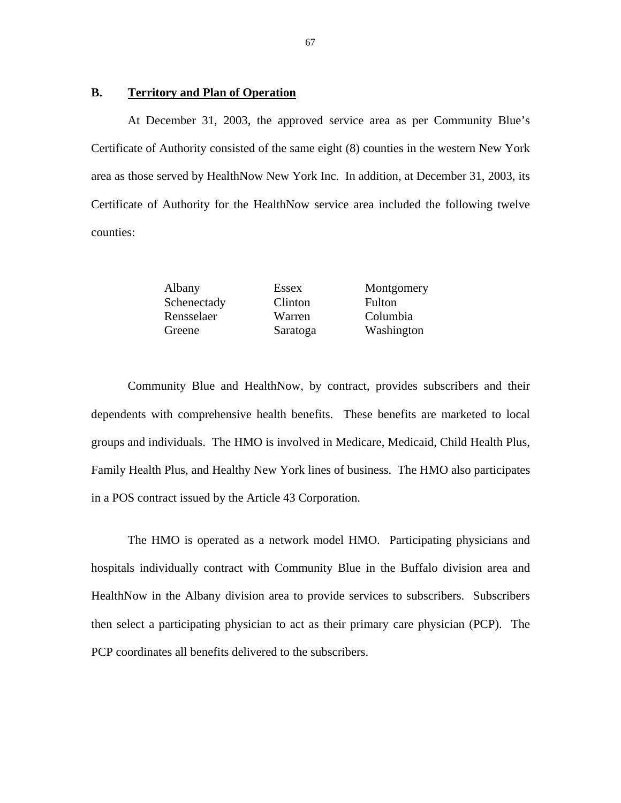#### **B. Territory and Plan of Operation**

At December 31, 2003, the approved service area as per Community Blue's Certificate of Authority consisted of the same eight (8) counties in the western New York area as those served by HealthNow New York Inc. In addition, at December 31, 2003, its Certificate of Authority for the HealthNow service area included the following twelve counties:

| Albany      | Essex    | Montgomery    |
|-------------|----------|---------------|
| Schenectady | Clinton  | <b>Fulton</b> |
| Rensselaer  | Warren   | Columbia      |
| Greene      | Saratoga | Washington    |

Community Blue and HealthNow, by contract, provides subscribers and their dependents with comprehensive health benefits. These benefits are marketed to local groups and individuals. The HMO is involved in Medicare, Medicaid, Child Health Plus, Family Health Plus, and Healthy New York lines of business. The HMO also participates in a POS contract issued by the Article 43 Corporation.

The HMO is operated as a network model HMO. Participating physicians and hospitals individually contract with Community Blue in the Buffalo division area and HealthNow in the Albany division area to provide services to subscribers. Subscribers then select a participating physician to act as their primary care physician (PCP). The PCP coordinates all benefits delivered to the subscribers.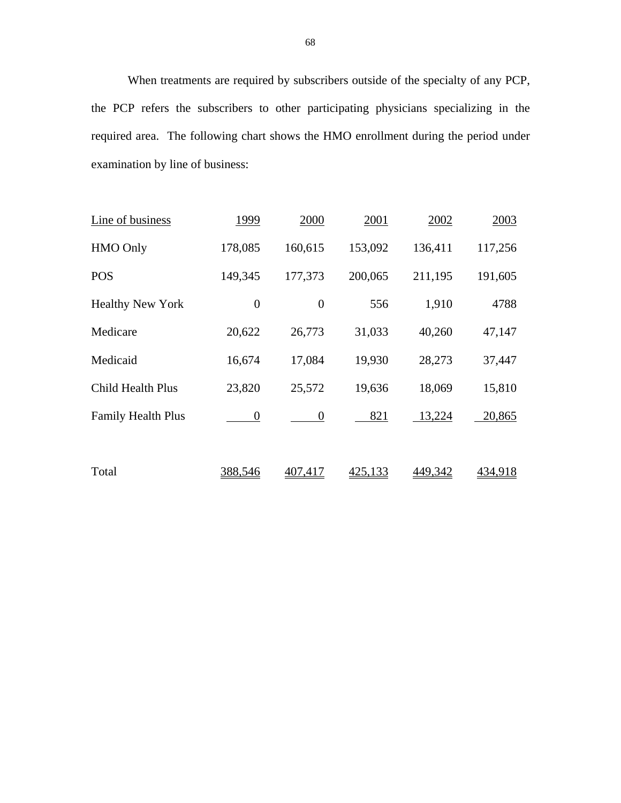When treatments are required by subscribers outside of the specialty of any PCP, the PCP refers the subscribers to other participating physicians specializing in the required area. The following chart shows the HMO enrollment during the period under examination by line of business:

| Line of business          | 1999           | 2000             | 2001    | 2002    | 2003           |
|---------------------------|----------------|------------------|---------|---------|----------------|
| <b>HMO Only</b>           | 178,085        | 160,615          | 153,092 | 136,411 | 117,256        |
| <b>POS</b>                | 149,345        | 177,373          | 200,065 | 211,195 | 191,605        |
| <b>Healthy New York</b>   | $\overline{0}$ | $\boldsymbol{0}$ | 556     | 1,910   | 4788           |
| Medicare                  | 20,622         | 26,773           | 31,033  | 40,260  | 47,147         |
| Medicaid                  | 16,674         | 17,084           | 19,930  | 28,273  | 37,447         |
| <b>Child Health Plus</b>  | 23,820         | 25,572           | 19,636  | 18,069  | 15,810         |
| <b>Family Health Plus</b> | $\theta$       | $\boldsymbol{0}$ | 821     | 13,224  | 20,865         |
|                           |                |                  |         |         |                |
| Total                     | 388,546        | <u>407.417</u>   | 425,133 | 449,342 | <u>434,918</u> |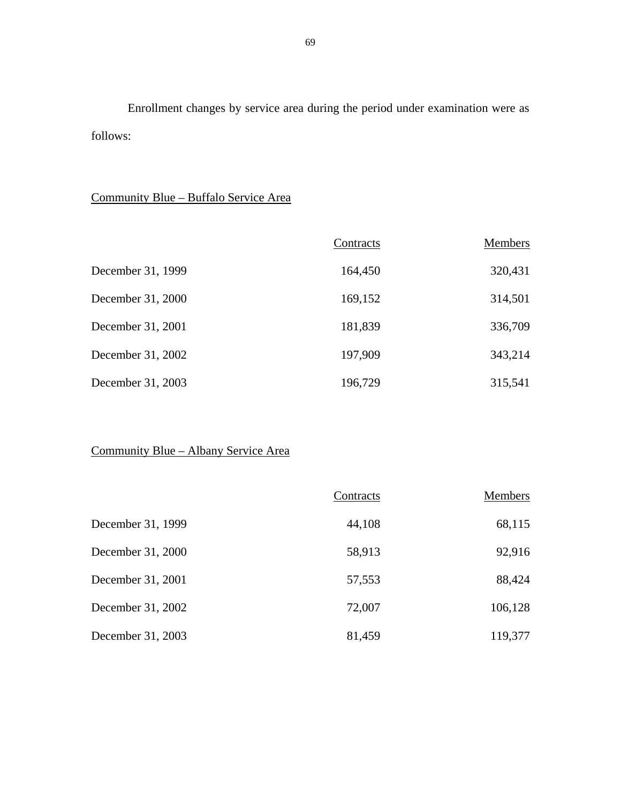Enrollment changes by service area during the period under examination were as follows:

## Community Blue – Buffalo Service Area

|                   | Contracts | Members |
|-------------------|-----------|---------|
| December 31, 1999 | 164,450   | 320,431 |
| December 31, 2000 | 169,152   | 314,501 |
| December 31, 2001 | 181,839   | 336,709 |
| December 31, 2002 | 197,909   | 343,214 |
| December 31, 2003 | 196,729   | 315,541 |

## Community Blue – Albany Service Area

|                   | Contracts | <b>Members</b> |
|-------------------|-----------|----------------|
| December 31, 1999 | 44,108    | 68,115         |
| December 31, 2000 | 58,913    | 92,916         |
| December 31, 2001 | 57,553    | 88,424         |
| December 31, 2002 | 72,007    | 106,128        |
| December 31, 2003 | 81,459    | 119,377        |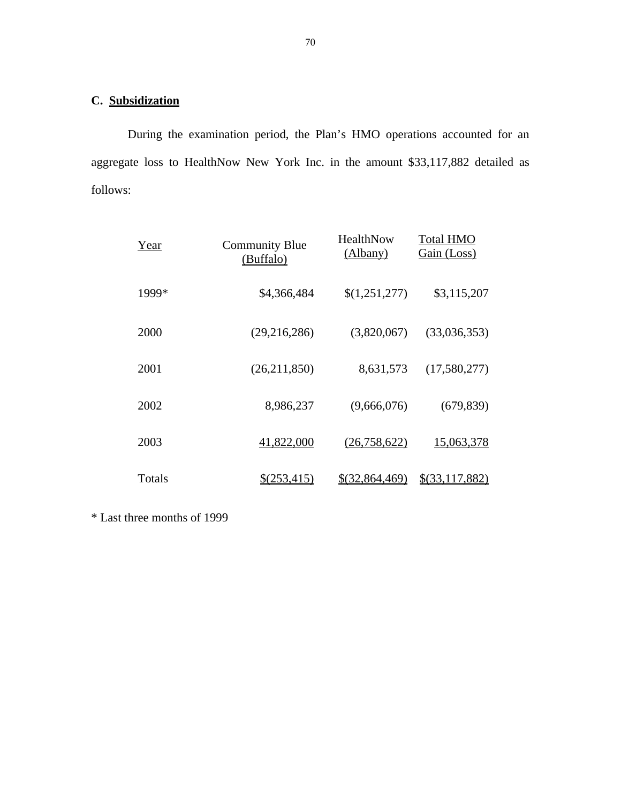## **C. Subsidization**

During the examination period, the Plan's HMO operations accounted for an aggregate loss to HealthNow New York Inc. in the amount \$33,117,882 detailed as follows:

| Year   | <b>Community Blue</b><br>(Buffalo) | HealthNow<br>(Albany) | <b>Total HMO</b><br>Gain (Loss) |
|--------|------------------------------------|-----------------------|---------------------------------|
| 1999*  | \$4,366,484                        | \$(1,251,277)         | \$3,115,207                     |
| 2000   | (29,216,286)                       | (3,820,067)           | (33,036,353)                    |
| 2001   | (26,211,850)                       | 8,631,573             | (17,580,277)                    |
| 2002   | 8,986,237                          | (9,666,076)           | (679, 839)                      |
| 2003   | 41,822,000                         | (26, 758, 622)        | 15,063,378                      |
| Totals | <u>\$(253,415)</u>                 | \$(32,864,469)        | \$(33,117,882)                  |

\* Last three months of 1999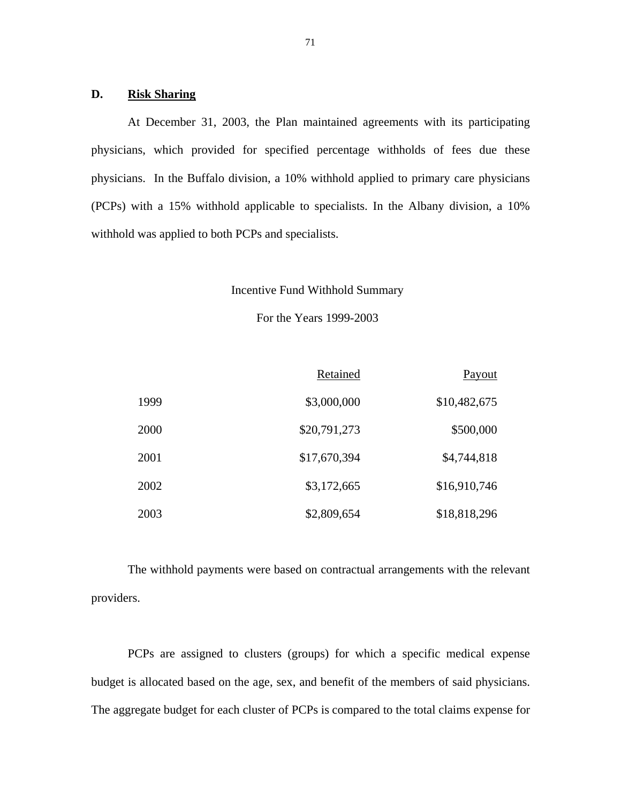#### **D. Risk Sharing**

At December 31, 2003, the Plan maintained agreements with its participating physicians, which provided for specified percentage withholds of fees due these physicians. In the Buffalo division, a 10% withhold applied to primary care physicians (PCPs) with a 15% withhold applicable to specialists. In the Albany division, a 10% withhold was applied to both PCPs and specialists.

#### Incentive Fund Withhold Summary

For the Years 1999-2003

| Payout       | Retained     |      |
|--------------|--------------|------|
| \$10,482,675 | \$3,000,000  | 1999 |
| \$500,000    | \$20,791,273 | 2000 |
| \$4,744,818  | \$17,670,394 | 2001 |
| \$16,910,746 | \$3,172,665  | 2002 |
| \$18,818,296 | \$2,809,654  | 2003 |

The withhold payments were based on contractual arrangements with the relevant providers.

PCPs are assigned to clusters (groups) for which a specific medical expense budget is allocated based on the age, sex, and benefit of the members of said physicians. The aggregate budget for each cluster of PCPs is compared to the total claims expense for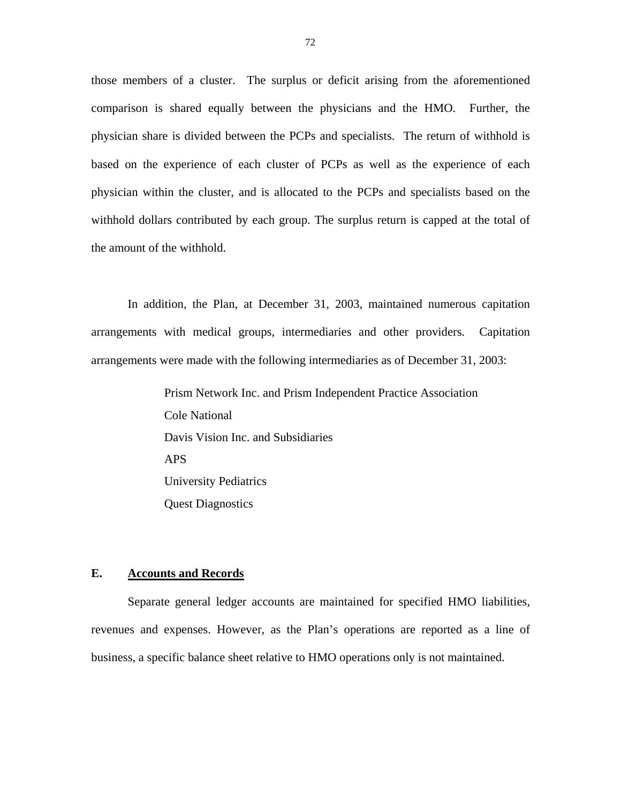those members of a cluster. The surplus or deficit arising from the aforementioned comparison is shared equally between the physicians and the HMO. Further, the physician share is divided between the PCPs and specialists. The return of withhold is based on the experience of each cluster of PCPs as well as the experience of each physician within the cluster, and is allocated to the PCPs and specialists based on the withhold dollars contributed by each group. The surplus return is capped at the total of the amount of the withhold.

In addition, the Plan, at December 31, 2003, maintained numerous capitation arrangements with medical groups, intermediaries and other providers. Capitation arrangements were made with the following intermediaries as of December 31, 2003:

> Prism Network Inc. and Prism Independent Practice Association Cole National Davis Vision Inc. and Subsidiaries APS University Pediatrics Quest Diagnostics

#### **E. Accounts and Records**

Separate general ledger accounts are maintained for specified HMO liabilities, revenues and expenses. However, as the Plan's operations are reported as a line of business, a specific balance sheet relative to HMO operations only is not maintained.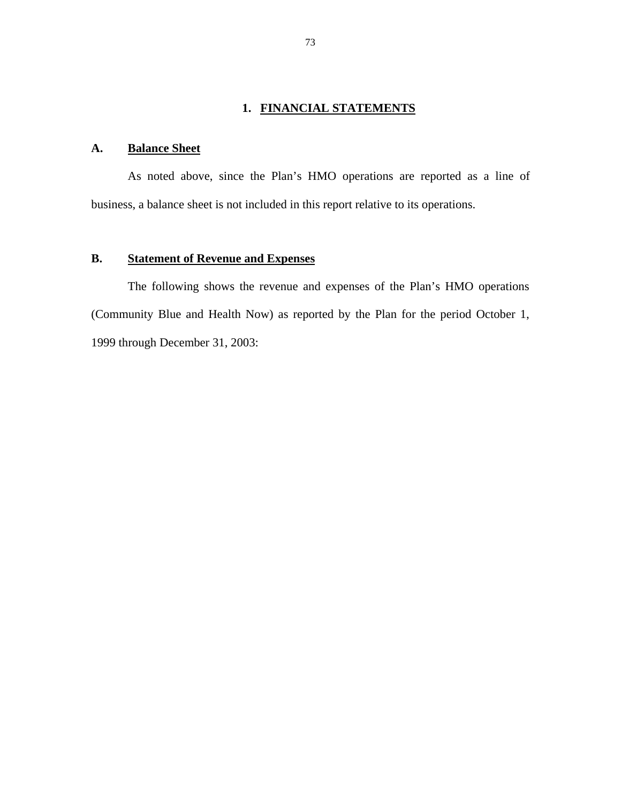## **1. FINANCIAL STATEMENTS**

## A. **Balance Sheet**

As noted above, since the Plan's HMO operations are reported as a line of business, a balance sheet is not included in this report relative to its operations.

## **B. Statement of Revenue and Expenses**

The following shows the revenue and expenses of the Plan's HMO operations (Community Blue and Health Now) as reported by the Plan for the period October 1, 1999 through December 31, 2003: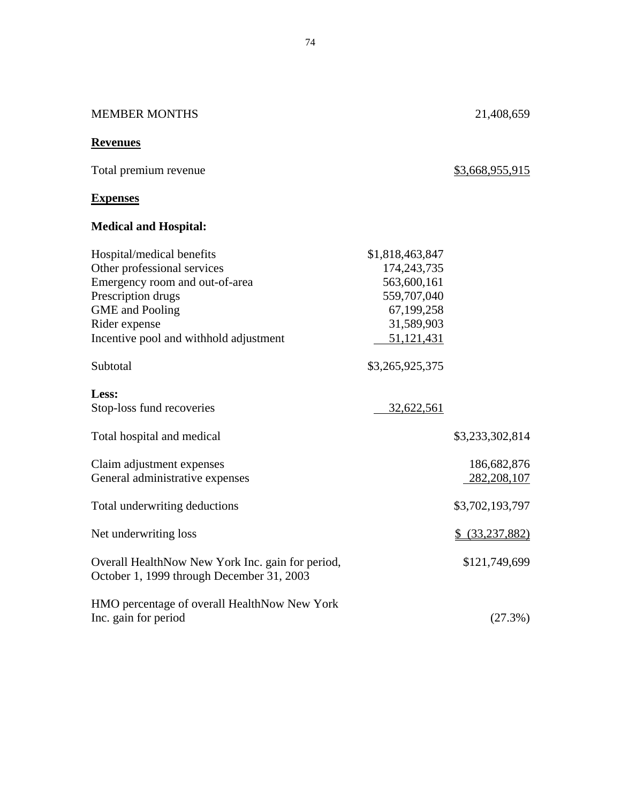| <b>MEMBER MONTHS</b>                                                                                                                                                                                  |                                                                                                        | 21,408,659                   |
|-------------------------------------------------------------------------------------------------------------------------------------------------------------------------------------------------------|--------------------------------------------------------------------------------------------------------|------------------------------|
| <b>Revenues</b>                                                                                                                                                                                       |                                                                                                        |                              |
| Total premium revenue                                                                                                                                                                                 |                                                                                                        | \$3,668,955,915              |
| <b>Expenses</b>                                                                                                                                                                                       |                                                                                                        |                              |
| <b>Medical and Hospital:</b>                                                                                                                                                                          |                                                                                                        |                              |
| Hospital/medical benefits<br>Other professional services<br>Emergency room and out-of-area<br>Prescription drugs<br><b>GME</b> and Pooling<br>Rider expense<br>Incentive pool and withhold adjustment | \$1,818,463,847<br>174,243,735<br>563,600,161<br>559,707,040<br>67,199,258<br>31,589,903<br>51,121,431 |                              |
| Subtotal                                                                                                                                                                                              | \$3,265,925,375                                                                                        |                              |
| Less:<br>Stop-loss fund recoveries                                                                                                                                                                    | 32,622,561                                                                                             |                              |
| Total hospital and medical                                                                                                                                                                            |                                                                                                        | \$3,233,302,814              |
| Claim adjustment expenses<br>General administrative expenses                                                                                                                                          |                                                                                                        | 186,682,876<br>282, 208, 107 |
| Total underwriting deductions                                                                                                                                                                         |                                                                                                        | \$3,702,193,797              |
| Net underwriting loss                                                                                                                                                                                 |                                                                                                        | \$ (33,237,882)              |
| Overall HealthNow New York Inc. gain for period,<br>October 1, 1999 through December 31, 2003                                                                                                         |                                                                                                        | \$121,749,699                |
| HMO percentage of overall HealthNow New York<br>Inc. gain for period                                                                                                                                  |                                                                                                        | (27.3%)                      |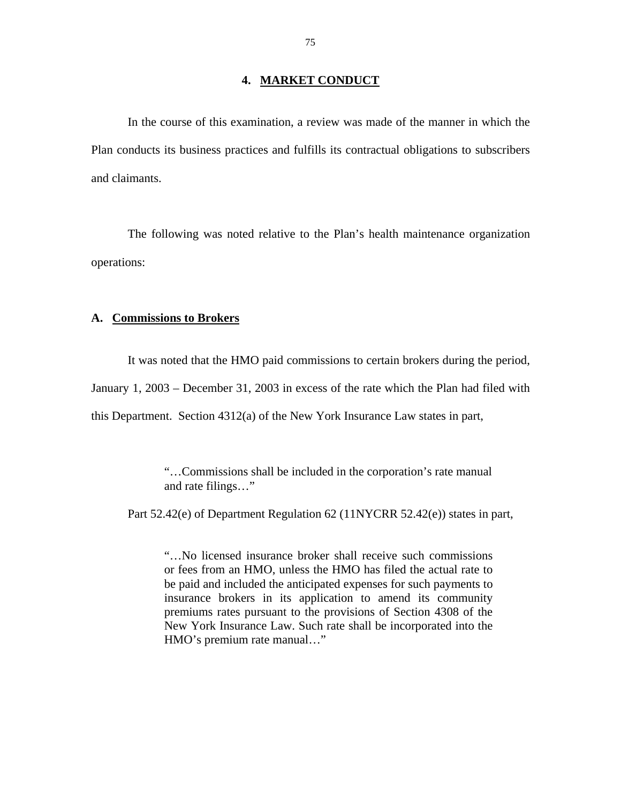#### **4. MARKET CONDUCT**

In the course of this examination, a review was made of the manner in which the Plan conducts its business practices and fulfills its contractual obligations to subscribers and claimants.

The following was noted relative to the Plan's health maintenance organization operations:

#### **A. Commissions to Brokers**

It was noted that the HMO paid commissions to certain brokers during the period,

January 1, 2003 – December 31, 2003 in excess of the rate which the Plan had filed with

this Department. Section 4312(a) of the New York Insurance Law states in part,

"…Commissions shall be included in the corporation's rate manual and rate filings…"

Part 52.42(e) of Department Regulation 62 (11NYCRR 52.42(e)) states in part,

"…No licensed insurance broker shall receive such commissions or fees from an HMO, unless the HMO has filed the actual rate to be paid and included the anticipated expenses for such payments to insurance brokers in its application to amend its community premiums rates pursuant to the provisions of Section 4308 of the New York Insurance Law. Such rate shall be incorporated into the HMO's premium rate manual…"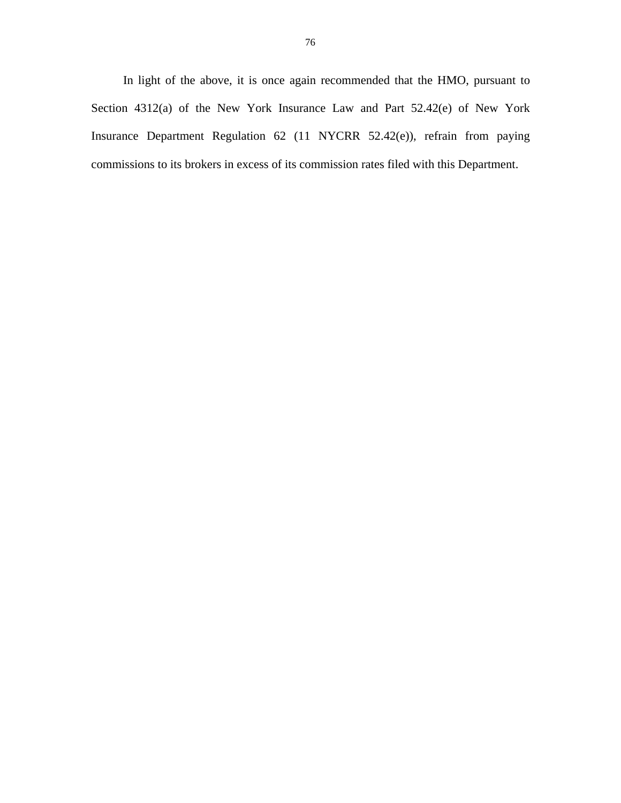In light of the above, it is once again recommended that the HMO, pursuant to Section 4312(a) of the New York Insurance Law and Part 52.42(e) of New York Insurance Department Regulation 62 (11 NYCRR 52.42(e)), refrain from paying commissions to its brokers in excess of its commission rates filed with this Department.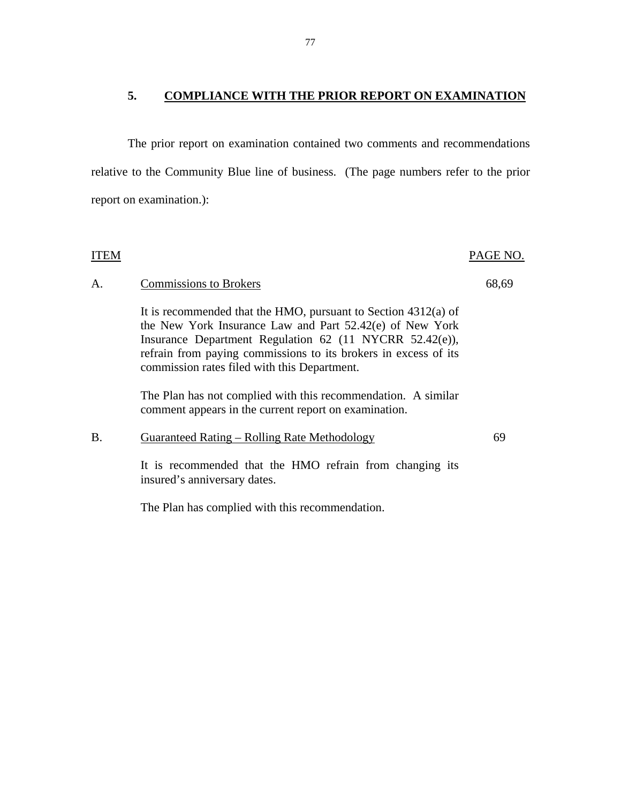## **5. COMPLIANCE WITH THE PRIOR REPORT ON EXAMINATION**

The prior report on examination contained two comments and recommendations relative to the Community Blue line of business. (The page numbers refer to the prior report on examination.):

| ITEM      |                                                                                                                                                                                                                                                                                                            | PAGE NO. |
|-----------|------------------------------------------------------------------------------------------------------------------------------------------------------------------------------------------------------------------------------------------------------------------------------------------------------------|----------|
| A.        | <b>Commissions to Brokers</b>                                                                                                                                                                                                                                                                              | 68,69    |
|           | It is recommended that the HMO, pursuant to Section $4312(a)$ of<br>the New York Insurance Law and Part 52.42(e) of New York<br>Insurance Department Regulation 62 (11 NYCRR 52.42(e)),<br>refrain from paying commissions to its brokers in excess of its<br>commission rates filed with this Department. |          |
|           | The Plan has not complied with this recommendation. A similar<br>comment appears in the current report on examination.                                                                                                                                                                                     |          |
| <b>B.</b> | <b>Guaranteed Rating – Rolling Rate Methodology</b>                                                                                                                                                                                                                                                        | 69       |
|           | It is recommended that the HMO refrain from changing its<br>insured's anniversary dates.                                                                                                                                                                                                                   |          |
|           | The Plan has complied with this recommendation.                                                                                                                                                                                                                                                            |          |

77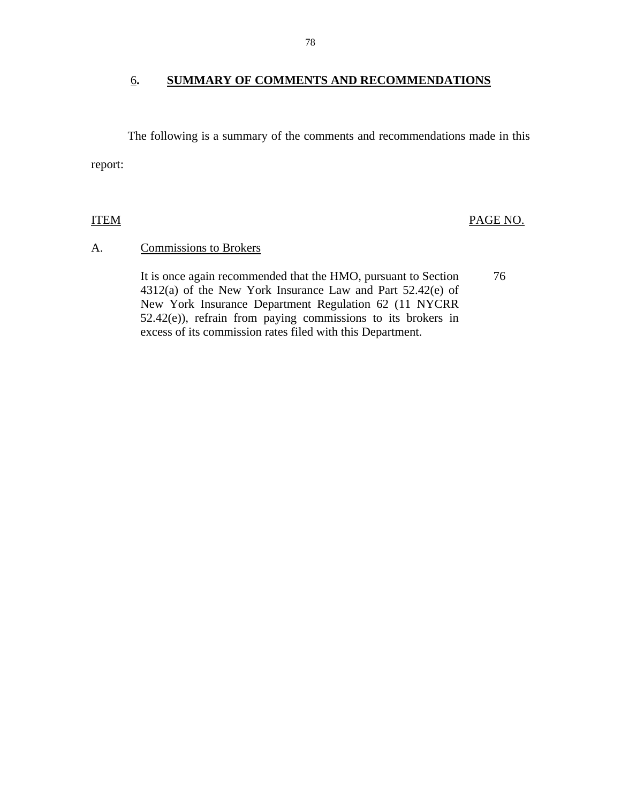#### 6**. SUMMARY OF COMMENTS AND RECOMMENDATIONS**

The following is a summary of the comments and recommendations made in this report:

**ITEM** 

PAGE NO.

#### A. Commissions to Brokers

It is once again recommended that the HMO, pursuant to Section 76 4312(a) of the New York Insurance Law and Part 52.42(e) of New York Insurance Department Regulation 62 (11 NYCRR 52.42(e)), refrain from paying commissions to its brokers in excess of its commission rates filed with this Department.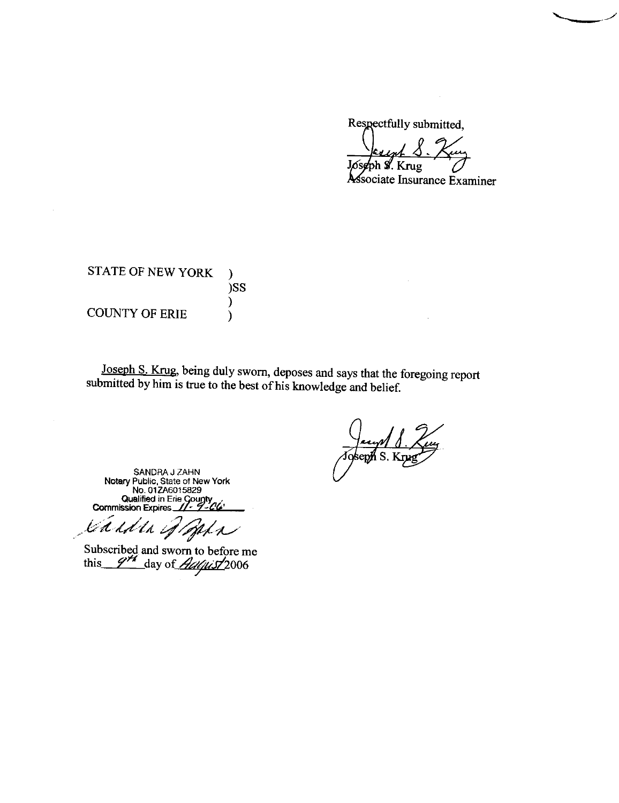Respectfully submitted,

Jósgph S. Krug

sociate Insurance Examiner

STATE OF NEW YORK  $\lambda$ )SS  $\mathcal{E}$ **COUNTY OF ERIE**  $\lambda$ 

Joseph S. Krug, being duly sworn, deposes and says that the foregoing report submitted by him is true to the best of his knowledge and belief.

SANDRA J ZAHN<br>Notary Public, State of New York<br>No. 01ZA6015829 Qualified in Erie County<br>Commission Expires 11-9-04

Saiden of Baha

Subscribed and sworn to before me<br>this  $\frac{\gamma \gamma}{4}$  day of *August* 2006

<u>— Јечну Л.,</u><br>Јоѕерћ Ѕ. Кги